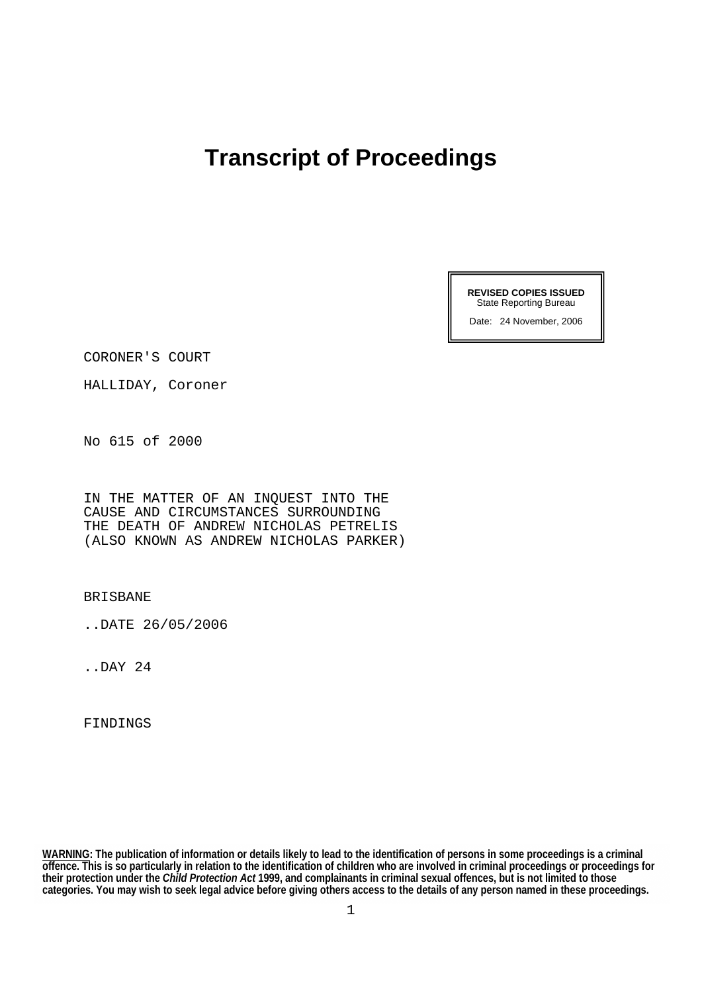# **Transcript of Proceedings**

**REVISED COPIES ISSUED**  State Reporting Bureau

Date: 24 November, 2006

CORONER'S COURT

HALLIDAY, Coroner

No 615 of 2000

IN THE MATTER OF AN INQUEST INTO THE CAUSE AND CIRCUMSTANCES SURROUNDING THE DEATH OF ANDREW NICHOLAS PETRELIS (ALSO KNOWN AS ANDREW NICHOLAS PARKER)

BRISBANE

..DATE 26/05/2006

..DAY 24

FINDINGS

**WARNING: The publication of information or details likely to lead to the identification of persons in some proceedings is a criminal offence. This is so particularly in relation to the identification of children who are involved in criminal proceedings or proceedings for their protection under the** *Child Protection Act* **1999, and complainants in criminal sexual offences, but is not limited to those categories. You may wish to seek legal advice before giving others access to the details of any person named in these proceedings.**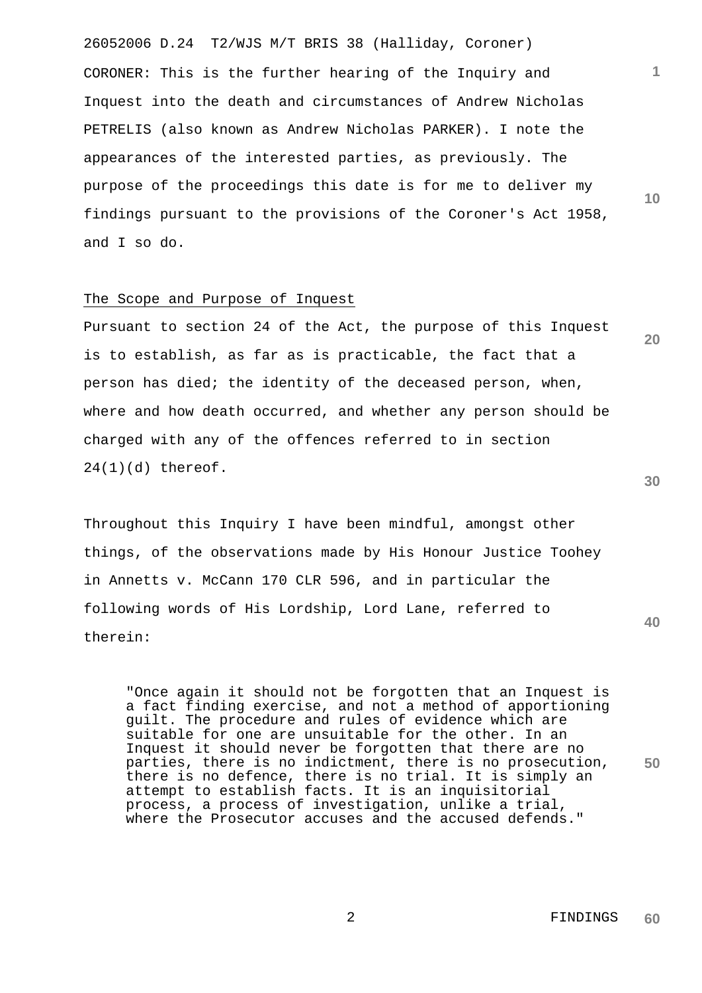26052006 D.24 T2/WJS M/T BRIS 38 (Halliday, Coroner) CORONER: This is the further hearing of the Inquiry and Inquest into the death and circumstances of Andrew Nicholas PETRELIS (also known as Andrew Nicholas PARKER). I note the appearances of the interested parties, as previously. The purpose of the proceedings this date is for me to deliver my findings pursuant to the provisions of the Coroner's Act 1958, and I so do.

## The Scope and Purpose of Inquest

Pursuant to section 24 of the Act, the purpose of this Inquest is to establish, as far as is practicable, the fact that a person has died; the identity of the deceased person, when, where and how death occurred, and whether any person should be charged with any of the offences referred to in section 24(1)(d) thereof.

Throughout this Inquiry I have been mindful, amongst other things, of the observations made by His Honour Justice Toohey in Annetts v. McCann 170 CLR 596, and in particular the following words of His Lordship, Lord Lane, referred to therein:

**50** "Once again it should not be forgotten that an Inquest is a fact finding exercise, and not a method of apportioning guilt. The procedure and rules of evidence which are suitable for one are unsuitable for the other. In an Inquest it should never be forgotten that there are no parties, there is no indictment, there is no prosecution, there is no defence, there is no trial. It is simply an attempt to establish facts. It is an inquisitorial process, a process of investigation, unlike a trial, where the Prosecutor accuses and the accused defends."

**30**

**40**

**1**

**10**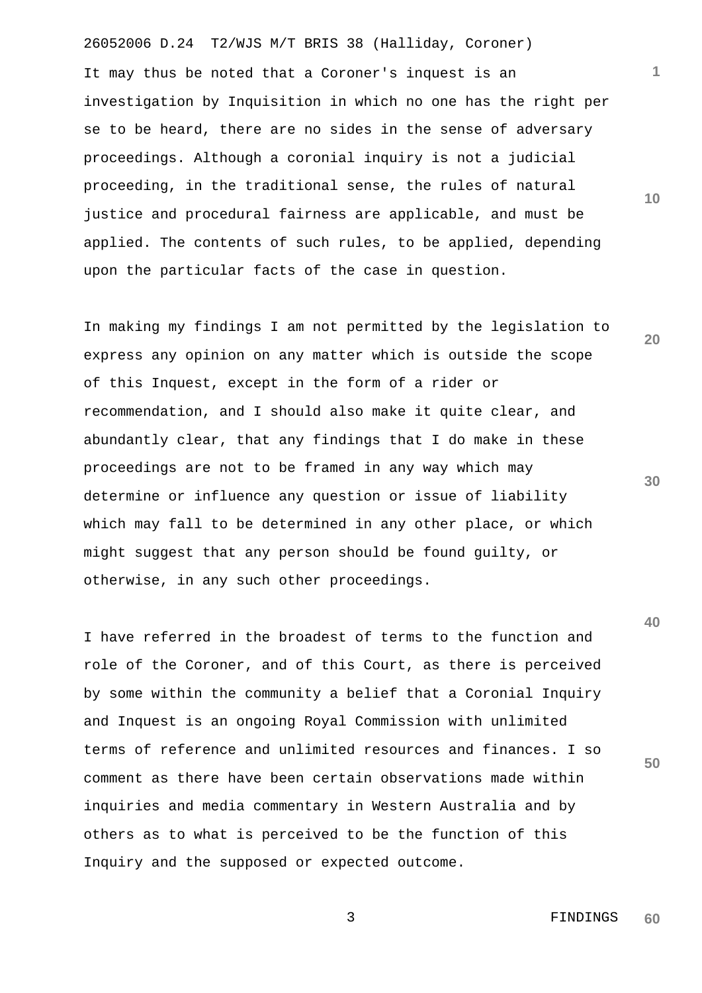26052006 D.24 T2/WJS M/T BRIS 38 (Halliday, Coroner) It may thus be noted that a Coroner's inquest is an investigation by Inquisition in which no one has the right per se to be heard, there are no sides in the sense of adversary proceedings. Although a coronial inquiry is not a judicial proceeding, in the traditional sense, the rules of natural justice and procedural fairness are applicable, and must be applied. The contents of such rules, to be applied, depending upon the particular facts of the case in question.

In making my findings I am not permitted by the legislation to express any opinion on any matter which is outside the scope of this Inquest, except in the form of a rider or recommendation, and I should also make it quite clear, and abundantly clear, that any findings that I do make in these proceedings are not to be framed in any way which may determine or influence any question or issue of liability which may fall to be determined in any other place, or which might suggest that any person should be found guilty, or otherwise, in any such other proceedings.

I have referred in the broadest of terms to the function and role of the Coroner, and of this Court, as there is perceived by some within the community a belief that a Coronial Inquiry and Inquest is an ongoing Royal Commission with unlimited terms of reference and unlimited resources and finances. I so comment as there have been certain observations made within inquiries and media commentary in Western Australia and by others as to what is perceived to be the function of this Inquiry and the supposed or expected outcome.

**30**

**40**

**50**

**20**

**1**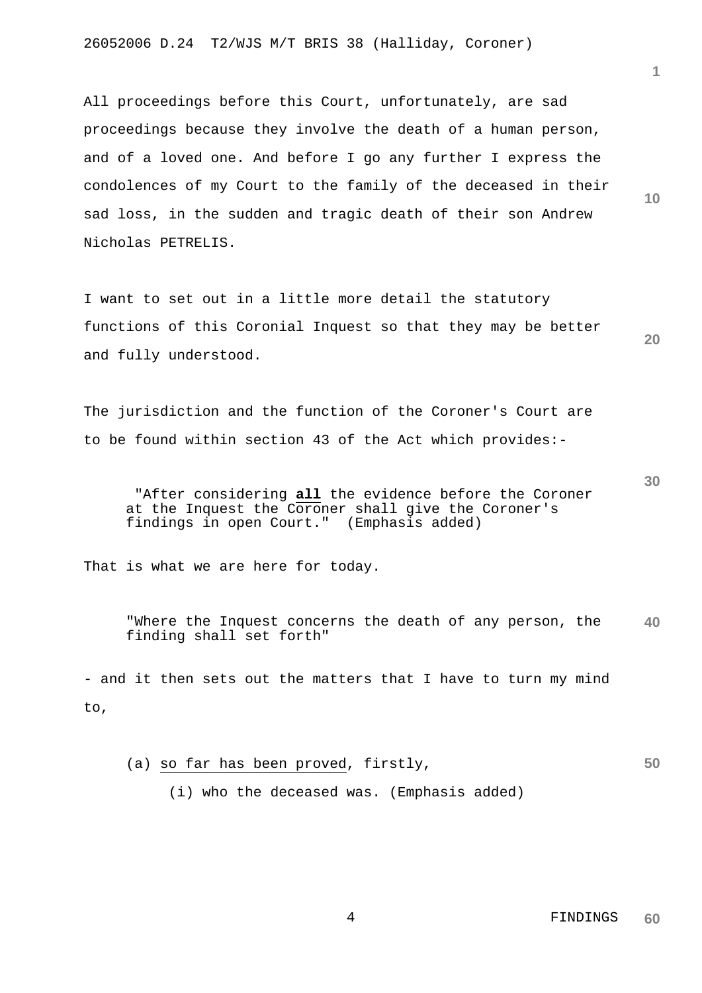All proceedings before this Court, unfortunately, are sad proceedings because they involve the death of a human person, and of a loved one. And before I go any further I express the condolences of my Court to the family of the deceased in their sad loss, in the sudden and tragic death of their son Andrew Nicholas PETRELIS.

I want to set out in a little more detail the statutory functions of this Coronial Inquest so that they may be better and fully understood.

The jurisdiction and the function of the Coroner's Court are to be found within section 43 of the Act which provides:-

 "After considering **all** the evidence before the Coroner at the Inquest the Coroner shall give the Coroner's findings in open Court." (Emphasis added)

That is what we are here for today.

**40** "Where the Inquest concerns the death of any person, the finding shall set forth"

- and it then sets out the matters that I have to turn my mind to,

**50** (a) so far has been proved, firstly, (i) who the deceased was. (Emphasis added)

> 4 FINDINGS **60**

**20**

**30**

**10**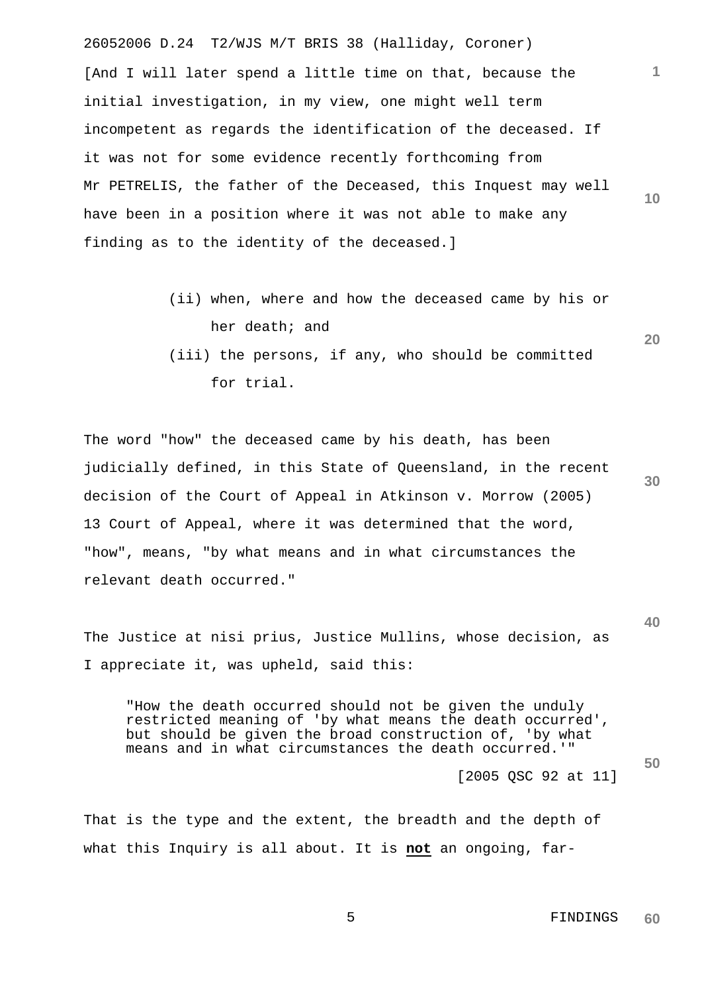26052006 D.24 T2/WJS M/T BRIS 38 (Halliday, Coroner) **10** [And I will later spend a little time on that, because the initial investigation, in my view, one might well term incompetent as regards the identification of the deceased. If it was not for some evidence recently forthcoming from Mr PETRELIS, the father of the Deceased, this Inquest may well have been in a position where it was not able to make any finding as to the identity of the deceased.]

- (ii) when, where and how the deceased came by his or her death; and
- (iii) the persons, if any, who should be committed for trial.

**30** The word "how" the deceased came by his death, has been judicially defined, in this State of Queensland, in the recent decision of the Court of Appeal in Atkinson v. Morrow (2005) 13 Court of Appeal, where it was determined that the word, "how", means, "by what means and in what circumstances the relevant death occurred."

The Justice at nisi prius, Justice Mullins, whose decision, as I appreciate it, was upheld, said this:

"How the death occurred should not be given the unduly restricted meaning of 'by what means the death occurred', but should be given the broad construction of, 'by what means and in what circumstances the death occurred.'"

[2005 QSC 92 at 11]

That is the type and the extent, the breadth and the depth of what this Inquiry is all about. It is **not** an ongoing, far-

> 5 FINDINGS **60**

**1**

**20**

**40**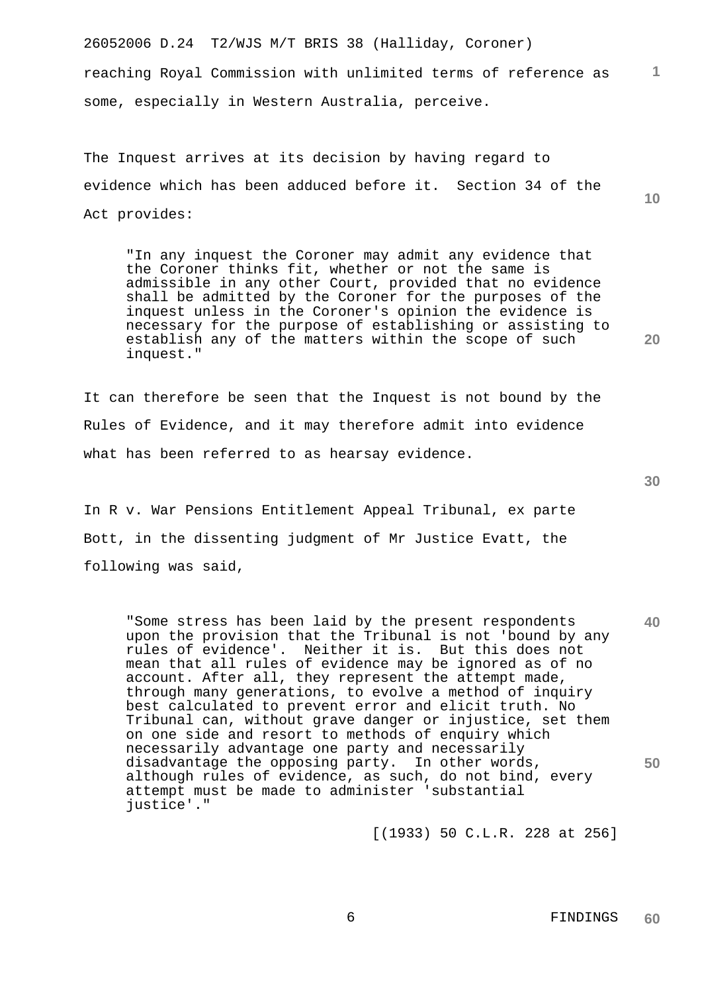26052006 D.24 T2/WJS M/T BRIS 38 (Halliday, Coroner) reaching Royal Commission with unlimited terms of reference as some, especially in Western Australia, perceive.

The Inquest arrives at its decision by having regard to evidence which has been adduced before it. Section 34 of the Act provides:

"In any inquest the Coroner may admit any evidence that the Coroner thinks fit, whether or not the same is admissible in any other Court, provided that no evidence shall be admitted by the Coroner for the purposes of the inquest unless in the Coroner's opinion the evidence is necessary for the purpose of establishing or assisting to establish any of the matters within the scope of such inquest."

It can therefore be seen that the Inquest is not bound by the Rules of Evidence, and it may therefore admit into evidence what has been referred to as hearsay evidence.

In R v. War Pensions Entitlement Appeal Tribunal, ex parte Bott, in the dissenting judgment of Mr Justice Evatt, the following was said,

**40 50** "Some stress has been laid by the present respondents upon the provision that the Tribunal is not 'bound by any rules of evidence'. Neither it is. But this does not mean that all rules of evidence may be ignored as of no account. After all, they represent the attempt made, through many generations, to evolve a method of inquiry best calculated to prevent error and elicit truth. No Tribunal can, without grave danger or injustice, set them on one side and resort to methods of enquiry which necessarily advantage one party and necessarily disadvantage the opposing party. In other words, although rules of evidence, as such, do not bind, every attempt must be made to administer 'substantial justice'."

[(1933) 50 C.L.R. 228 at 256]

**30**

**1**

**10**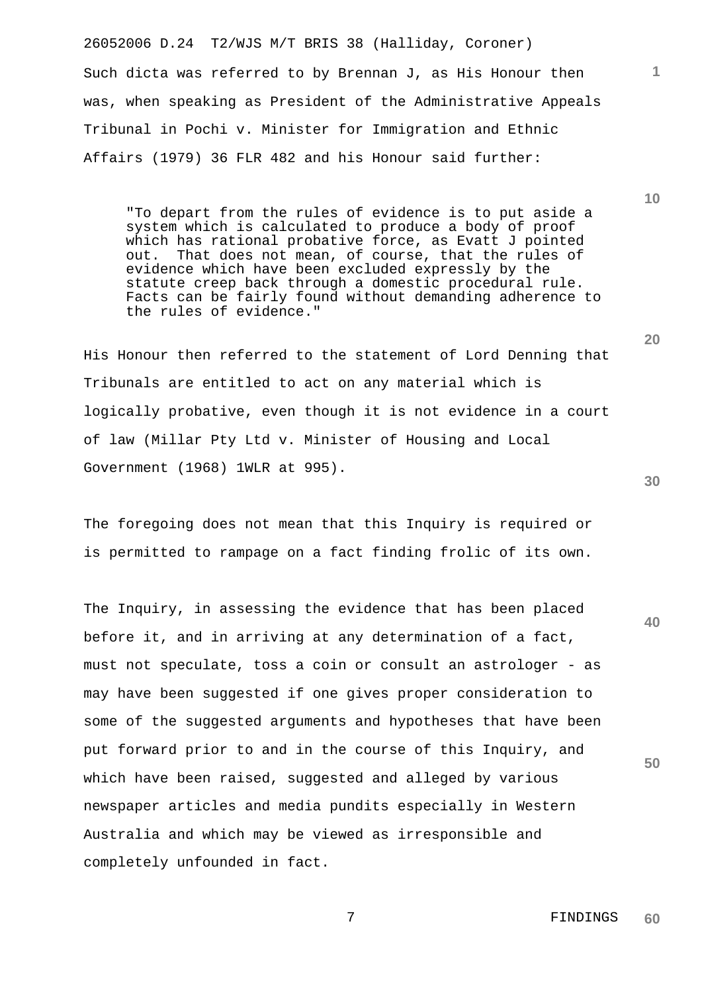26052006 D.24 T2/WJS M/T BRIS 38 (Halliday, Coroner) Such dicta was referred to by Brennan J, as His Honour then was, when speaking as President of the Administrative Appeals Tribunal in Pochi v. Minister for Immigration and Ethnic Affairs (1979) 36 FLR 482 and his Honour said further:

"To depart from the rules of evidence is to put aside a system which is calculated to produce a body of proof which has rational probative force, as Evatt J pointed out. That does not mean, of course, that the rules of evidence which have been excluded expressly by the statute creep back through a domestic procedural rule. Facts can be fairly found without demanding adherence to the rules of evidence."

His Honour then referred to the statement of Lord Denning that Tribunals are entitled to act on any material which is logically probative, even though it is not evidence in a court of law (Millar Pty Ltd v. Minister of Housing and Local Government (1968) 1WLR at 995).

The foregoing does not mean that this Inquiry is required or is permitted to rampage on a fact finding frolic of its own.

**40 50** The Inquiry, in assessing the evidence that has been placed before it, and in arriving at any determination of a fact, must not speculate, toss a coin or consult an astrologer - as may have been suggested if one gives proper consideration to some of the suggested arguments and hypotheses that have been put forward prior to and in the course of this Inquiry, and which have been raised, suggested and alleged by various newspaper articles and media pundits especially in Western Australia and which may be viewed as irresponsible and completely unfounded in fact.

**30**

**20**

**10**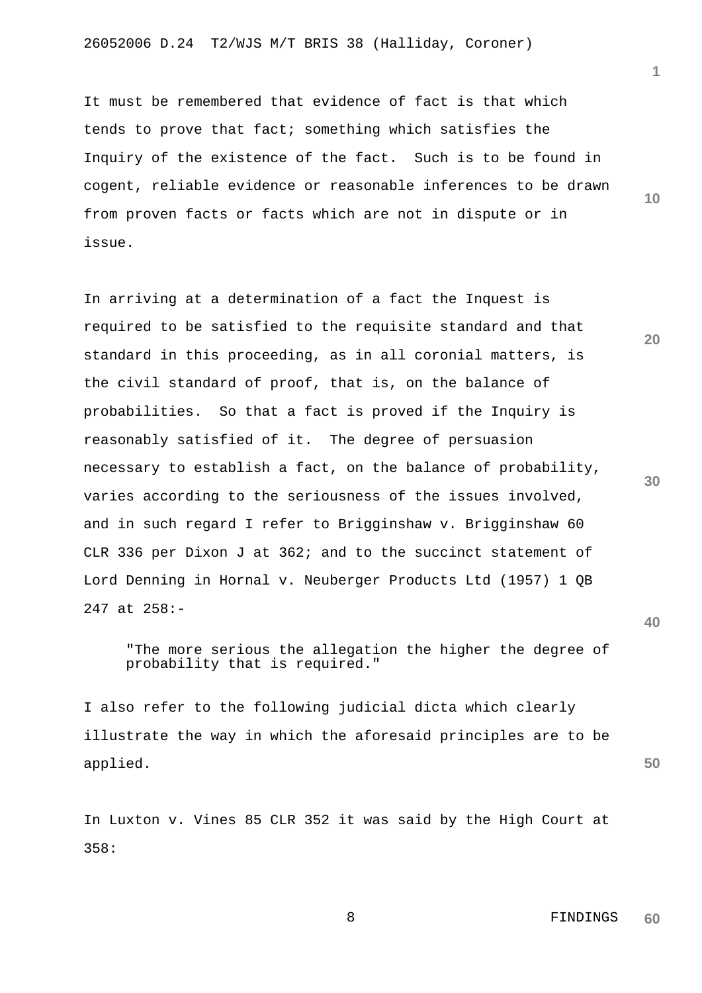It must be remembered that evidence of fact is that which tends to prove that fact; something which satisfies the Inquiry of the existence of the fact. Such is to be found in cogent, reliable evidence or reasonable inferences to be drawn from proven facts or facts which are not in dispute or in issue.

In arriving at a determination of a fact the Inquest is required to be satisfied to the requisite standard and that standard in this proceeding, as in all coronial matters, is the civil standard of proof, that is, on the balance of probabilities. So that a fact is proved if the Inquiry is reasonably satisfied of it. The degree of persuasion necessary to establish a fact, on the balance of probability, varies according to the seriousness of the issues involved, and in such regard I refer to Brigginshaw v. Brigginshaw 60 CLR 336 per Dixon J at 362; and to the succinct statement of Lord Denning in Hornal v. Neuberger Products Ltd (1957) 1 QB 247 at 258:-

"The more serious the allegation the higher the degree of probability that is required."

I also refer to the following judicial dicta which clearly illustrate the way in which the aforesaid principles are to be applied.

In Luxton v. Vines 85 CLR 352 it was said by the High Court at 358:

**10**

**1**

**20**

**30**

**40**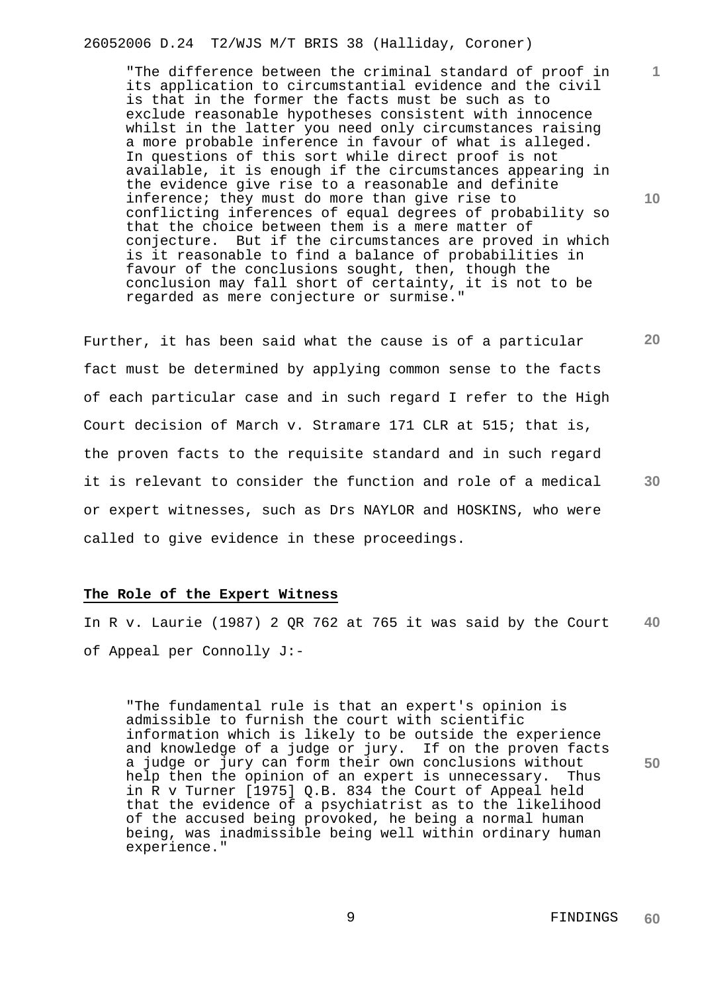26052006 D.24 T2/WJS M/T BRIS 38 (Halliday, Coroner)

"The difference between the criminal standard of proof in its application to circumstantial evidence and the civil is that in the former the facts must be such as to exclude reasonable hypotheses consistent with innocence whilst in the latter you need only circumstances raising a more probable inference in favour of what is alleged. In questions of this sort while direct proof is not available, it is enough if the circumstances appearing in the evidence give rise to a reasonable and definite inference; they must do more than give rise to conflicting inferences of equal degrees of probability so that the choice between them is a mere matter of conjecture. But if the circumstances are proved in which is it reasonable to find a balance of probabilities in favour of the conclusions sought, then, though the conclusion may fall short of certainty, it is not to be regarded as mere conjecture or surmise."

Further, it has been said what the cause is of a particular fact must be determined by applying common sense to the facts of each particular case and in such regard I refer to the High Court decision of March v. Stramare 171 CLR at 515; that is, the proven facts to the requisite standard and in such regard it is relevant to consider the function and role of a medical or expert witnesses, such as Drs NAYLOR and HOSKINS, who were called to give evidence in these proceedings.

#### **The Role of the Expert Witness**

**40** In R v. Laurie (1987) 2 QR 762 at 765 it was said by the Court of Appeal per Connolly J:-

"The fundamental rule is that an expert's opinion is admissible to furnish the court with scientific information which is likely to be outside the experience and knowledge of a judge or jury. If on the proven facts a judge or jury can form their own conclusions without help then the opinion of an expert is unnecessary. Thus in R v Turner [1975] Q.B. 834 the Court of Appeal held that the evidence of a psychiatrist as to the likelihood of the accused being provoked, he being a normal human being, was inadmissible being well within ordinary human experience."

**10**

**1**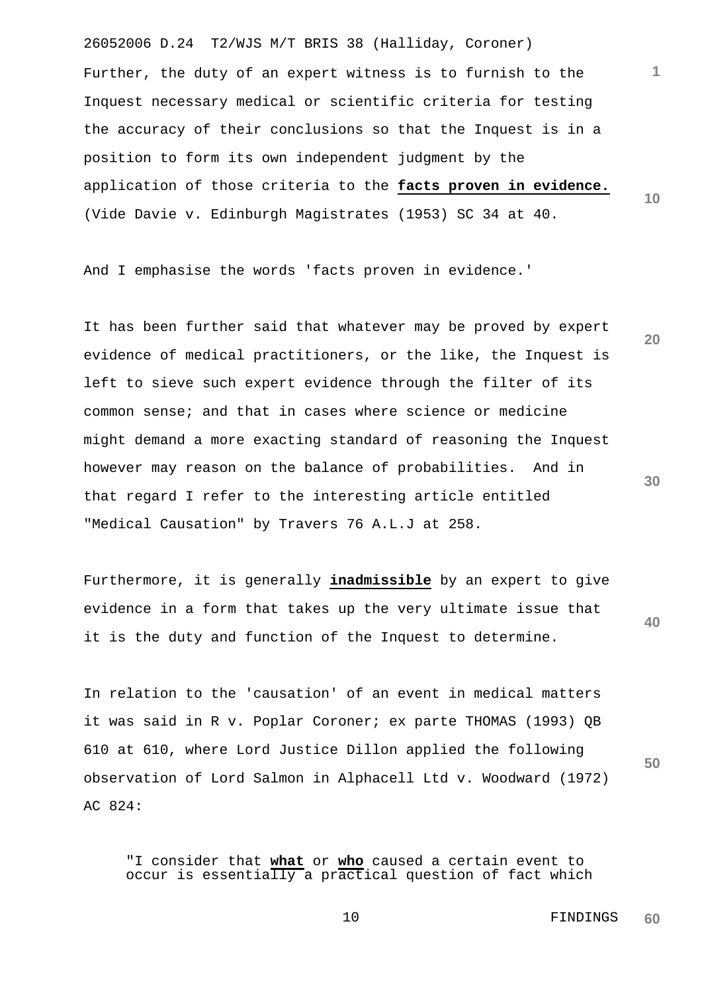26052006 D.24 T2/WJS M/T BRIS 38 (Halliday, Coroner) **1 10** Further, the duty of an expert witness is to furnish to the Inquest necessary medical or scientific criteria for testing the accuracy of their conclusions so that the Inquest is in a position to form its own independent judgment by the application of those criteria to the **facts proven in evidence.** (Vide Davie v. Edinburgh Magistrates (1953) SC 34 at 40.

And I emphasise the words 'facts proven in evidence.'

**20 30** It has been further said that whatever may be proved by expert evidence of medical practitioners, or the like, the Inquest is left to sieve such expert evidence through the filter of its common sense; and that in cases where science or medicine might demand a more exacting standard of reasoning the Inquest however may reason on the balance of probabilities. And in that regard I refer to the interesting article entitled "Medical Causation" by Travers 76 A.L.J at 258.

Furthermore, it is generally **inadmissible** by an expert to give evidence in a form that takes up the very ultimate issue that it is the duty and function of the Inquest to determine.

In relation to the 'causation' of an event in medical matters it was said in R v. Poplar Coroner; ex parte THOMAS (1993) QB 610 at 610, where Lord Justice Dillon applied the following observation of Lord Salmon in Alphacell Ltd v. Woodward (1972) AC 824:

"I consider that **what** or **who** caused a certain event to occur is essentially a practical question of fact which

> 10 FINDINGS **60**

**40**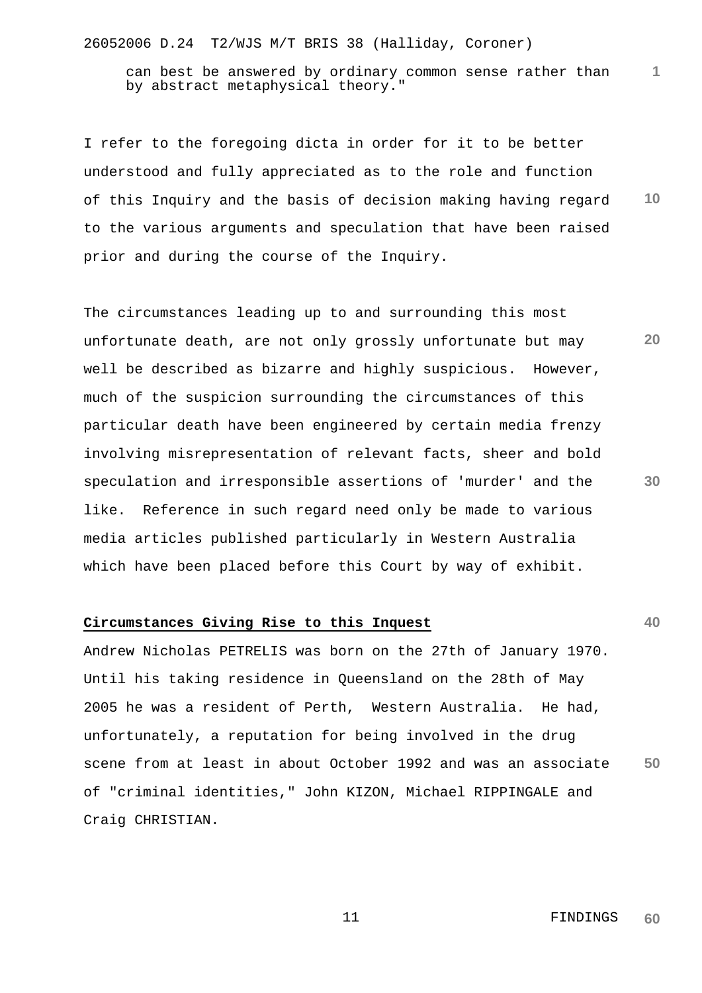26052006 D.24 T2/WJS M/T BRIS 38 (Halliday, Coroner)

can best be answered by ordinary common sense rather than by abstract metaphysical theory."

**10** I refer to the foregoing dicta in order for it to be better understood and fully appreciated as to the role and function of this Inquiry and the basis of decision making having regard to the various arguments and speculation that have been raised prior and during the course of the Inquiry.

The circumstances leading up to and surrounding this most unfortunate death, are not only grossly unfortunate but may well be described as bizarre and highly suspicious. However, much of the suspicion surrounding the circumstances of this particular death have been engineered by certain media frenzy involving misrepresentation of relevant facts, sheer and bold speculation and irresponsible assertions of 'murder' and the like. Reference in such regard need only be made to various media articles published particularly in Western Australia which have been placed before this Court by way of exhibit.

### **Circumstances Giving Rise to this Inquest**

**50** Andrew Nicholas PETRELIS was born on the 27th of January 1970. Until his taking residence in Queensland on the 28th of May 2005 he was a resident of Perth, Western Australia. He had, unfortunately, a reputation for being involved in the drug scene from at least in about October 1992 and was an associate of "criminal identities," John KIZON, Michael RIPPINGALE and Craig CHRISTIAN.

**40**

**30**

**20**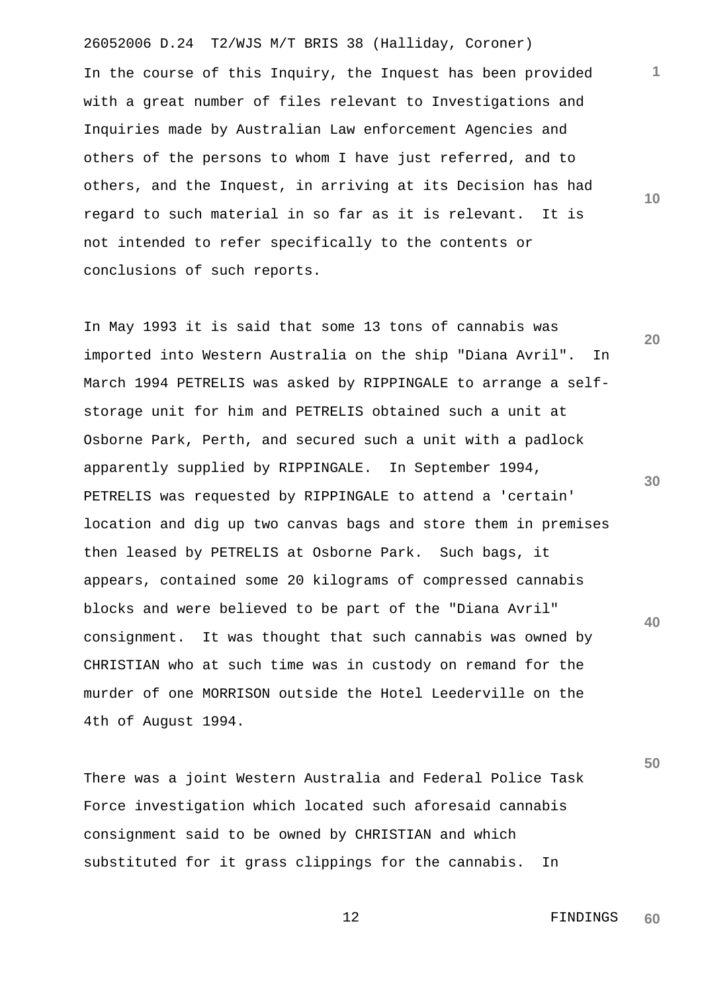26052006 D.24 T2/WJS M/T BRIS 38 (Halliday, Coroner) In the course of this Inquiry, the Inquest has been provided with a great number of files relevant to Investigations and Inquiries made by Australian Law enforcement Agencies and others of the persons to whom I have just referred, and to others, and the Inquest, in arriving at its Decision has had regard to such material in so far as it is relevant. It is not intended to refer specifically to the contents or conclusions of such reports.

**20** In May 1993 it is said that some 13 tons of cannabis was imported into Western Australia on the ship "Diana Avril". In March 1994 PETRELIS was asked by RIPPINGALE to arrange a selfstorage unit for him and PETRELIS obtained such a unit at Osborne Park, Perth, and secured such a unit with a padlock apparently supplied by RIPPINGALE. In September 1994, PETRELIS was requested by RIPPINGALE to attend a 'certain' location and dig up two canvas bags and store them in premises then leased by PETRELIS at Osborne Park. Such bags, it appears, contained some 20 kilograms of compressed cannabis blocks and were believed to be part of the "Diana Avril" consignment. It was thought that such cannabis was owned by CHRISTIAN who at such time was in custody on remand for the murder of one MORRISON outside the Hotel Leederville on the 4th of August 1994.

There was a joint Western Australia and Federal Police Task Force investigation which located such aforesaid cannabis consignment said to be owned by CHRISTIAN and which substituted for it grass clippings for the cannabis. In

**1**

**10**

**30**

**40**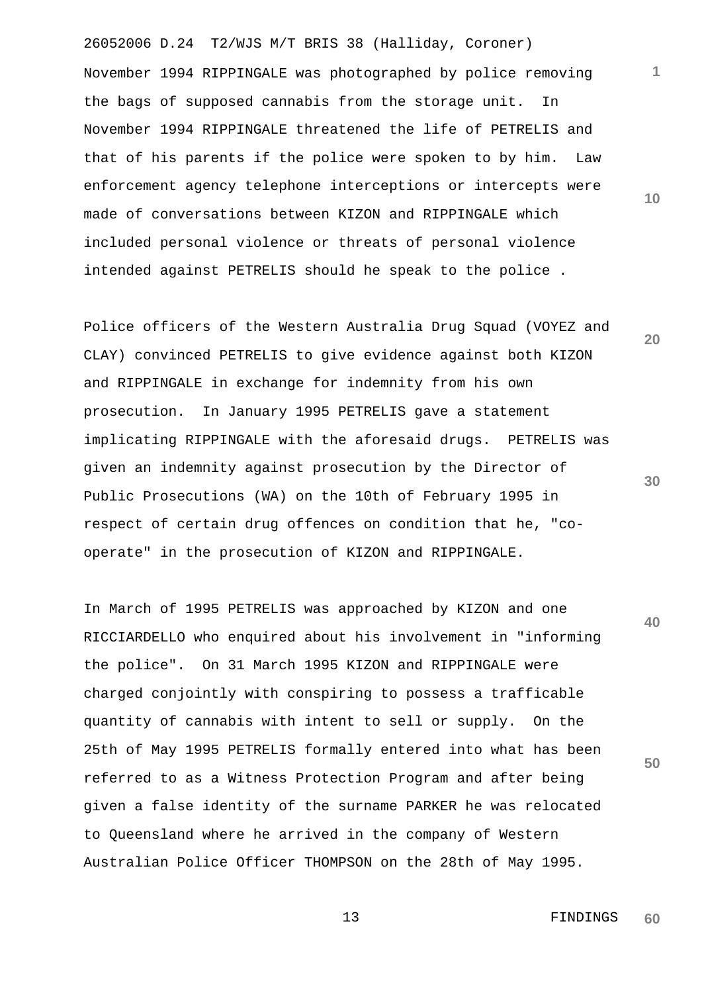26052006 D.24 T2/WJS M/T BRIS 38 (Halliday, Coroner) November 1994 RIPPINGALE was photographed by police removing the bags of supposed cannabis from the storage unit. In November 1994 RIPPINGALE threatened the life of PETRELIS and that of his parents if the police were spoken to by him. Law enforcement agency telephone interceptions or intercepts were made of conversations between KIZON and RIPPINGALE which included personal violence or threats of personal violence intended against PETRELIS should he speak to the police .

Police officers of the Western Australia Drug Squad (VOYEZ and CLAY) convinced PETRELIS to give evidence against both KIZON and RIPPINGALE in exchange for indemnity from his own prosecution. In January 1995 PETRELIS gave a statement implicating RIPPINGALE with the aforesaid drugs. PETRELIS was given an indemnity against prosecution by the Director of Public Prosecutions (WA) on the 10th of February 1995 in respect of certain drug offences on condition that he, "cooperate" in the prosecution of KIZON and RIPPINGALE.

**50** In March of 1995 PETRELIS was approached by KIZON and one RICCIARDELLO who enquired about his involvement in "informing the police". On 31 March 1995 KIZON and RIPPINGALE were charged conjointly with conspiring to possess a trafficable quantity of cannabis with intent to sell or supply. On the 25th of May 1995 PETRELIS formally entered into what has been referred to as a Witness Protection Program and after being given a false identity of the surname PARKER he was relocated to Queensland where he arrived in the company of Western Australian Police Officer THOMPSON on the 28th of May 1995.

**10**

**1**

**30**

**20**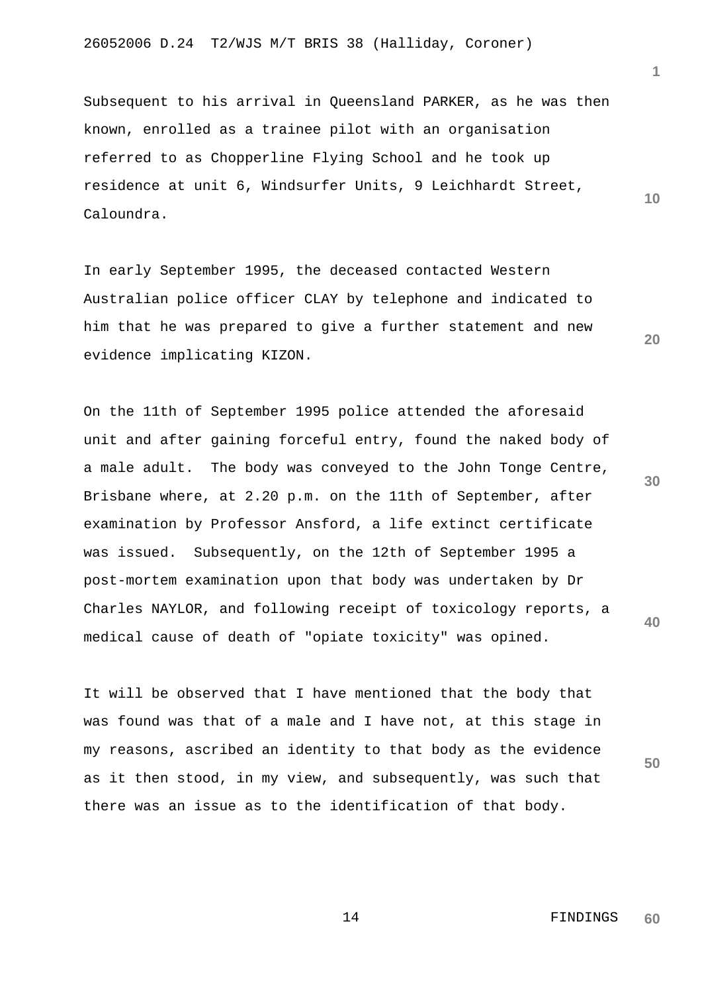Subsequent to his arrival in Queensland PARKER, as he was then known, enrolled as a trainee pilot with an organisation referred to as Chopperline Flying School and he took up residence at unit 6, Windsurfer Units, 9 Leichhardt Street, Caloundra.

In early September 1995, the deceased contacted Western Australian police officer CLAY by telephone and indicated to him that he was prepared to give a further statement and new evidence implicating KIZON.

On the 11th of September 1995 police attended the aforesaid unit and after gaining forceful entry, found the naked body of a male adult. The body was conveyed to the John Tonge Centre, Brisbane where, at 2.20 p.m. on the 11th of September, after examination by Professor Ansford, a life extinct certificate was issued. Subsequently, on the 12th of September 1995 a post-mortem examination upon that body was undertaken by Dr Charles NAYLOR, and following receipt of toxicology reports, a medical cause of death of "opiate toxicity" was opined.

It will be observed that I have mentioned that the body that was found was that of a male and I have not, at this stage in my reasons, ascribed an identity to that body as the evidence as it then stood, in my view, and subsequently, was such that there was an issue as to the identification of that body.

**10**

**1**

**20**

**30**

**40**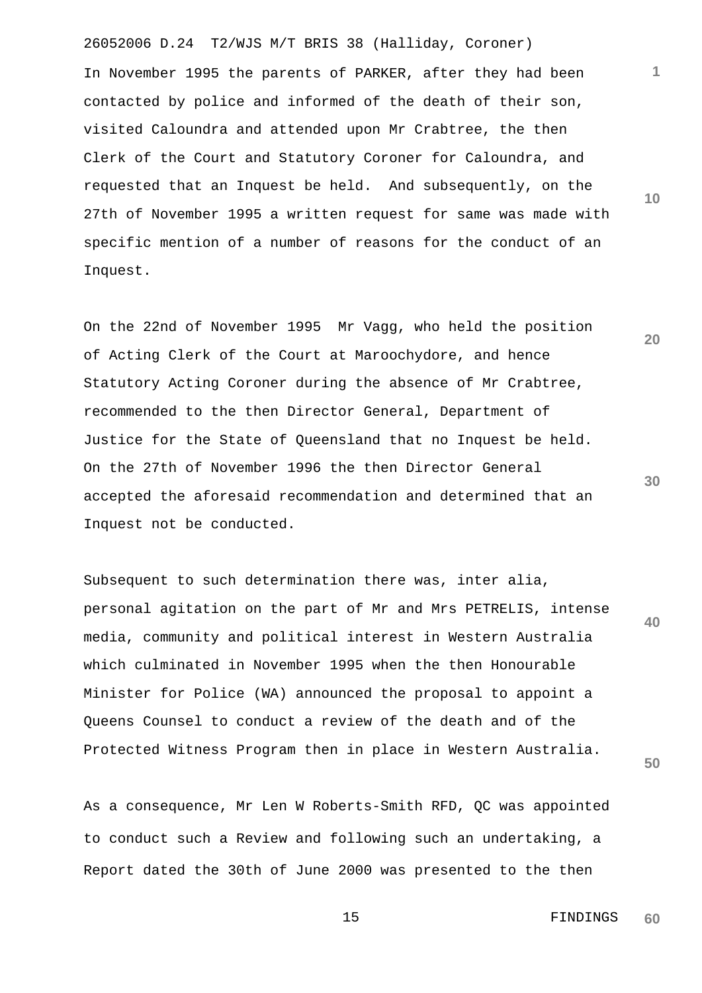26052006 D.24 T2/WJS M/T BRIS 38 (Halliday, Coroner) In November 1995 the parents of PARKER, after they had been contacted by police and informed of the death of their son, visited Caloundra and attended upon Mr Crabtree, the then Clerk of the Court and Statutory Coroner for Caloundra, and requested that an Inquest be held. And subsequently, on the 27th of November 1995 a written request for same was made with specific mention of a number of reasons for the conduct of an Inquest.

On the 22nd of November 1995 Mr Vagg, who held the position of Acting Clerk of the Court at Maroochydore, and hence Statutory Acting Coroner during the absence of Mr Crabtree, recommended to the then Director General, Department of Justice for the State of Queensland that no Inquest be held. On the 27th of November 1996 the then Director General accepted the aforesaid recommendation and determined that an Inquest not be conducted.

**40** Subsequent to such determination there was, inter alia, personal agitation on the part of Mr and Mrs PETRELIS, intense media, community and political interest in Western Australia which culminated in November 1995 when the then Honourable Minister for Police (WA) announced the proposal to appoint a Queens Counsel to conduct a review of the death and of the Protected Witness Program then in place in Western Australia.

As a consequence, Mr Len W Roberts-Smith RFD, QC was appointed to conduct such a Review and following such an undertaking, a Report dated the 30th of June 2000 was presented to the then

> 15 FINDINGS **60**

**10**

**1**

**20**

**30**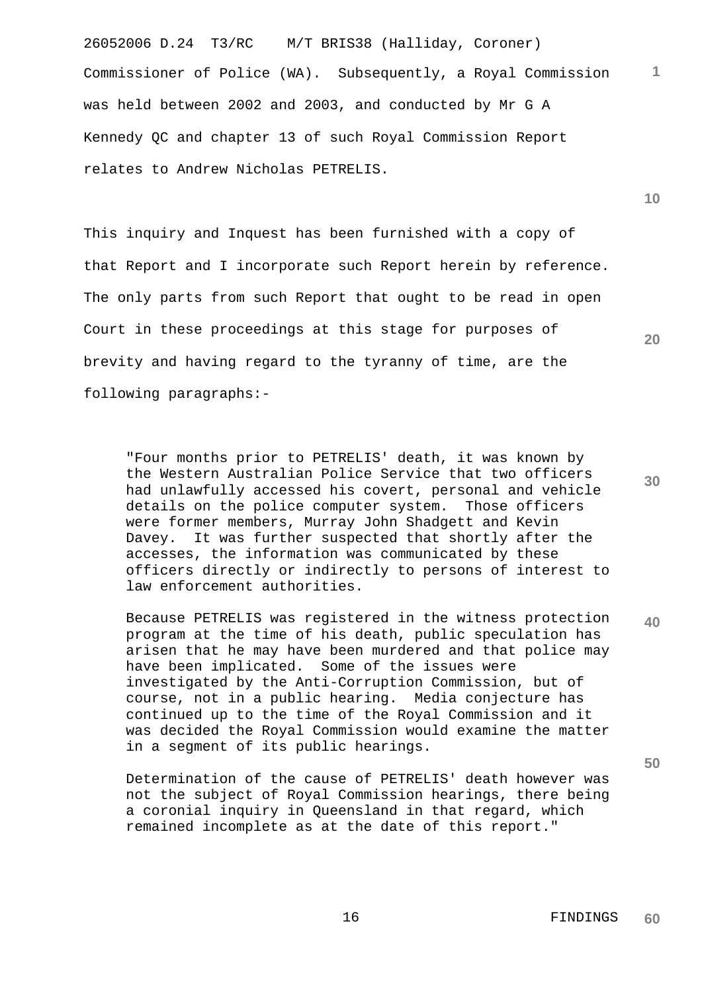26052006 D.24 T3/RC M/T BRIS38 (Halliday, Coroner) **1** Commissioner of Police (WA). Subsequently, a Royal Commission was held between 2002 and 2003, and conducted by Mr G A Kennedy QC and chapter 13 of such Royal Commission Report relates to Andrew Nicholas PETRELIS.

This inquiry and Inquest has been furnished with a copy of that Report and I incorporate such Report herein by reference. The only parts from such Report that ought to be read in open Court in these proceedings at this stage for purposes of brevity and having regard to the tyranny of time, are the following paragraphs:-

"Four months prior to PETRELIS' death, it was known by the Western Australian Police Service that two officers had unlawfully accessed his covert, personal and vehicle details on the police computer system. Those officers were former members, Murray John Shadgett and Kevin Davey. It was further suspected that shortly after the accesses, the information was communicated by these officers directly or indirectly to persons of interest to law enforcement authorities.

**40** Because PETRELIS was registered in the witness protection program at the time of his death, public speculation has arisen that he may have been murdered and that police may have been implicated. Some of the issues were investigated by the Anti-Corruption Commission, but of course, not in a public hearing. Media conjecture has continued up to the time of the Royal Commission and it was decided the Royal Commission would examine the matter in a segment of its public hearings.

Determination of the cause of PETRELIS' death however was not the subject of Royal Commission hearings, there being a coronial inquiry in Queensland in that regard, which remained incomplete as at the date of this report."

**30**

**20**

**10**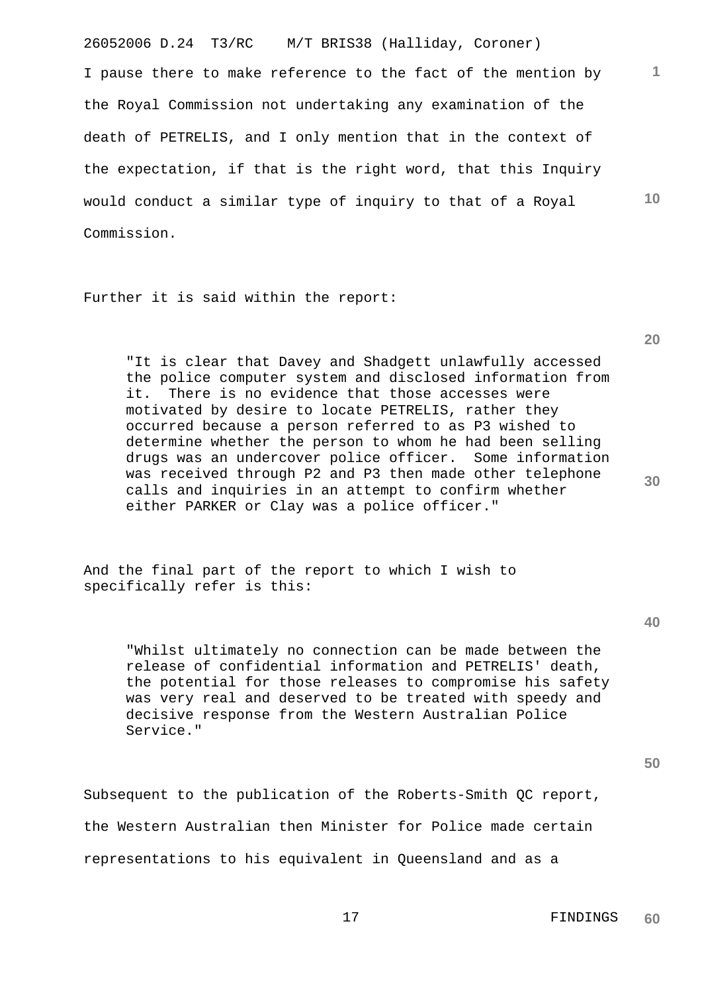26052006 D.24 T3/RC M/T BRIS38 (Halliday, Coroner) I pause there to make reference to the fact of the mention by the Royal Commission not undertaking any examination of the death of PETRELIS, and I only mention that in the context of the expectation, if that is the right word, that this Inquiry would conduct a similar type of inquiry to that of a Royal Commission.

Further it is said within the report:

"It is clear that Davey and Shadgett unlawfully accessed the police computer system and disclosed information from it. There is no evidence that those accesses were motivated by desire to locate PETRELIS, rather they occurred because a person referred to as P3 wished to determine whether the person to whom he had been selling drugs was an undercover police officer. Some information was received through P2 and P3 then made other telephone calls and inquiries in an attempt to confirm whether either PARKER or Clay was a police officer."

And the final part of the report to which I wish to specifically refer is this:

"Whilst ultimately no connection can be made between the release of confidential information and PETRELIS' death, the potential for those releases to compromise his safety was very real and deserved to be treated with speedy and decisive response from the Western Australian Police Service."

**50**

Subsequent to the publication of the Roberts-Smith QC report, the Western Australian then Minister for Police made certain representations to his equivalent in Queensland and as a

**20**

**1**

**10**

**40**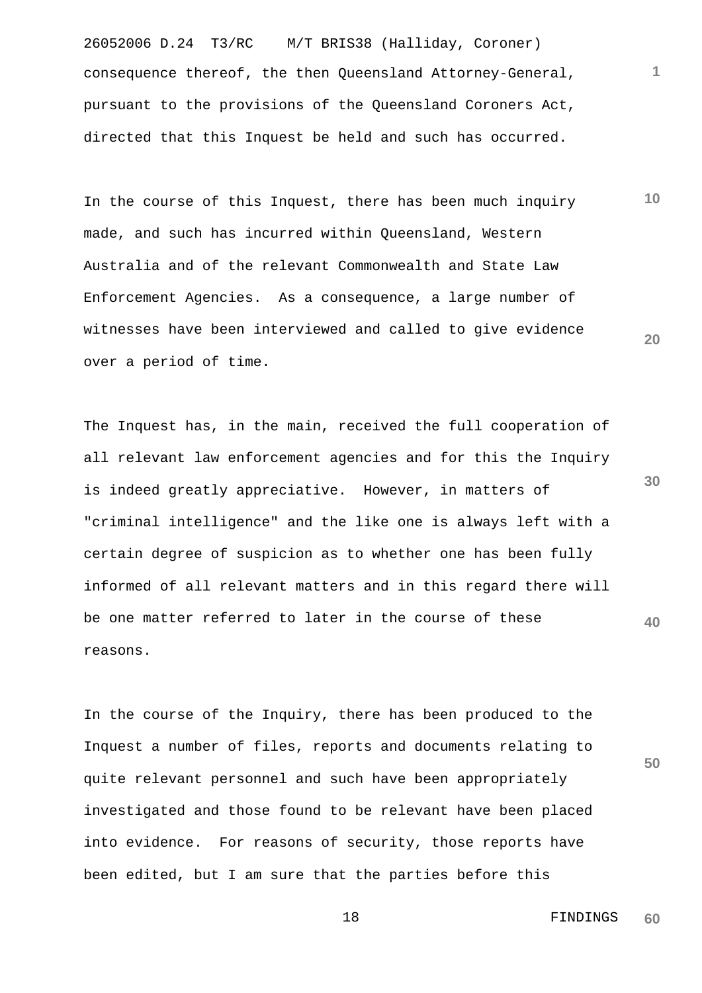26052006 D.24 T3/RC M/T BRIS38 (Halliday, Coroner) consequence thereof, the then Queensland Attorney-General, pursuant to the provisions of the Queensland Coroners Act, directed that this Inquest be held and such has occurred.

**10 20** In the course of this Inquest, there has been much inquiry made, and such has incurred within Queensland, Western Australia and of the relevant Commonwealth and State Law Enforcement Agencies. As a consequence, a large number of witnesses have been interviewed and called to give evidence over a period of time.

**40** The Inquest has, in the main, received the full cooperation of all relevant law enforcement agencies and for this the Inquiry is indeed greatly appreciative. However, in matters of "criminal intelligence" and the like one is always left with a certain degree of suspicion as to whether one has been fully informed of all relevant matters and in this regard there will be one matter referred to later in the course of these reasons.

In the course of the Inquiry, there has been produced to the Inquest a number of files, reports and documents relating to quite relevant personnel and such have been appropriately investigated and those found to be relevant have been placed into evidence. For reasons of security, those reports have been edited, but I am sure that the parties before this

**30**

**1**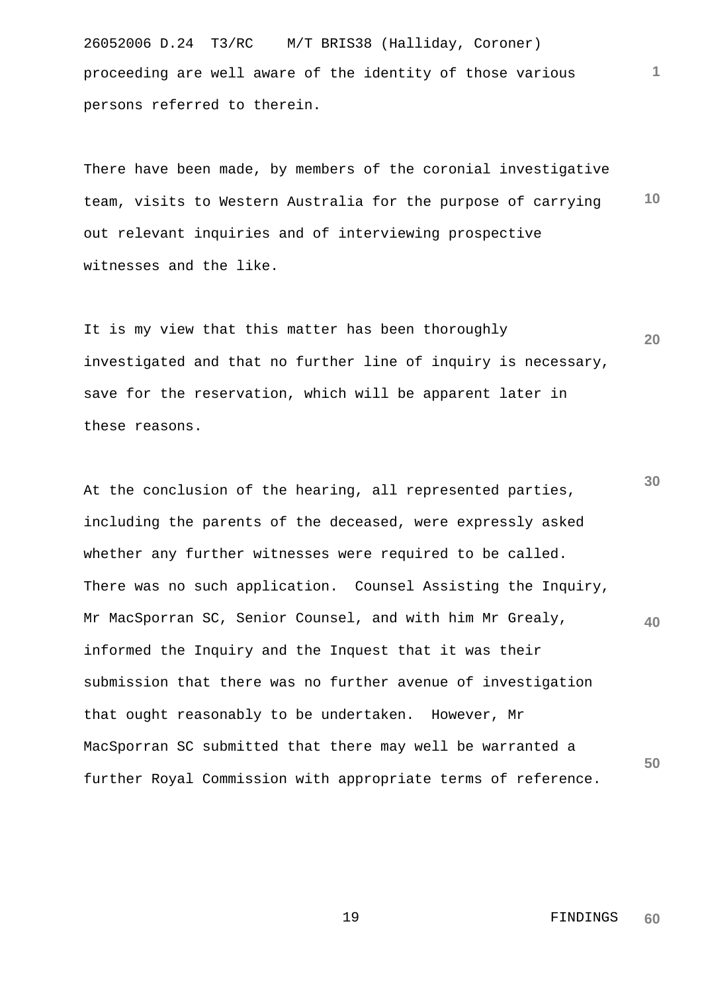26052006 D.24 T3/RC M/T BRIS38 (Halliday, Coroner) proceeding are well aware of the identity of those various persons referred to therein.

**10** There have been made, by members of the coronial investigative team, visits to Western Australia for the purpose of carrying out relevant inquiries and of interviewing prospective witnesses and the like.

**20** It is my view that this matter has been thoroughly investigated and that no further line of inquiry is necessary, save for the reservation, which will be apparent later in these reasons.

**30 40 50** At the conclusion of the hearing, all represented parties, including the parents of the deceased, were expressly asked whether any further witnesses were required to be called. There was no such application. Counsel Assisting the Inquiry, Mr MacSporran SC, Senior Counsel, and with him Mr Grealy, informed the Inquiry and the Inquest that it was their submission that there was no further avenue of investigation that ought reasonably to be undertaken. However, Mr MacSporran SC submitted that there may well be warranted a further Royal Commission with appropriate terms of reference.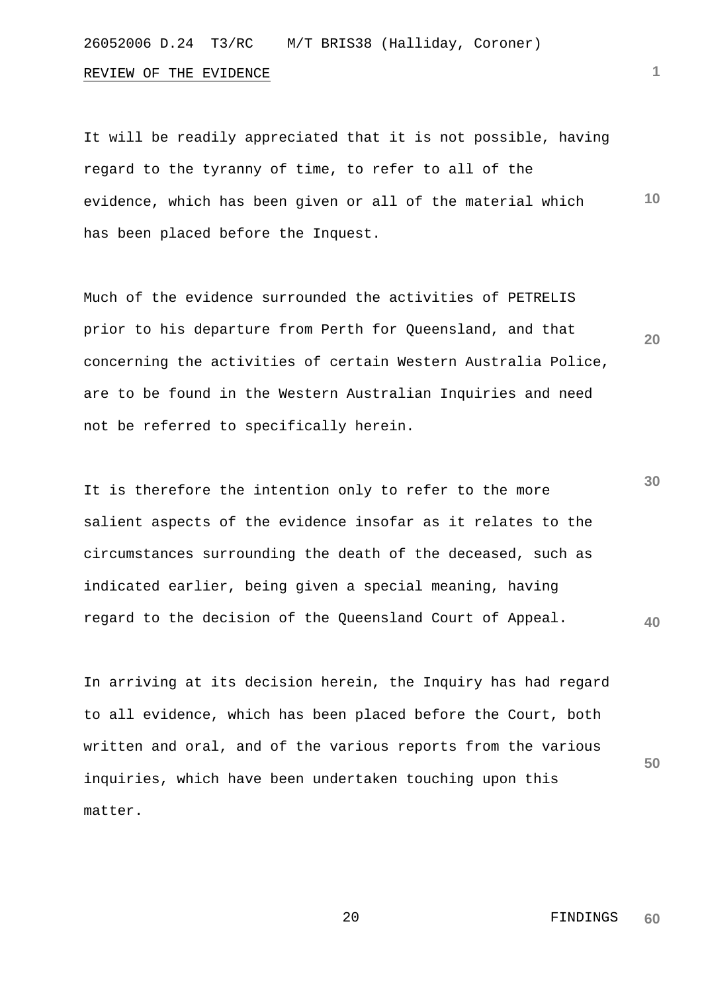# 26052006 D.24 T3/RC M/T BRIS38 (Halliday, Coroner)

#### REVIEW OF THE EVIDENCE

**10** It will be readily appreciated that it is not possible, having regard to the tyranny of time, to refer to all of the evidence, which has been given or all of the material which has been placed before the Inquest.

Much of the evidence surrounded the activities of PETRELIS prior to his departure from Perth for Queensland, and that concerning the activities of certain Western Australia Police, are to be found in the Western Australian Inquiries and need not be referred to specifically herein.

**30 40** It is therefore the intention only to refer to the more salient aspects of the evidence insofar as it relates to the circumstances surrounding the death of the deceased, such as indicated earlier, being given a special meaning, having regard to the decision of the Queensland Court of Appeal.

In arriving at its decision herein, the Inquiry has had regard to all evidence, which has been placed before the Court, both written and oral, and of the various reports from the various inquiries, which have been undertaken touching upon this matter.

> 20 FINDINGS **60**

**50**

**1**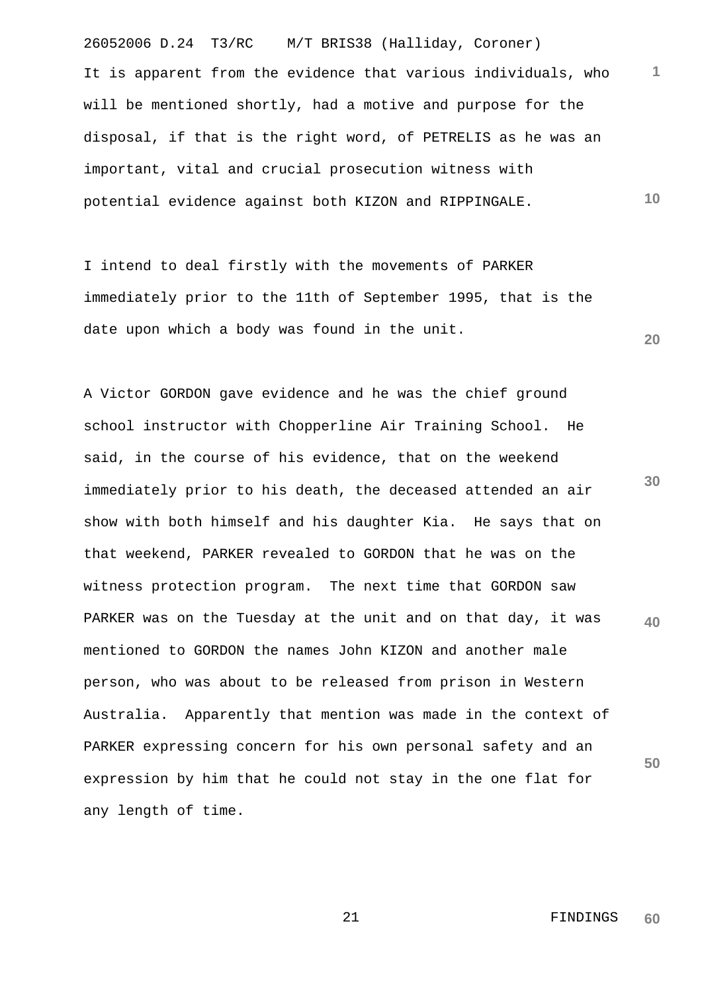26052006 D.24 T3/RC M/T BRIS38 (Halliday, Coroner) **1 10** It is apparent from the evidence that various individuals, who will be mentioned shortly, had a motive and purpose for the disposal, if that is the right word, of PETRELIS as he was an important, vital and crucial prosecution witness with potential evidence against both KIZON and RIPPINGALE.

I intend to deal firstly with the movements of PARKER immediately prior to the 11th of September 1995, that is the date upon which a body was found in the unit.

**30 40 50** A Victor GORDON gave evidence and he was the chief ground school instructor with Chopperline Air Training School. He said, in the course of his evidence, that on the weekend immediately prior to his death, the deceased attended an air show with both himself and his daughter Kia. He says that on that weekend, PARKER revealed to GORDON that he was on the witness protection program. The next time that GORDON saw PARKER was on the Tuesday at the unit and on that day, it was mentioned to GORDON the names John KIZON and another male person, who was about to be released from prison in Western Australia. Apparently that mention was made in the context of PARKER expressing concern for his own personal safety and an expression by him that he could not stay in the one flat for any length of time.

> 21 FINDINGS **60**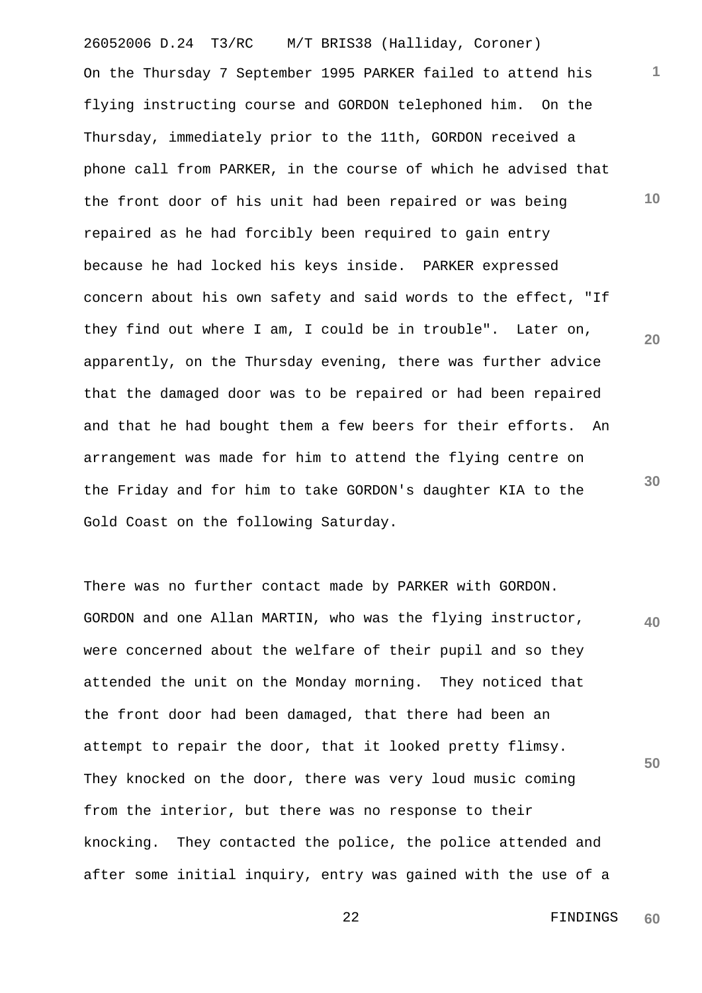26052006 D.24 T3/RC M/T BRIS38 (Halliday, Coroner) On the Thursday 7 September 1995 PARKER failed to attend his flying instructing course and GORDON telephoned him. On the Thursday, immediately prior to the 11th, GORDON received a phone call from PARKER, in the course of which he advised that the front door of his unit had been repaired or was being repaired as he had forcibly been required to gain entry because he had locked his keys inside. PARKER expressed concern about his own safety and said words to the effect, "If they find out where I am, I could be in trouble". Later on, apparently, on the Thursday evening, there was further advice that the damaged door was to be repaired or had been repaired and that he had bought them a few beers for their efforts. An arrangement was made for him to attend the flying centre on the Friday and for him to take GORDON's daughter KIA to the Gold Coast on the following Saturday.

**40** There was no further contact made by PARKER with GORDON. GORDON and one Allan MARTIN, who was the flying instructor, were concerned about the welfare of their pupil and so they attended the unit on the Monday morning. They noticed that the front door had been damaged, that there had been an attempt to repair the door, that it looked pretty flimsy. They knocked on the door, there was very loud music coming from the interior, but there was no response to their knocking. They contacted the police, the police attended and after some initial inquiry, entry was gained with the use of a

**10**

**1**

**20**

**30**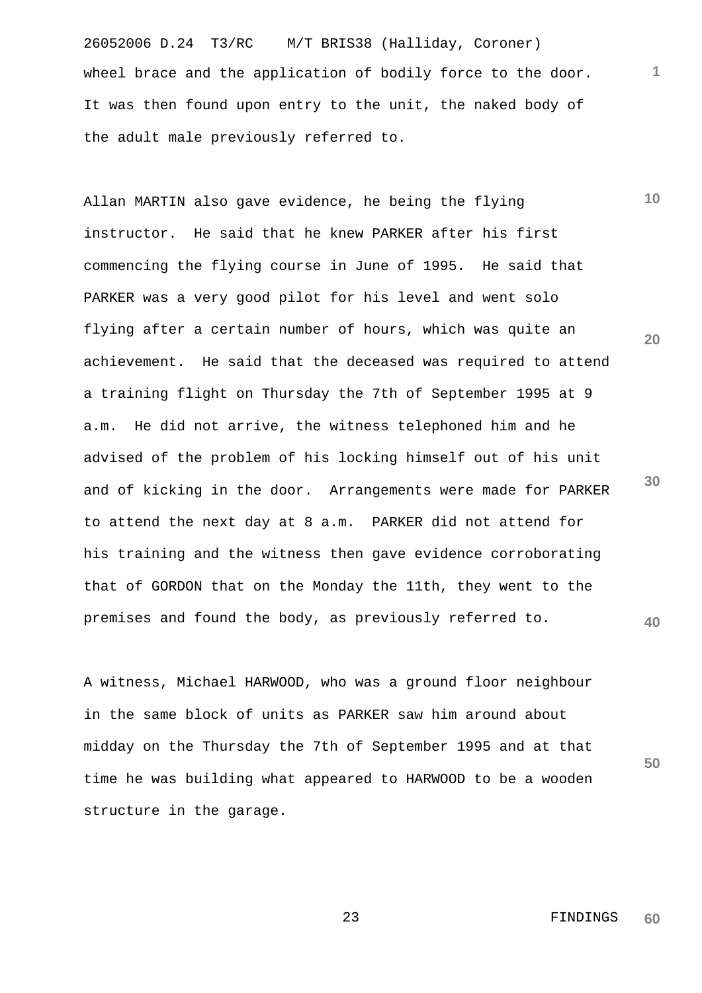26052006 D.24 T3/RC M/T BRIS38 (Halliday, Coroner) wheel brace and the application of bodily force to the door. It was then found upon entry to the unit, the naked body of the adult male previously referred to.

**10** Allan MARTIN also gave evidence, he being the flying instructor. He said that he knew PARKER after his first commencing the flying course in June of 1995. He said that PARKER was a very good pilot for his level and went solo flying after a certain number of hours, which was quite an achievement. He said that the deceased was required to attend a training flight on Thursday the 7th of September 1995 at 9 a.m. He did not arrive, the witness telephoned him and he advised of the problem of his locking himself out of his unit and of kicking in the door. Arrangements were made for PARKER to attend the next day at 8 a.m. PARKER did not attend for his training and the witness then gave evidence corroborating that of GORDON that on the Monday the 11th, they went to the premises and found the body, as previously referred to.

A witness, Michael HARWOOD, who was a ground floor neighbour in the same block of units as PARKER saw him around about midday on the Thursday the 7th of September 1995 and at that time he was building what appeared to HARWOOD to be a wooden structure in the garage.

**20**

**1**

**30**

**40**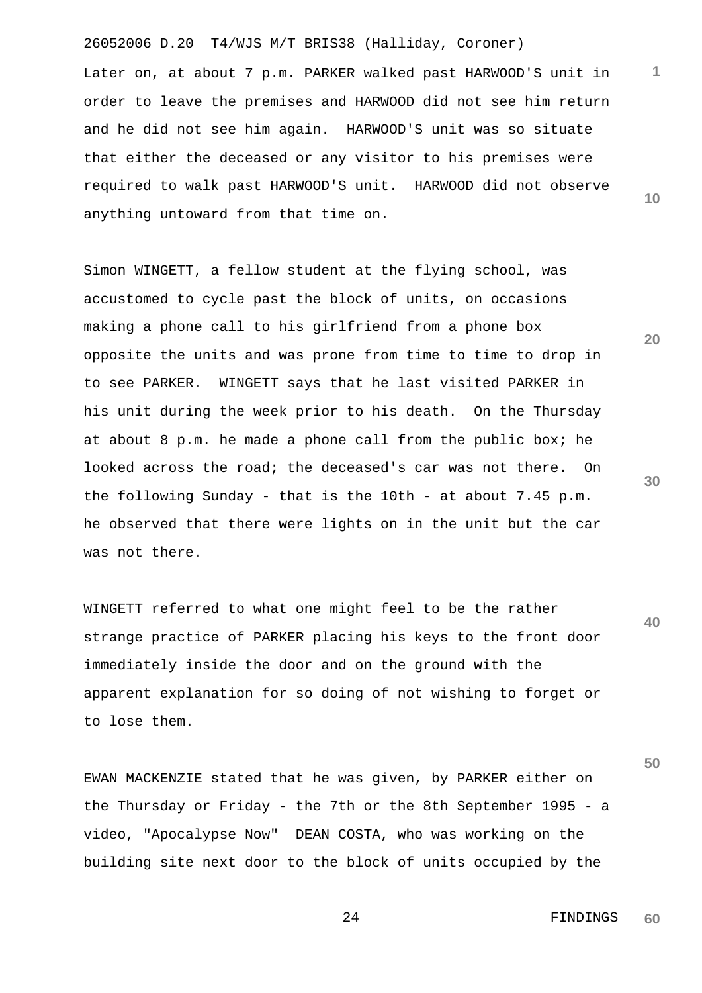26052006 D.20 T4/WJS M/T BRIS38 (Halliday, Coroner)

**10** Later on, at about 7 p.m. PARKER walked past HARWOOD'S unit in order to leave the premises and HARWOOD did not see him return and he did not see him again. HARWOOD'S unit was so situate that either the deceased or any visitor to his premises were required to walk past HARWOOD'S unit. HARWOOD did not observe anything untoward from that time on.

Simon WINGETT, a fellow student at the flying school, was accustomed to cycle past the block of units, on occasions making a phone call to his girlfriend from a phone box opposite the units and was prone from time to time to drop in to see PARKER. WINGETT says that he last visited PARKER in his unit during the week prior to his death. On the Thursday at about 8 p.m. he made a phone call from the public box; he looked across the road; the deceased's car was not there. On the following Sunday - that is the 10th - at about 7.45 p.m. he observed that there were lights on in the unit but the car was not there.

**40** WINGETT referred to what one might feel to be the rather strange practice of PARKER placing his keys to the front door immediately inside the door and on the ground with the apparent explanation for so doing of not wishing to forget or to lose them.

EWAN MACKENZIE stated that he was given, by PARKER either on the Thursday or Friday - the 7th or the 8th September 1995 - a video, "Apocalypse Now" DEAN COSTA, who was working on the building site next door to the block of units occupied by the

**30**

**20**

**1**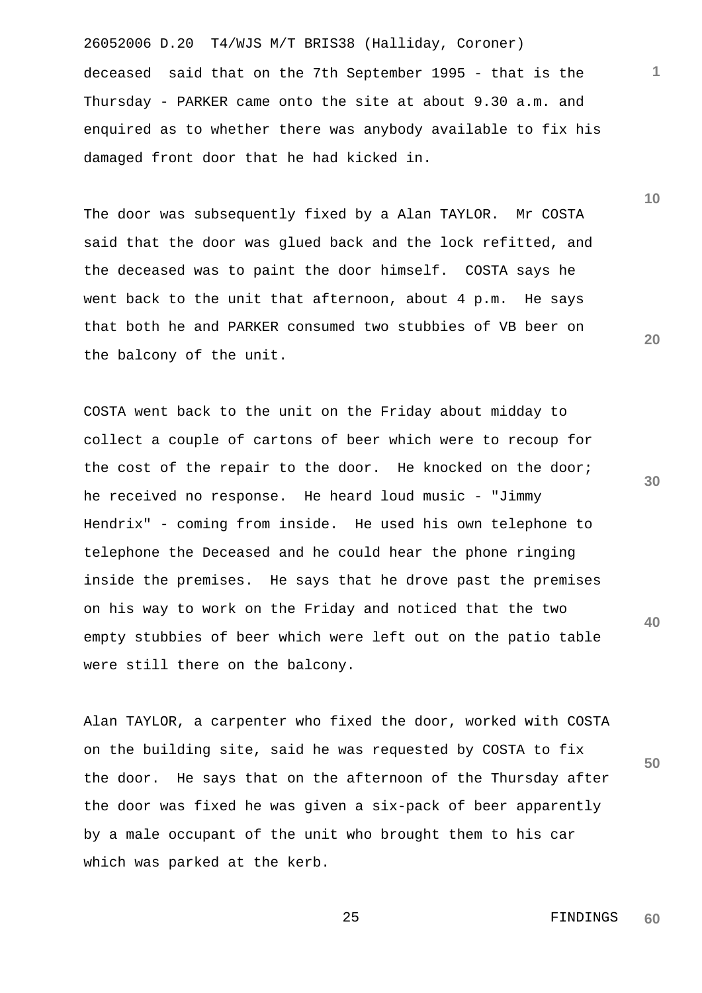26052006 D.20 T4/WJS M/T BRIS38 (Halliday, Coroner) deceased said that on the 7th September 1995 - that is the Thursday - PARKER came onto the site at about 9.30 a.m. and enquired as to whether there was anybody available to fix his damaged front door that he had kicked in.

The door was subsequently fixed by a Alan TAYLOR. Mr COSTA said that the door was glued back and the lock refitted, and the deceased was to paint the door himself. COSTA says he went back to the unit that afternoon, about 4 p.m. He says that both he and PARKER consumed two stubbies of VB beer on the balcony of the unit.

COSTA went back to the unit on the Friday about midday to collect a couple of cartons of beer which were to recoup for the cost of the repair to the door. He knocked on the door; he received no response. He heard loud music - "Jimmy Hendrix" - coming from inside. He used his own telephone to telephone the Deceased and he could hear the phone ringing inside the premises. He says that he drove past the premises on his way to work on the Friday and noticed that the two empty stubbies of beer which were left out on the patio table were still there on the balcony.

Alan TAYLOR, a carpenter who fixed the door, worked with COSTA on the building site, said he was requested by COSTA to fix the door. He says that on the afternoon of the Thursday after the door was fixed he was given a six-pack of beer apparently by a male occupant of the unit who brought them to his car which was parked at the kerb.

**20**

**30**

**40**

**50**

**10**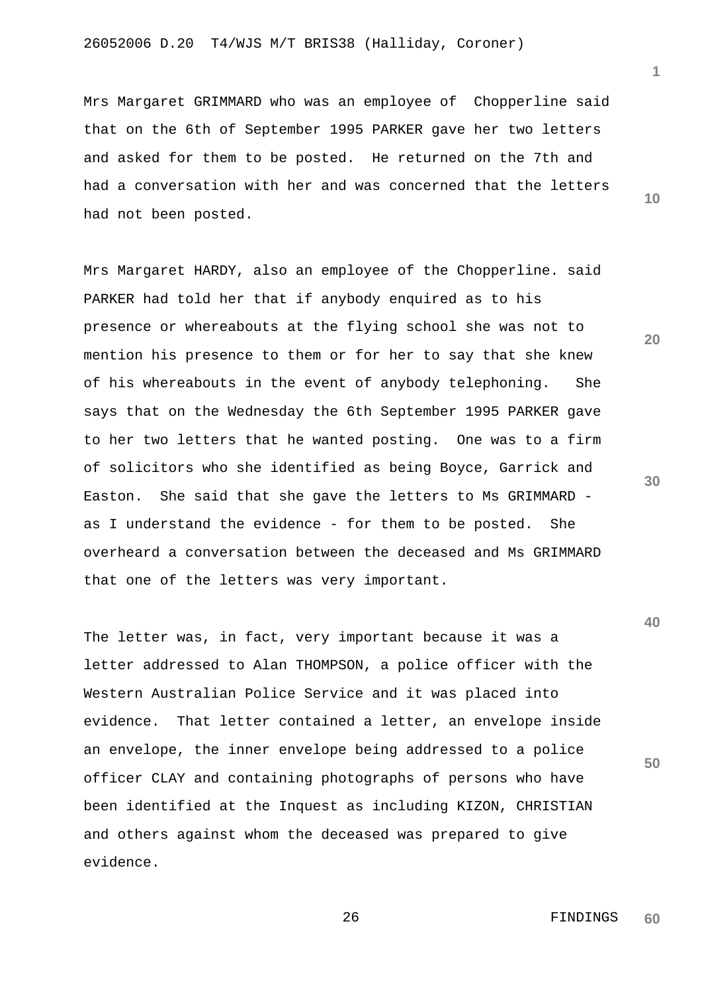Mrs Margaret GRIMMARD who was an employee of Chopperline said that on the 6th of September 1995 PARKER gave her two letters and asked for them to be posted. He returned on the 7th and had a conversation with her and was concerned that the letters had not been posted.

Mrs Margaret HARDY, also an employee of the Chopperline. said PARKER had told her that if anybody enquired as to his presence or whereabouts at the flying school she was not to mention his presence to them or for her to say that she knew of his whereabouts in the event of anybody telephoning. She says that on the Wednesday the 6th September 1995 PARKER gave to her two letters that he wanted posting. One was to a firm of solicitors who she identified as being Boyce, Garrick and Easton. She said that she gave the letters to Ms GRIMMARD as I understand the evidence - for them to be posted. She overheard a conversation between the deceased and Ms GRIMMARD that one of the letters was very important.

The letter was, in fact, very important because it was a letter addressed to Alan THOMPSON, a police officer with the Western Australian Police Service and it was placed into evidence. That letter contained a letter, an envelope inside an envelope, the inner envelope being addressed to a police officer CLAY and containing photographs of persons who have been identified at the Inquest as including KIZON, CHRISTIAN and others against whom the deceased was prepared to give evidence.

**10**

**1**

**20**

**30**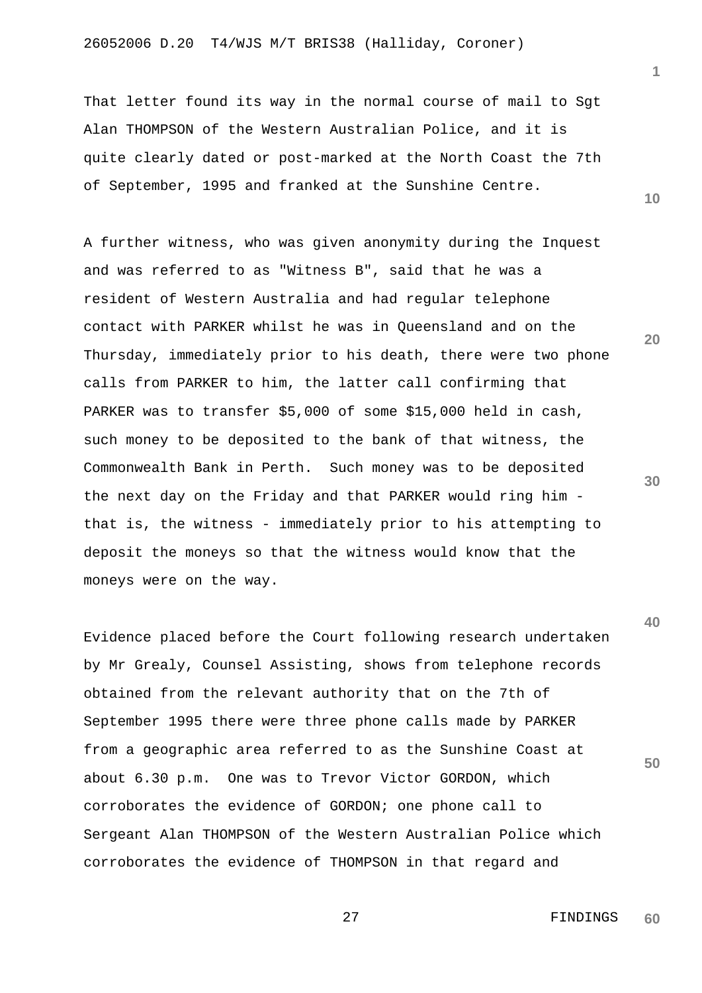That letter found its way in the normal course of mail to Sgt Alan THOMPSON of the Western Australian Police, and it is quite clearly dated or post-marked at the North Coast the 7th of September, 1995 and franked at the Sunshine Centre.

A further witness, who was given anonymity during the Inquest and was referred to as "Witness B", said that he was a resident of Western Australia and had regular telephone contact with PARKER whilst he was in Queensland and on the Thursday, immediately prior to his death, there were two phone calls from PARKER to him, the latter call confirming that PARKER was to transfer \$5,000 of some \$15,000 held in cash, such money to be deposited to the bank of that witness, the Commonwealth Bank in Perth. Such money was to be deposited the next day on the Friday and that PARKER would ring him that is, the witness - immediately prior to his attempting to deposit the moneys so that the witness would know that the moneys were on the way.

Evidence placed before the Court following research undertaken by Mr Grealy, Counsel Assisting, shows from telephone records obtained from the relevant authority that on the 7th of September 1995 there were three phone calls made by PARKER from a geographic area referred to as the Sunshine Coast at about 6.30 p.m. One was to Trevor Victor GORDON, which corroborates the evidence of GORDON; one phone call to Sergeant Alan THOMPSON of the Western Australian Police which corroborates the evidence of THOMPSON in that regard and

**10**

**20**

**30**

**40**

**50**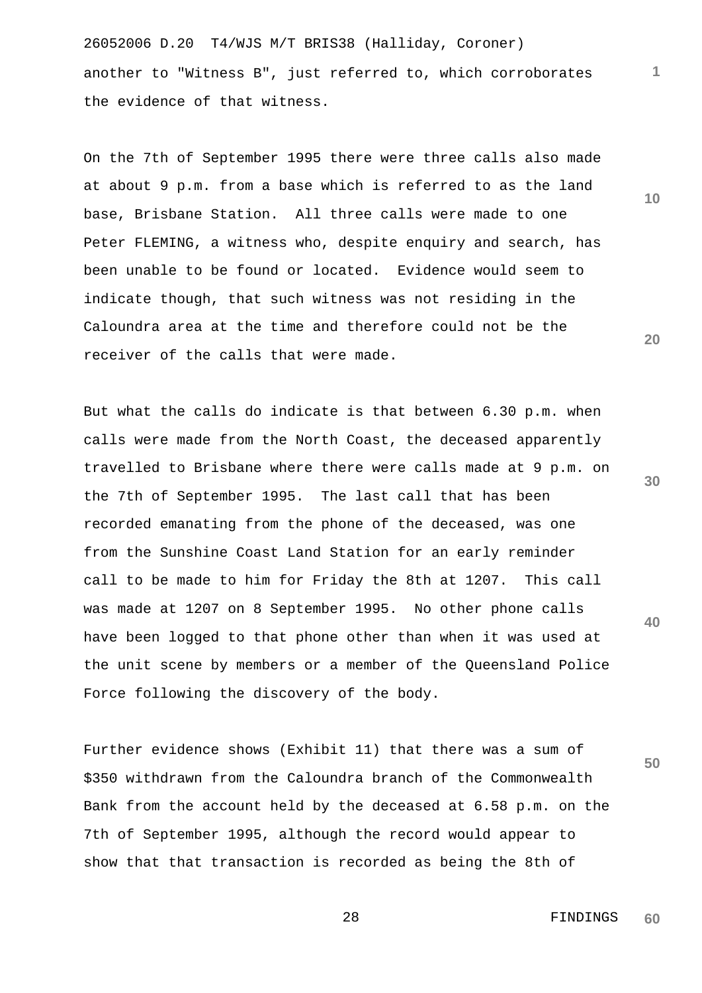26052006 D.20 T4/WJS M/T BRIS38 (Halliday, Coroner) another to "Witness B", just referred to, which corroborates the evidence of that witness.

On the 7th of September 1995 there were three calls also made at about 9 p.m. from a base which is referred to as the land base, Brisbane Station. All three calls were made to one Peter FLEMING, a witness who, despite enquiry and search, has been unable to be found or located. Evidence would seem to indicate though, that such witness was not residing in the Caloundra area at the time and therefore could not be the receiver of the calls that were made.

But what the calls do indicate is that between 6.30 p.m. when calls were made from the North Coast, the deceased apparently travelled to Brisbane where there were calls made at 9 p.m. on the 7th of September 1995. The last call that has been recorded emanating from the phone of the deceased, was one from the Sunshine Coast Land Station for an early reminder call to be made to him for Friday the 8th at 1207. This call was made at 1207 on 8 September 1995. No other phone calls have been logged to that phone other than when it was used at the unit scene by members or a member of the Queensland Police Force following the discovery of the body.

Further evidence shows (Exhibit 11) that there was a sum of \$350 withdrawn from the Caloundra branch of the Commonwealth Bank from the account held by the deceased at 6.58 p.m. on the 7th of September 1995, although the record would appear to show that that transaction is recorded as being the 8th of

**20**

**10**

**1**

**30**

**40**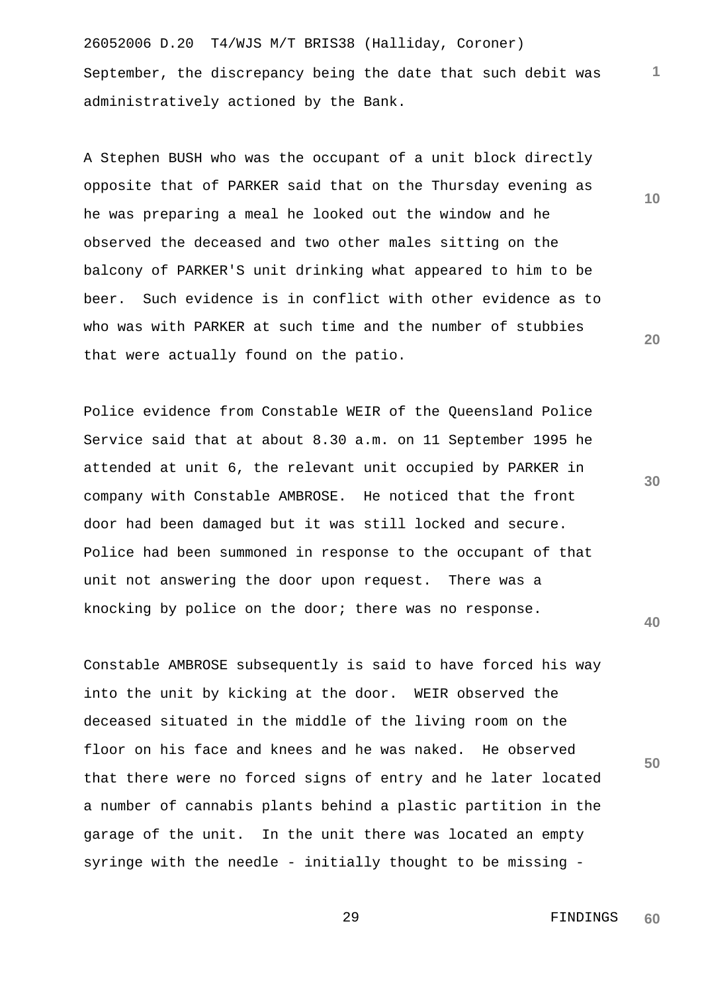26052006 D.20 T4/WJS M/T BRIS38 (Halliday, Coroner) September, the discrepancy being the date that such debit was administratively actioned by the Bank.

A Stephen BUSH who was the occupant of a unit block directly opposite that of PARKER said that on the Thursday evening as he was preparing a meal he looked out the window and he observed the deceased and two other males sitting on the balcony of PARKER'S unit drinking what appeared to him to be beer. Such evidence is in conflict with other evidence as to who was with PARKER at such time and the number of stubbies that were actually found on the patio.

Police evidence from Constable WEIR of the Queensland Police Service said that at about 8.30 a.m. on 11 September 1995 he attended at unit 6, the relevant unit occupied by PARKER in company with Constable AMBROSE. He noticed that the front door had been damaged but it was still locked and secure. Police had been summoned in response to the occupant of that unit not answering the door upon request. There was a knocking by police on the door; there was no response.

Constable AMBROSE subsequently is said to have forced his way into the unit by kicking at the door. WEIR observed the deceased situated in the middle of the living room on the floor on his face and knees and he was naked. He observed that there were no forced signs of entry and he later located a number of cannabis plants behind a plastic partition in the garage of the unit. In the unit there was located an empty syringe with the needle - initially thought to be missing -

**20**

**1**

**10**

**30**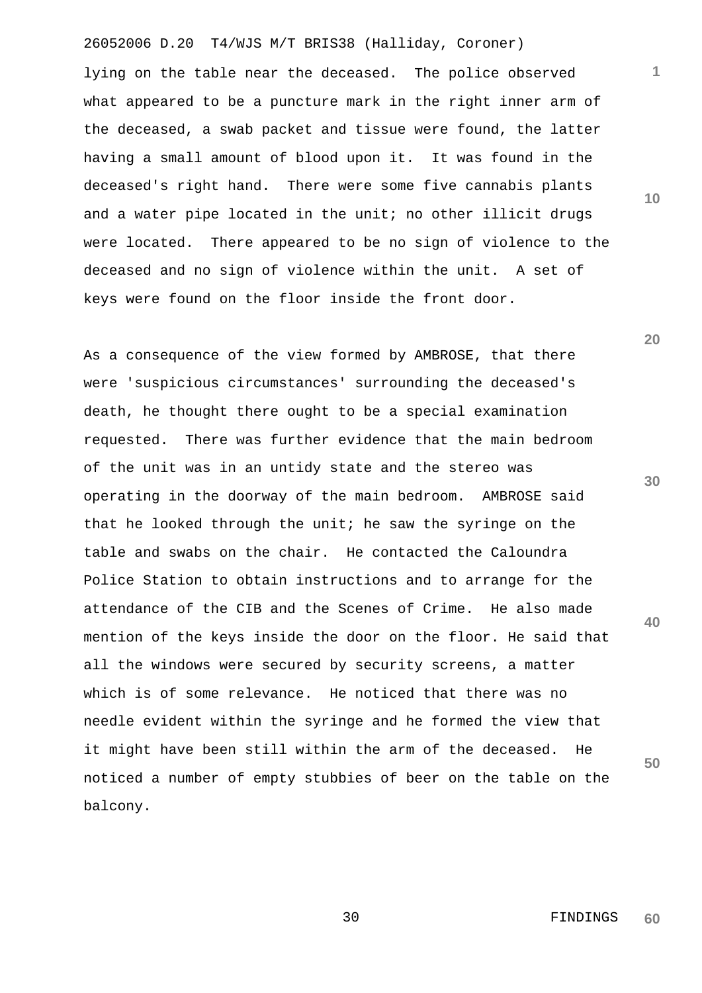26052006 D.20 T4/WJS M/T BRIS38 (Halliday, Coroner)

lying on the table near the deceased. The police observed what appeared to be a puncture mark in the right inner arm of the deceased, a swab packet and tissue were found, the latter having a small amount of blood upon it. It was found in the deceased's right hand. There were some five cannabis plants and a water pipe located in the unit; no other illicit drugs were located. There appeared to be no sign of violence to the deceased and no sign of violence within the unit. A set of keys were found on the floor inside the front door.

As a consequence of the view formed by AMBROSE, that there were 'suspicious circumstances' surrounding the deceased's death, he thought there ought to be a special examination requested. There was further evidence that the main bedroom of the unit was in an untidy state and the stereo was operating in the doorway of the main bedroom. AMBROSE said that he looked through the unit; he saw the syringe on the table and swabs on the chair. He contacted the Caloundra Police Station to obtain instructions and to arrange for the attendance of the CIB and the Scenes of Crime. He also made mention of the keys inside the door on the floor. He said that all the windows were secured by security screens, a matter which is of some relevance. He noticed that there was no needle evident within the syringe and he formed the view that it might have been still within the arm of the deceased. He noticed a number of empty stubbies of beer on the table on the balcony.

**10**

**1**

**20**

**30**

**40**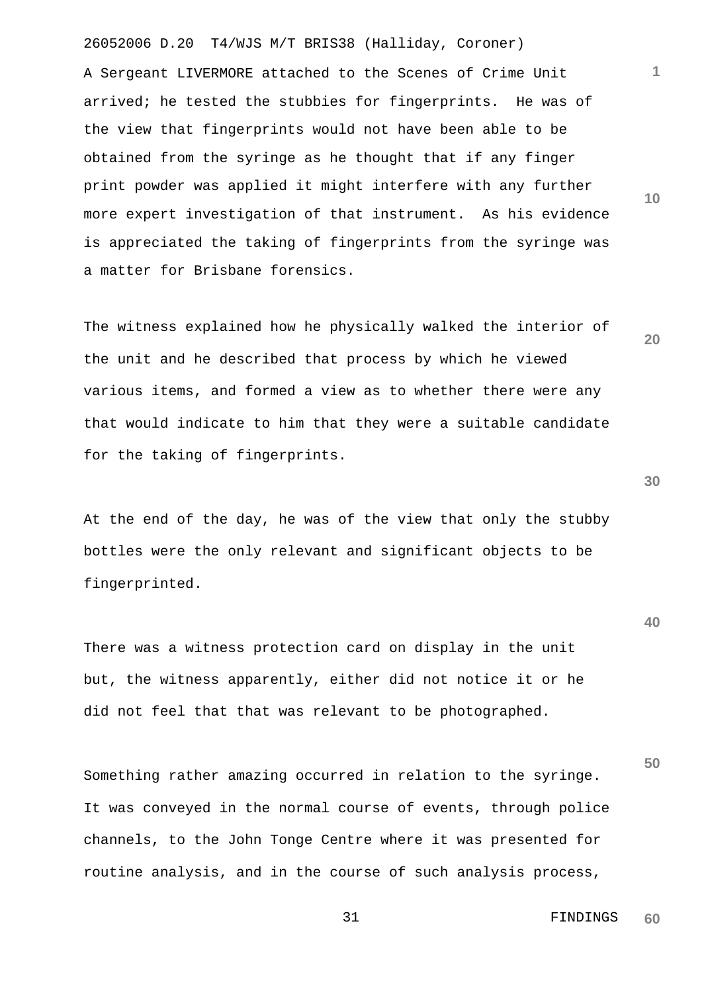26052006 D.20 T4/WJS M/T BRIS38 (Halliday, Coroner) A Sergeant LIVERMORE attached to the Scenes of Crime Unit arrived; he tested the stubbies for fingerprints. He was of the view that fingerprints would not have been able to be obtained from the syringe as he thought that if any finger print powder was applied it might interfere with any further more expert investigation of that instrument. As his evidence is appreciated the taking of fingerprints from the syringe was a matter for Brisbane forensics.

The witness explained how he physically walked the interior of the unit and he described that process by which he viewed various items, and formed a view as to whether there were any that would indicate to him that they were a suitable candidate for the taking of fingerprints.

At the end of the day, he was of the view that only the stubby bottles were the only relevant and significant objects to be fingerprinted.

There was a witness protection card on display in the unit but, the witness apparently, either did not notice it or he did not feel that that was relevant to be photographed.

**50** Something rather amazing occurred in relation to the syringe. It was conveyed in the normal course of events, through police channels, to the John Tonge Centre where it was presented for routine analysis, and in the course of such analysis process,

**30**

**40**

**20**

**10**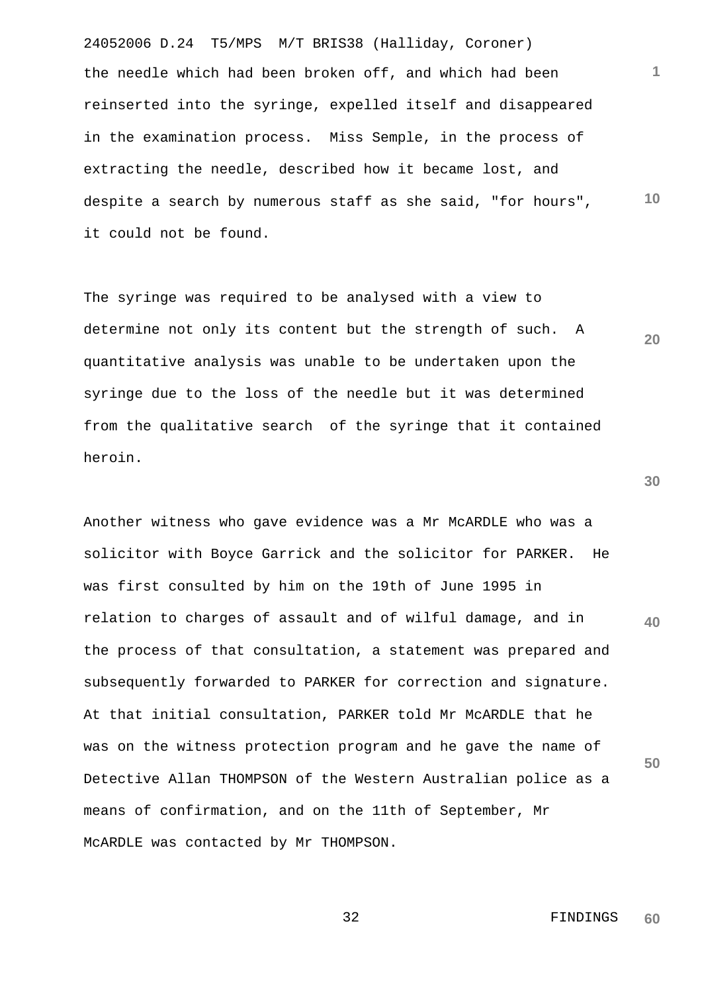24052006 D.24 T5/MPS M/T BRIS38 (Halliday, Coroner) **1 10** the needle which had been broken off, and which had been reinserted into the syringe, expelled itself and disappeared in the examination process. Miss Semple, in the process of extracting the needle, described how it became lost, and despite a search by numerous staff as she said, "for hours", it could not be found.

The syringe was required to be analysed with a view to determine not only its content but the strength of such. A quantitative analysis was unable to be undertaken upon the syringe due to the loss of the needle but it was determined from the qualitative search of the syringe that it contained heroin.

Another witness who gave evidence was a Mr McARDLE who was a solicitor with Boyce Garrick and the solicitor for PARKER. He was first consulted by him on the 19th of June 1995 in relation to charges of assault and of wilful damage, and in the process of that consultation, a statement was prepared and subsequently forwarded to PARKER for correction and signature. At that initial consultation, PARKER told Mr McARDLE that he was on the witness protection program and he gave the name of Detective Allan THOMPSON of the Western Australian police as a means of confirmation, and on the 11th of September, Mr McARDLE was contacted by Mr THOMPSON.

> 32 FINDINGS **60**

**20**

**30**

**40**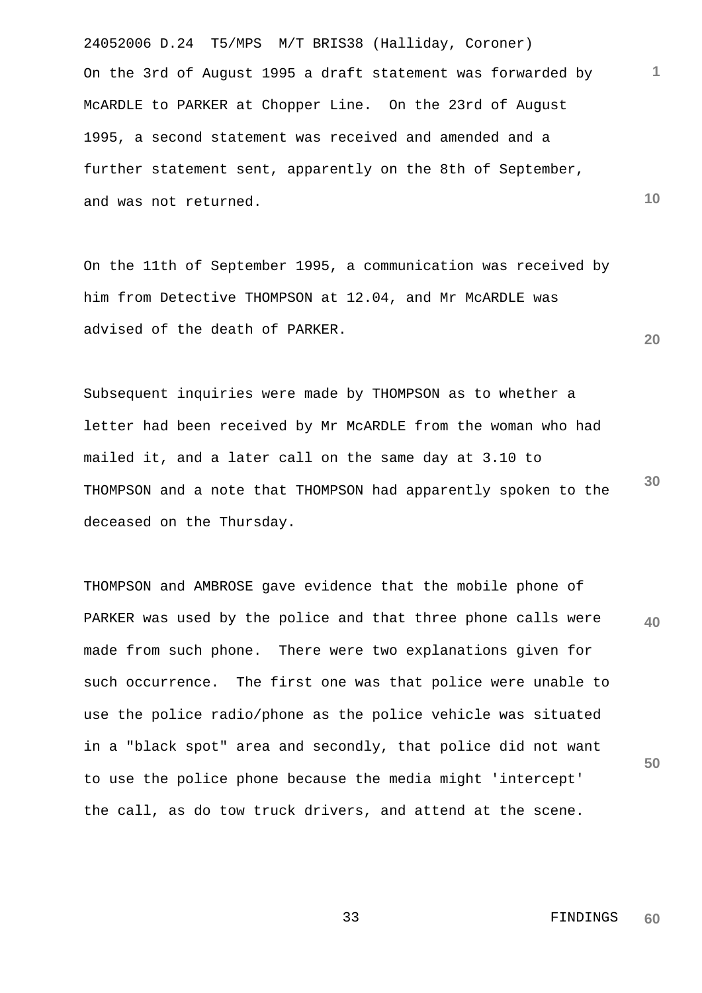24052006 D.24 T5/MPS M/T BRIS38 (Halliday, Coroner) **10** On the 3rd of August 1995 a draft statement was forwarded by McARDLE to PARKER at Chopper Line. On the 23rd of August 1995, a second statement was received and amended and a further statement sent, apparently on the 8th of September, and was not returned.

On the 11th of September 1995, a communication was received by him from Detective THOMPSON at 12.04, and Mr McARDLE was advised of the death of PARKER.

**30** Subsequent inquiries were made by THOMPSON as to whether a letter had been received by Mr McARDLE from the woman who had mailed it, and a later call on the same day at 3.10 to THOMPSON and a note that THOMPSON had apparently spoken to the deceased on the Thursday.

**40 50** THOMPSON and AMBROSE gave evidence that the mobile phone of PARKER was used by the police and that three phone calls were made from such phone. There were two explanations given for such occurrence. The first one was that police were unable to use the police radio/phone as the police vehicle was situated in a "black spot" area and secondly, that police did not want to use the police phone because the media might 'intercept' the call, as do tow truck drivers, and attend at the scene.

**1**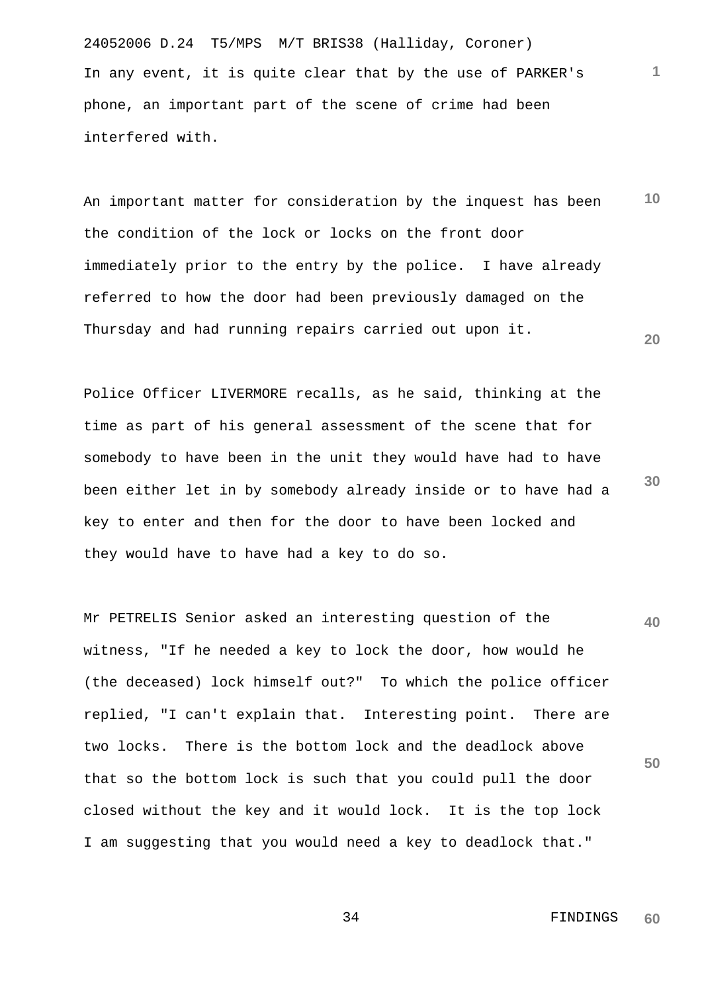24052006 D.24 T5/MPS M/T BRIS38 (Halliday, Coroner) In any event, it is quite clear that by the use of PARKER's phone, an important part of the scene of crime had been interfered with.

**10 20** An important matter for consideration by the inquest has been the condition of the lock or locks on the front door immediately prior to the entry by the police. I have already referred to how the door had been previously damaged on the Thursday and had running repairs carried out upon it.

Police Officer LIVERMORE recalls, as he said, thinking at the time as part of his general assessment of the scene that for somebody to have been in the unit they would have had to have been either let in by somebody already inside or to have had a key to enter and then for the door to have been locked and they would have to have had a key to do so.

**40 50** Mr PETRELIS Senior asked an interesting question of the witness, "If he needed a key to lock the door, how would he (the deceased) lock himself out?" To which the police officer replied, "I can't explain that. Interesting point. There are two locks. There is the bottom lock and the deadlock above that so the bottom lock is such that you could pull the door closed without the key and it would lock. It is the top lock I am suggesting that you would need a key to deadlock that."

> 34 FINDINGS **60**

**1**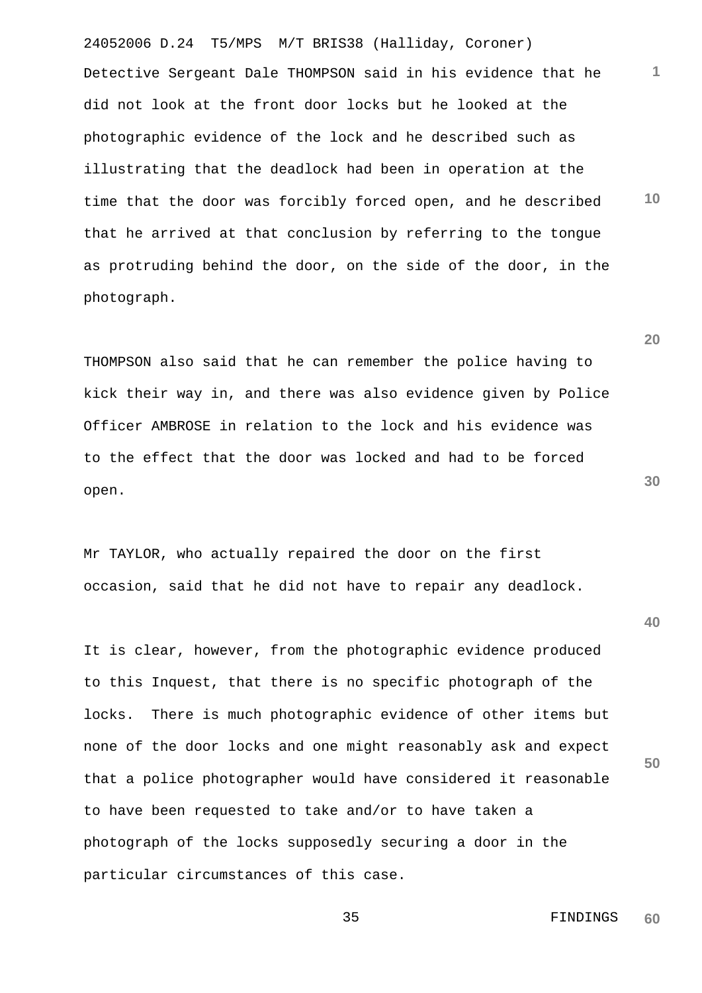24052006 D.24 T5/MPS M/T BRIS38 (Halliday, Coroner) **10** Detective Sergeant Dale THOMPSON said in his evidence that he did not look at the front door locks but he looked at the photographic evidence of the lock and he described such as illustrating that the deadlock had been in operation at the time that the door was forcibly forced open, and he described that he arrived at that conclusion by referring to the tongue as protruding behind the door, on the side of the door, in the photograph.

THOMPSON also said that he can remember the police having to kick their way in, and there was also evidence given by Police Officer AMBROSE in relation to the lock and his evidence was to the effect that the door was locked and had to be forced open.

Mr TAYLOR, who actually repaired the door on the first occasion, said that he did not have to repair any deadlock.

It is clear, however, from the photographic evidence produced to this Inquest, that there is no specific photograph of the locks. There is much photographic evidence of other items but none of the door locks and one might reasonably ask and expect that a police photographer would have considered it reasonable to have been requested to take and/or to have taken a photograph of the locks supposedly securing a door in the particular circumstances of this case.

**30**

**20**

**1**

**40**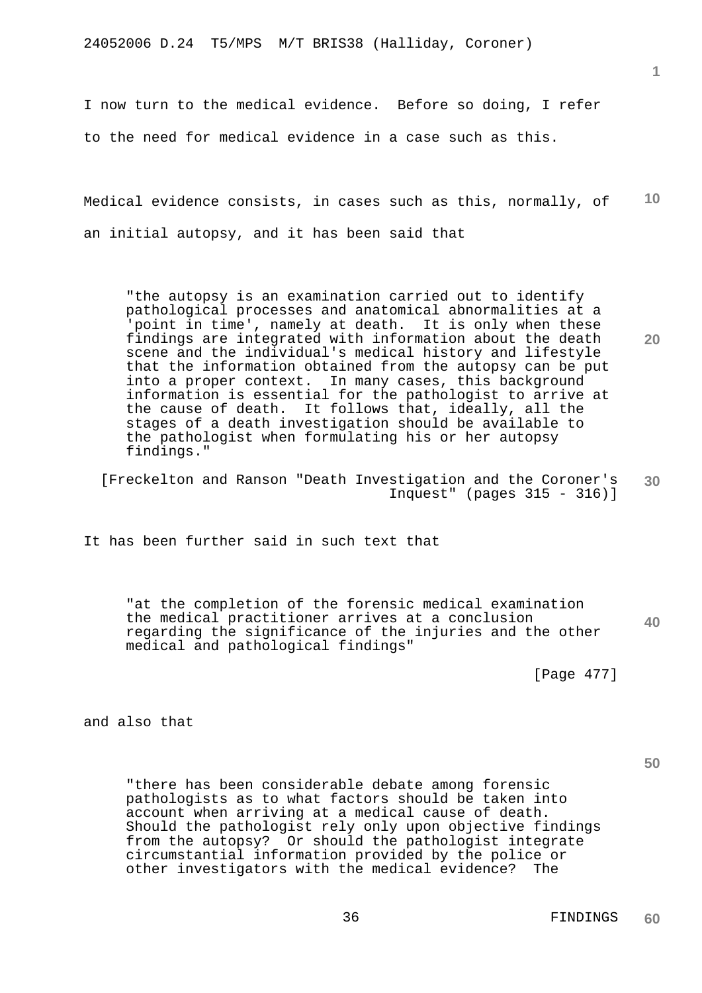24052006 D.24 T5/MPS M/T BRIS38 (Halliday, Coroner)

I now turn to the medical evidence. Before so doing, I refer to the need for medical evidence in a case such as this.

**10** Medical evidence consists, in cases such as this, normally, of an initial autopsy, and it has been said that

"the autopsy is an examination carried out to identify pathological processes and anatomical abnormalities at a 'point in time', namely at death. It is only when these findings are integrated with information about the death scene and the individual's medical history and lifestyle that the information obtained from the autopsy can be put into a proper context. In many cases, this background information is essential for the pathologist to arrive at the cause of death. It follows that, ideally, all the stages of a death investigation should be available to the pathologist when formulating his or her autopsy findings."

**30** [Freckelton and Ranson "Death Investigation and the Coroner's Inquest" (pages 315 - 316)]

It has been further said in such text that

**40** "at the completion of the forensic medical examination the medical practitioner arrives at a conclusion regarding the significance of the injuries and the other medical and pathological findings"

[Page 477]

and also that

**50**

"there has been considerable debate among forensic pathologists as to what factors should be taken into account when arriving at a medical cause of death. Should the pathologist rely only upon objective findings from the autopsy? Or should the pathologist integrate circumstantial information provided by the police or other investigators with the medical evidence? The

**1**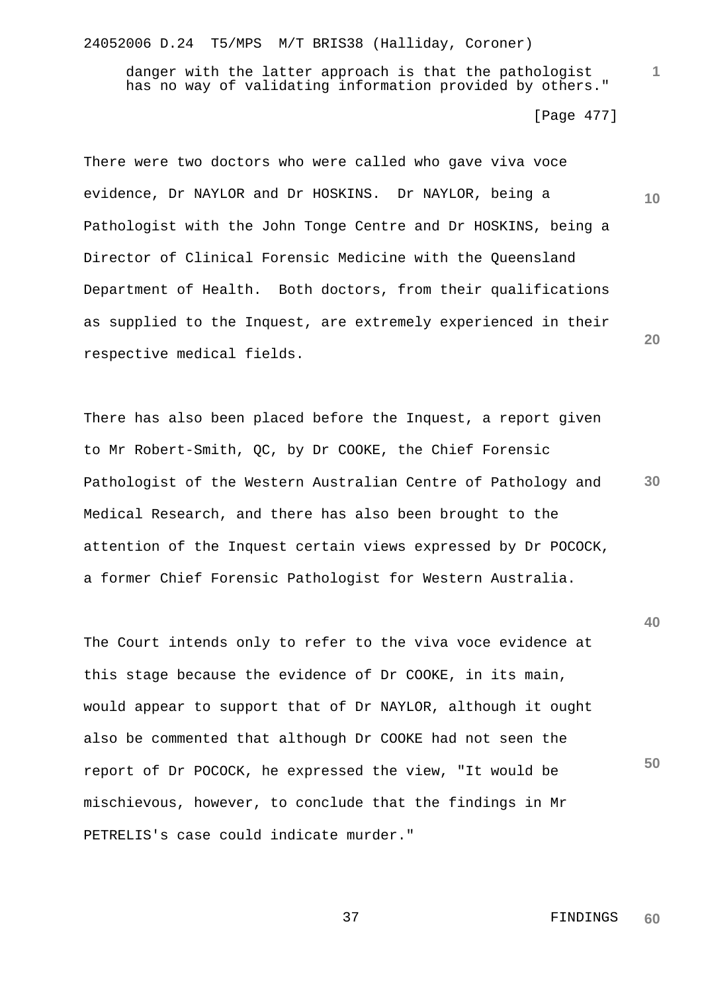24052006 D.24 T5/MPS M/T BRIS38 (Halliday, Coroner)

danger with the latter approach is that the pathologist has no way of validating information provided by others."

[Page 477]

**1**

**10**

**20**

**40**

**50**

There were two doctors who were called who gave viva voce evidence, Dr NAYLOR and Dr HOSKINS. Dr NAYLOR, being a Pathologist with the John Tonge Centre and Dr HOSKINS, being a Director of Clinical Forensic Medicine with the Queensland Department of Health. Both doctors, from their qualifications as supplied to the Inquest, are extremely experienced in their respective medical fields.

**30** There has also been placed before the Inquest, a report given to Mr Robert-Smith, QC, by Dr COOKE, the Chief Forensic Pathologist of the Western Australian Centre of Pathology and Medical Research, and there has also been brought to the attention of the Inquest certain views expressed by Dr POCOCK, a former Chief Forensic Pathologist for Western Australia.

The Court intends only to refer to the viva voce evidence at this stage because the evidence of Dr COOKE, in its main, would appear to support that of Dr NAYLOR, although it ought also be commented that although Dr COOKE had not seen the report of Dr POCOCK, he expressed the view, "It would be mischievous, however, to conclude that the findings in Mr PETRELIS's case could indicate murder."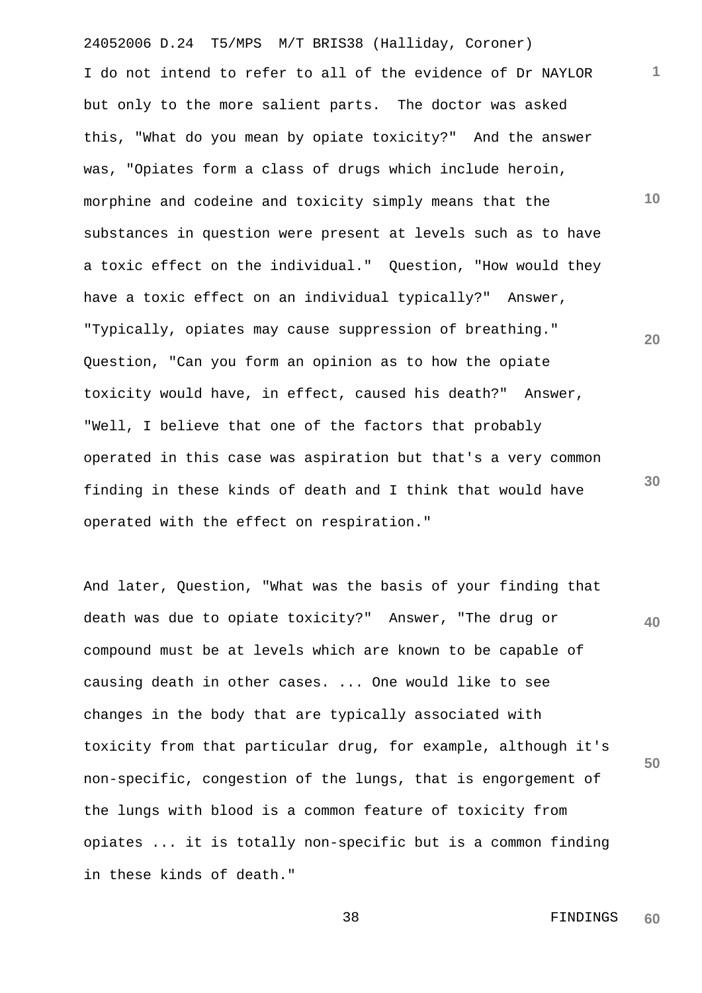24052006 D.24 T5/MPS M/T BRIS38 (Halliday, Coroner) **10 20 30** I do not intend to refer to all of the evidence of Dr NAYLOR but only to the more salient parts. The doctor was asked this, "What do you mean by opiate toxicity?" And the answer was, "Opiates form a class of drugs which include heroin, morphine and codeine and toxicity simply means that the substances in question were present at levels such as to have a toxic effect on the individual." Question, "How would they have a toxic effect on an individual typically?" Answer, "Typically, opiates may cause suppression of breathing." Question, "Can you form an opinion as to how the opiate toxicity would have, in effect, caused his death?" Answer, "Well, I believe that one of the factors that probably operated in this case was aspiration but that's a very common finding in these kinds of death and I think that would have operated with the effect on respiration."

**40 50** And later, Question, "What was the basis of your finding that death was due to opiate toxicity?" Answer, "The drug or compound must be at levels which are known to be capable of causing death in other cases. ... One would like to see changes in the body that are typically associated with toxicity from that particular drug, for example, although it's non-specific, congestion of the lungs, that is engorgement of the lungs with blood is a common feature of toxicity from opiates ... it is totally non-specific but is a common finding in these kinds of death."

> 38 FINDINGS **60**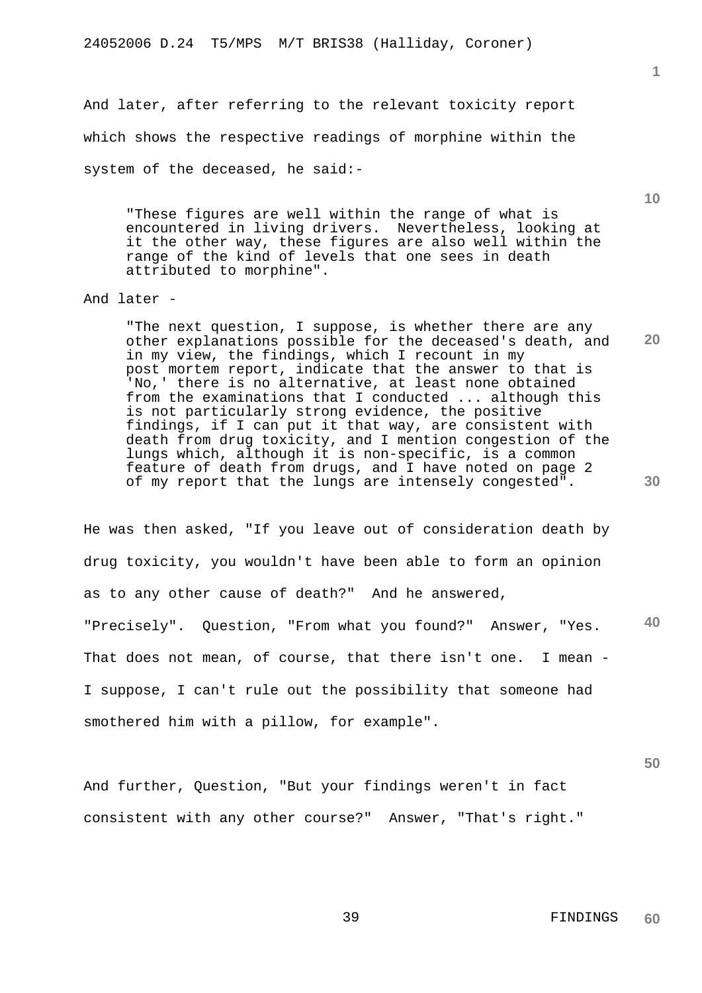And later, after referring to the relevant toxicity report which shows the respective readings of morphine within the system of the deceased, he said:-

"These figures are well within the range of what is encountered in living drivers. Nevertheless, looking at it the other way, these figures are also well within the range of the kind of levels that one sees in death attributed to morphine".

# And later -

"The next question, I suppose, is whether there are any other explanations possible for the deceased's death, and in my view, the findings, which I recount in my post mortem report, indicate that the answer to that is 'No,' there is no alternative, at least none obtained from the examinations that I conducted ... although this is not particularly strong evidence, the positive findings, if I can put it that way, are consistent with death from drug toxicity, and I mention congestion of the lungs which, although it is non-specific, is a common feature of death from drugs, and I have noted on page 2 of my report that the lungs are intensely congested".

**40** He was then asked, "If you leave out of consideration death by drug toxicity, you wouldn't have been able to form an opinion as to any other cause of death?" And he answered, "Precisely". Question, "From what you found?" Answer, "Yes. That does not mean, of course, that there isn't one. I mean -I suppose, I can't rule out the possibility that someone had smothered him with a pillow, for example".

And further, Question, "But your findings weren't in fact consistent with any other course?" Answer, "That's right." **10**

**20**

**1**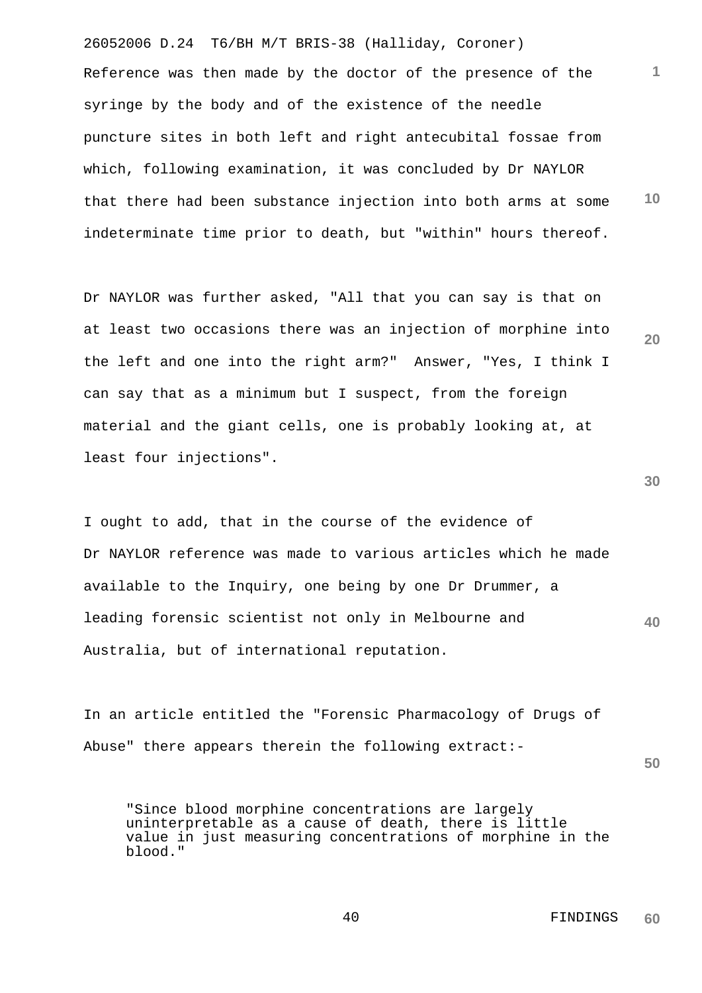26052006 D.24 T6/BH M/T BRIS-38 (Halliday, Coroner) **1 10** Reference was then made by the doctor of the presence of the syringe by the body and of the existence of the needle puncture sites in both left and right antecubital fossae from which, following examination, it was concluded by Dr NAYLOR that there had been substance injection into both arms at some indeterminate time prior to death, but "within" hours thereof.

Dr NAYLOR was further asked, "All that you can say is that on at least two occasions there was an injection of morphine into the left and one into the right arm?" Answer, "Yes, I think I can say that as a minimum but I suspect, from the foreign material and the giant cells, one is probably looking at, at least four injections".

**40** I ought to add, that in the course of the evidence of Dr NAYLOR reference was made to various articles which he made available to the Inquiry, one being by one Dr Drummer, a leading forensic scientist not only in Melbourne and Australia, but of international reputation.

In an article entitled the "Forensic Pharmacology of Drugs of Abuse" there appears therein the following extract:-

**50**

**20**

**30**

"Since blood morphine concentrations are largely uninterpretable as a cause of death, there is little value in just measuring concentrations of morphine in the blood."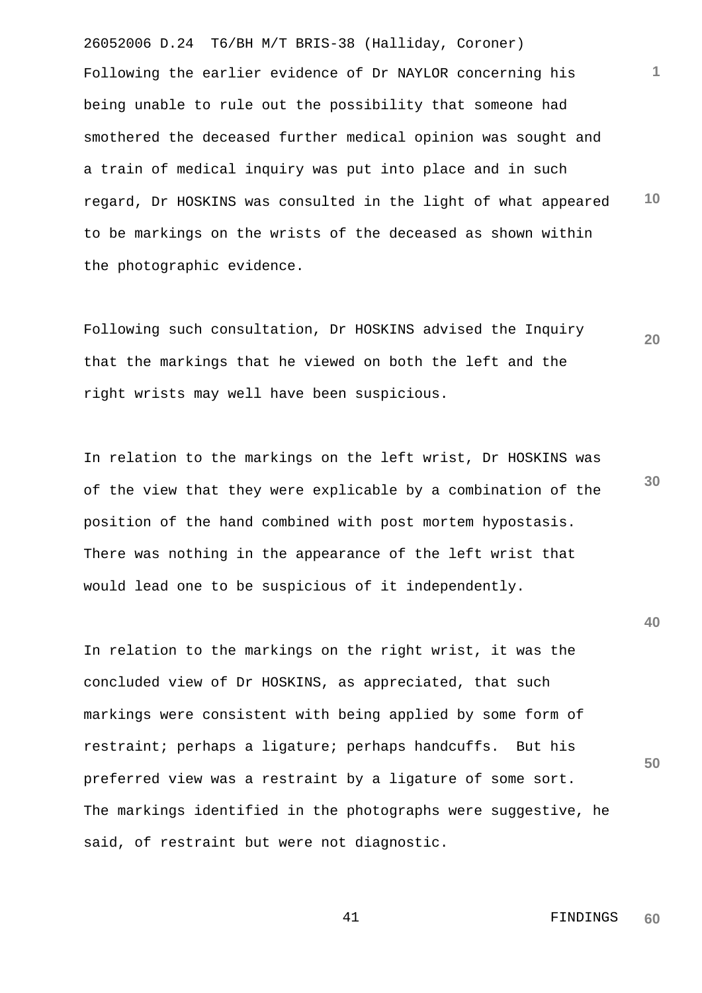26052006 D.24 T6/BH M/T BRIS-38 (Halliday, Coroner) **1 10** Following the earlier evidence of Dr NAYLOR concerning his being unable to rule out the possibility that someone had smothered the deceased further medical opinion was sought and a train of medical inquiry was put into place and in such regard, Dr HOSKINS was consulted in the light of what appeared to be markings on the wrists of the deceased as shown within the photographic evidence.

**20** Following such consultation, Dr HOSKINS advised the Inquiry that the markings that he viewed on both the left and the right wrists may well have been suspicious.

**30** In relation to the markings on the left wrist, Dr HOSKINS was of the view that they were explicable by a combination of the position of the hand combined with post mortem hypostasis. There was nothing in the appearance of the left wrist that would lead one to be suspicious of it independently.

In relation to the markings on the right wrist, it was the concluded view of Dr HOSKINS, as appreciated, that such markings were consistent with being applied by some form of restraint; perhaps a ligature; perhaps handcuffs. But his preferred view was a restraint by a ligature of some sort. The markings identified in the photographs were suggestive, he said, of restraint but were not diagnostic.

> 41 FINDINGS **60**

**40**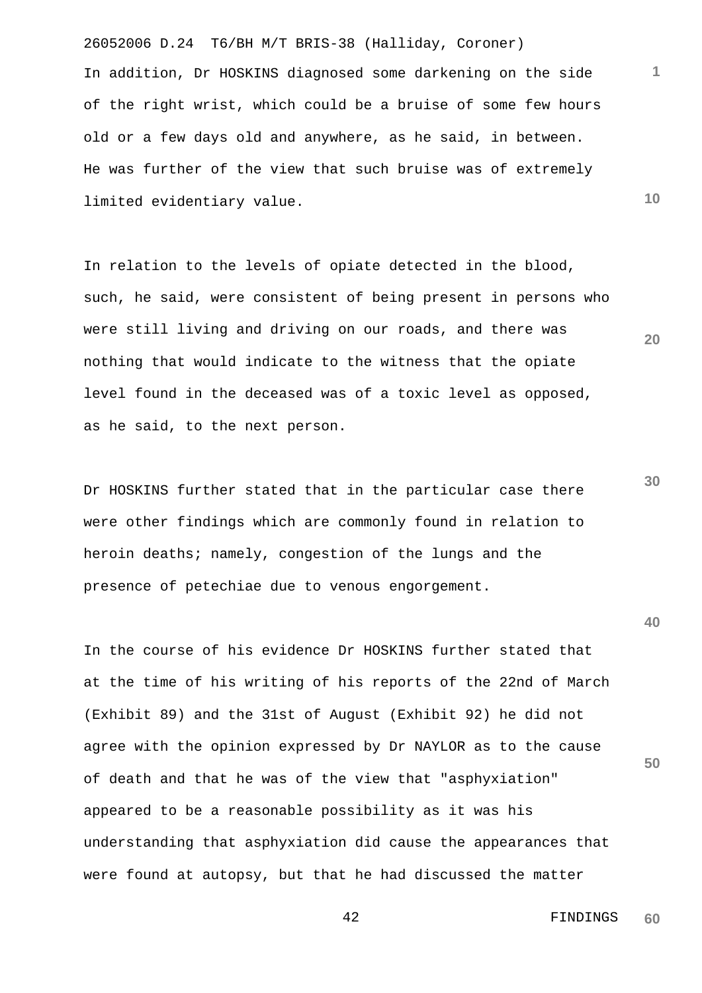26052006 D.24 T6/BH M/T BRIS-38 (Halliday, Coroner) In addition, Dr HOSKINS diagnosed some darkening on the side of the right wrist, which could be a bruise of some few hours old or a few days old and anywhere, as he said, in between. He was further of the view that such bruise was of extremely limited evidentiary value.

In relation to the levels of opiate detected in the blood, such, he said, were consistent of being present in persons who were still living and driving on our roads, and there was nothing that would indicate to the witness that the opiate level found in the deceased was of a toxic level as opposed, as he said, to the next person.

**30** Dr HOSKINS further stated that in the particular case there were other findings which are commonly found in relation to heroin deaths; namely, congestion of the lungs and the presence of petechiae due to venous engorgement.

**50** In the course of his evidence Dr HOSKINS further stated that at the time of his writing of his reports of the 22nd of March (Exhibit 89) and the 31st of August (Exhibit 92) he did not agree with the opinion expressed by Dr NAYLOR as to the cause of death and that he was of the view that "asphyxiation" appeared to be a reasonable possibility as it was his understanding that asphyxiation did cause the appearances that were found at autopsy, but that he had discussed the matter

#### 42 FINDINGS **60**

**1**

**10**

**20**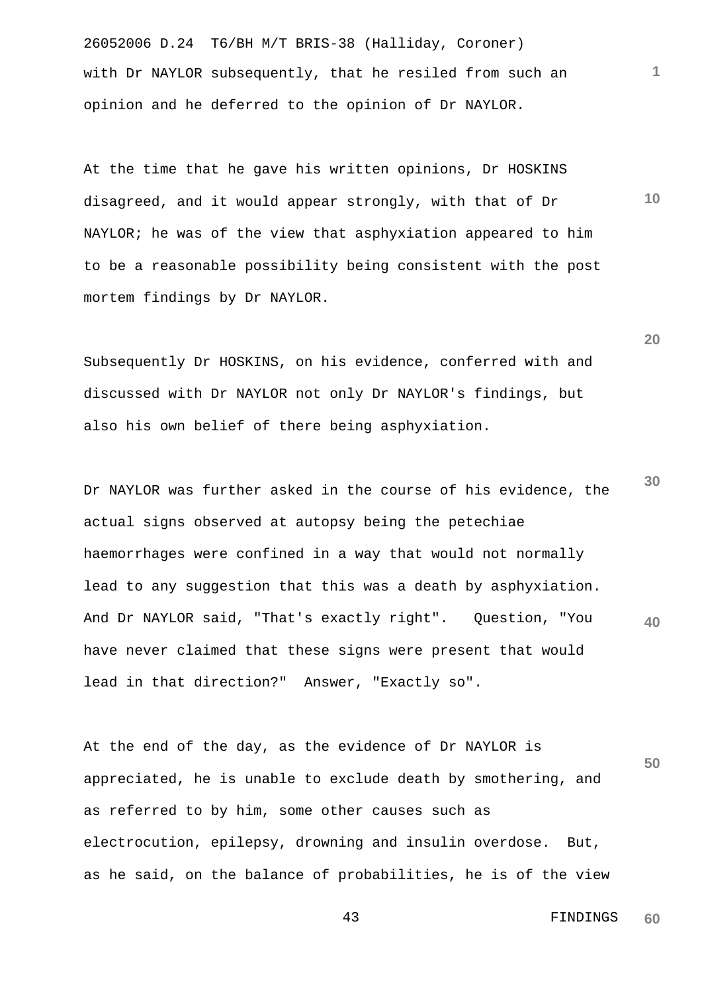26052006 D.24 T6/BH M/T BRIS-38 (Halliday, Coroner) with Dr NAYLOR subsequently, that he resiled from such an opinion and he deferred to the opinion of Dr NAYLOR.

At the time that he gave his written opinions, Dr HOSKINS disagreed, and it would appear strongly, with that of Dr NAYLOR; he was of the view that asphyxiation appeared to him to be a reasonable possibility being consistent with the post mortem findings by Dr NAYLOR.

Subsequently Dr HOSKINS, on his evidence, conferred with and discussed with Dr NAYLOR not only Dr NAYLOR's findings, but also his own belief of there being asphyxiation.

**40** Dr NAYLOR was further asked in the course of his evidence, the actual signs observed at autopsy being the petechiae haemorrhages were confined in a way that would not normally lead to any suggestion that this was a death by asphyxiation. And Dr NAYLOR said, "That's exactly right". Question, "You have never claimed that these signs were present that would lead in that direction?" Answer, "Exactly so".

**50** At the end of the day, as the evidence of Dr NAYLOR is appreciated, he is unable to exclude death by smothering, and as referred to by him, some other causes such as electrocution, epilepsy, drowning and insulin overdose. But, as he said, on the balance of probabilities, he is of the view

**20**

**1**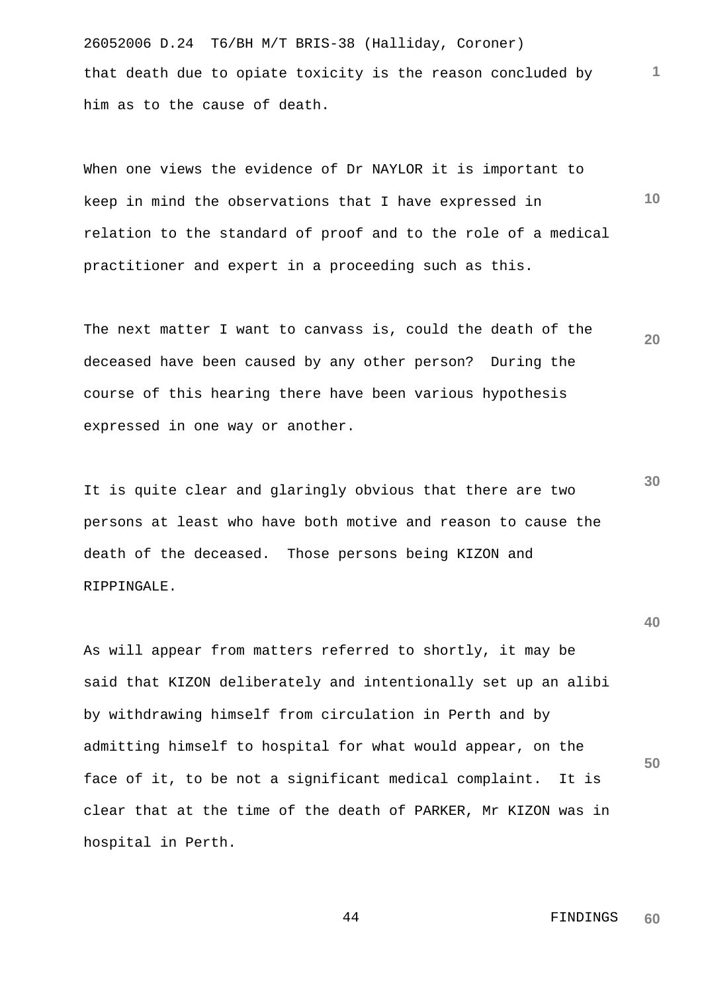26052006 D.24 T6/BH M/T BRIS-38 (Halliday, Coroner) that death due to opiate toxicity is the reason concluded by him as to the cause of death.

**10** When one views the evidence of Dr NAYLOR it is important to keep in mind the observations that I have expressed in relation to the standard of proof and to the role of a medical practitioner and expert in a proceeding such as this.

**20** The next matter I want to canvass is, could the death of the deceased have been caused by any other person? During the course of this hearing there have been various hypothesis expressed in one way or another.

It is quite clear and glaringly obvious that there are two persons at least who have both motive and reason to cause the death of the deceased. Those persons being KIZON and RIPPINGALE.

As will appear from matters referred to shortly, it may be said that KIZON deliberately and intentionally set up an alibi by withdrawing himself from circulation in Perth and by admitting himself to hospital for what would appear, on the face of it, to be not a significant medical complaint. It is clear that at the time of the death of PARKER, Mr KIZON was in hospital in Perth.

> 44 FINDINGS **60**

**1**

**30**

**40**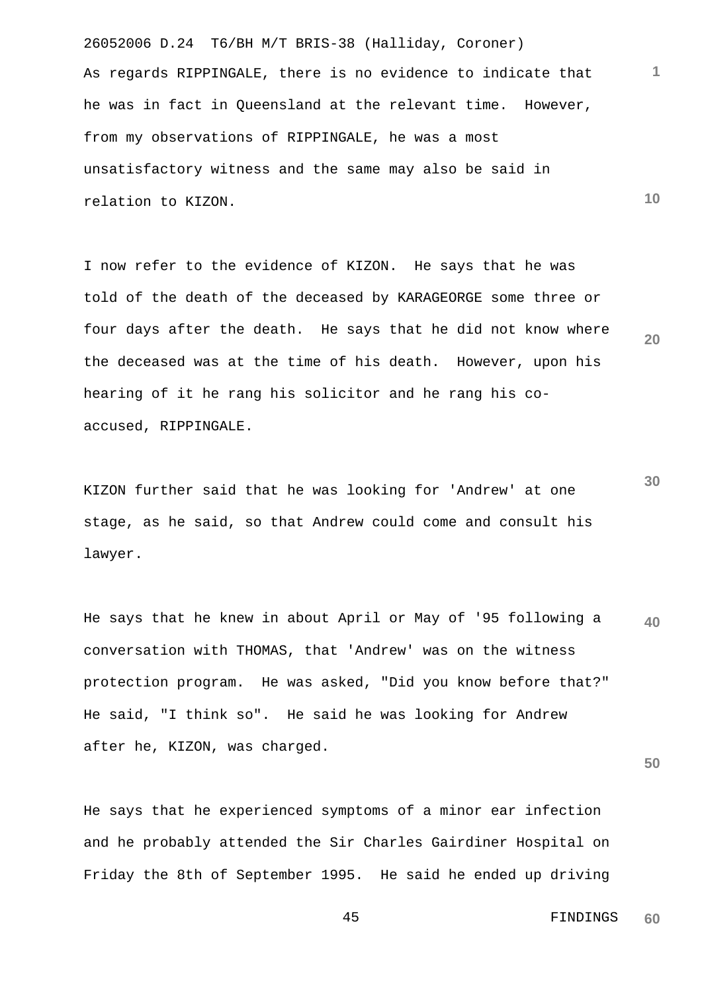26052006 D.24 T6/BH M/T BRIS-38 (Halliday, Coroner) **10** As regards RIPPINGALE, there is no evidence to indicate that he was in fact in Queensland at the relevant time. However, from my observations of RIPPINGALE, he was a most unsatisfactory witness and the same may also be said in relation to KIZON.

**20** I now refer to the evidence of KIZON. He says that he was told of the death of the deceased by KARAGEORGE some three or four days after the death. He says that he did not know where the deceased was at the time of his death. However, upon his hearing of it he rang his solicitor and he rang his coaccused, RIPPINGALE.

KIZON further said that he was looking for 'Andrew' at one stage, as he said, so that Andrew could come and consult his lawyer.

**40** He says that he knew in about April or May of '95 following a conversation with THOMAS, that 'Andrew' was on the witness protection program. He was asked, "Did you know before that?" He said, "I think so". He said he was looking for Andrew after he, KIZON, was charged.

He says that he experienced symptoms of a minor ear infection and he probably attended the Sir Charles Gairdiner Hospital on Friday the 8th of September 1995. He said he ended up driving **1**

**30**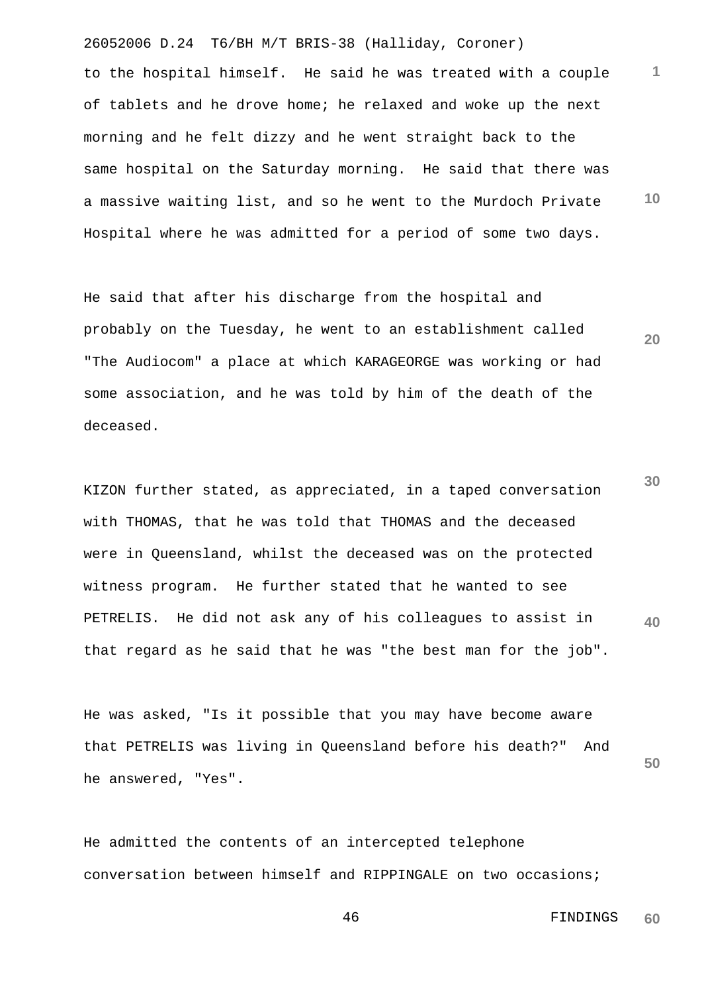26052006 D.24 T6/BH M/T BRIS-38 (Halliday, Coroner) **1 10** to the hospital himself. He said he was treated with a couple of tablets and he drove home; he relaxed and woke up the next morning and he felt dizzy and he went straight back to the same hospital on the Saturday morning. He said that there was a massive waiting list, and so he went to the Murdoch Private Hospital where he was admitted for a period of some two days.

He said that after his discharge from the hospital and probably on the Tuesday, he went to an establishment called "The Audiocom" a place at which KARAGEORGE was working or had some association, and he was told by him of the death of the deceased.

**30 40** KIZON further stated, as appreciated, in a taped conversation with THOMAS, that he was told that THOMAS and the deceased were in Queensland, whilst the deceased was on the protected witness program. He further stated that he wanted to see PETRELIS. He did not ask any of his colleagues to assist in that regard as he said that he was "the best man for the job".

**50** He was asked, "Is it possible that you may have become aware that PETRELIS was living in Queensland before his death?" And he answered, "Yes".

He admitted the contents of an intercepted telephone conversation between himself and RIPPINGALE on two occasions;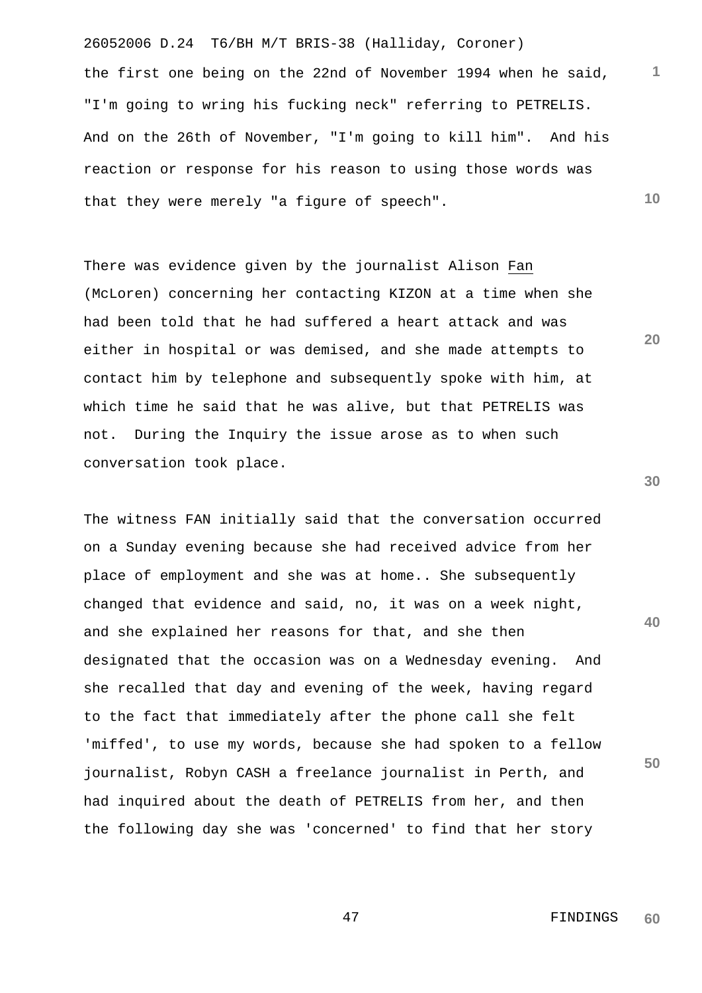26052006 D.24 T6/BH M/T BRIS-38 (Halliday, Coroner) **1 10** the first one being on the 22nd of November 1994 when he said, "I'm going to wring his fucking neck" referring to PETRELIS. And on the 26th of November, "I'm going to kill him". And his reaction or response for his reason to using those words was that they were merely "a figure of speech".

There was evidence given by the journalist Alison Fan (McLoren) concerning her contacting KIZON at a time when she had been told that he had suffered a heart attack and was either in hospital or was demised, and she made attempts to contact him by telephone and subsequently spoke with him, at which time he said that he was alive, but that PETRELIS was not. During the Inquiry the issue arose as to when such conversation took place.

**40 50** The witness FAN initially said that the conversation occurred on a Sunday evening because she had received advice from her place of employment and she was at home.. She subsequently changed that evidence and said, no, it was on a week night, and she explained her reasons for that, and she then designated that the occasion was on a Wednesday evening. And she recalled that day and evening of the week, having regard to the fact that immediately after the phone call she felt 'miffed', to use my words, because she had spoken to a fellow journalist, Robyn CASH a freelance journalist in Perth, and had inquired about the death of PETRELIS from her, and then the following day she was 'concerned' to find that her story

**20**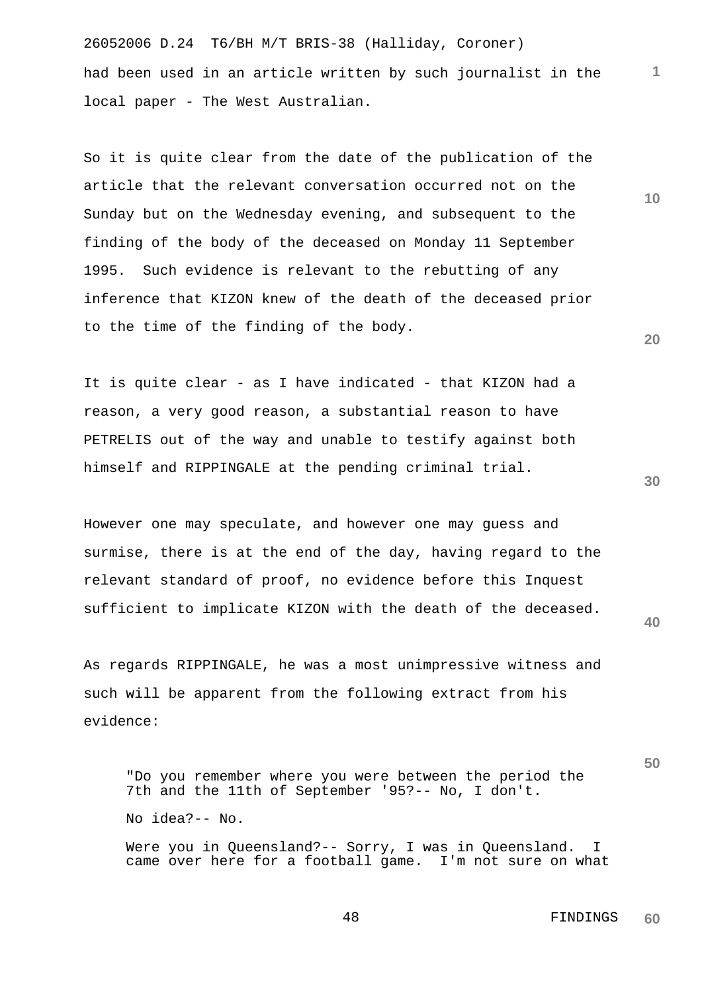26052006 D.24 T6/BH M/T BRIS-38 (Halliday, Coroner) had been used in an article written by such journalist in the local paper - The West Australian.

So it is quite clear from the date of the publication of the article that the relevant conversation occurred not on the Sunday but on the Wednesday evening, and subsequent to the finding of the body of the deceased on Monday 11 September 1995. Such evidence is relevant to the rebutting of any inference that KIZON knew of the death of the deceased prior to the time of the finding of the body.

It is quite clear - as I have indicated - that KIZON had a reason, a very good reason, a substantial reason to have PETRELIS out of the way and unable to testify against both himself and RIPPINGALE at the pending criminal trial.

However one may speculate, and however one may guess and surmise, there is at the end of the day, having regard to the relevant standard of proof, no evidence before this Inquest sufficient to implicate KIZON with the death of the deceased.

As regards RIPPINGALE, he was a most unimpressive witness and such will be apparent from the following extract from his evidence:

"Do you remember where you were between the period the 7th and the 11th of September '95?-- No, I don't. No idea?-- No. Were you in Queensland?-- Sorry, I was in Queensland. I

came over here for a football game. I'm not sure on what

**50**

**40**

 48 FINDINGS **60**

**30**

**20**

**1**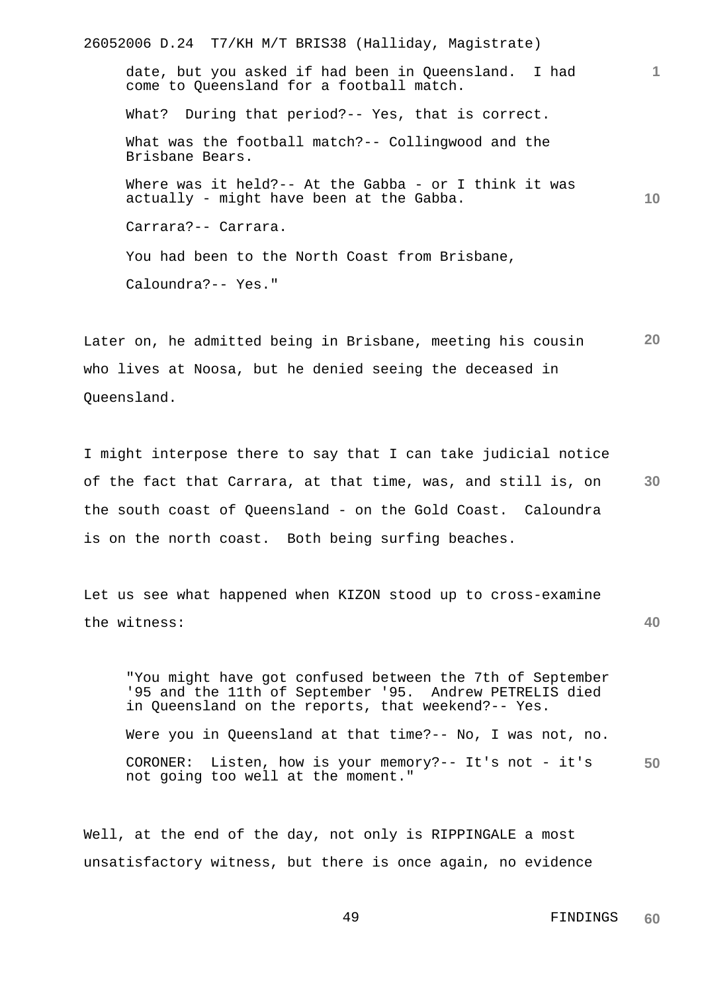26052006 D.24 T7/KH M/T BRIS38 (Halliday, Magistrate) **1 10** date, but you asked if had been in Queensland. I had come to Queensland for a football match. What? During that period?-- Yes, that is correct. What was the football match?-- Collingwood and the Brisbane Bears. Where was it held?-- At the Gabba - or I think it was actually - might have been at the Gabba. Carrara?-- Carrara. You had been to the North Coast from Brisbane, Caloundra?-- Yes."

**20** Later on, he admitted being in Brisbane, meeting his cousin who lives at Noosa, but he denied seeing the deceased in Queensland.

**30** I might interpose there to say that I can take judicial notice of the fact that Carrara, at that time, was, and still is, on the south coast of Queensland - on the Gold Coast. Caloundra is on the north coast. Both being surfing beaches.

Let us see what happened when KIZON stood up to cross-examine the witness:

**50** "You might have got confused between the 7th of September '95 and the 11th of September '95. Andrew PETRELIS died in Queensland on the reports, that weekend?-- Yes. Were you in Queensland at that time?-- No, I was not, no. CORONER: Listen, how is your memory?-- It's not - it's not going too well at the moment."

Well, at the end of the day, not only is RIPPINGALE a most unsatisfactory witness, but there is once again, no evidence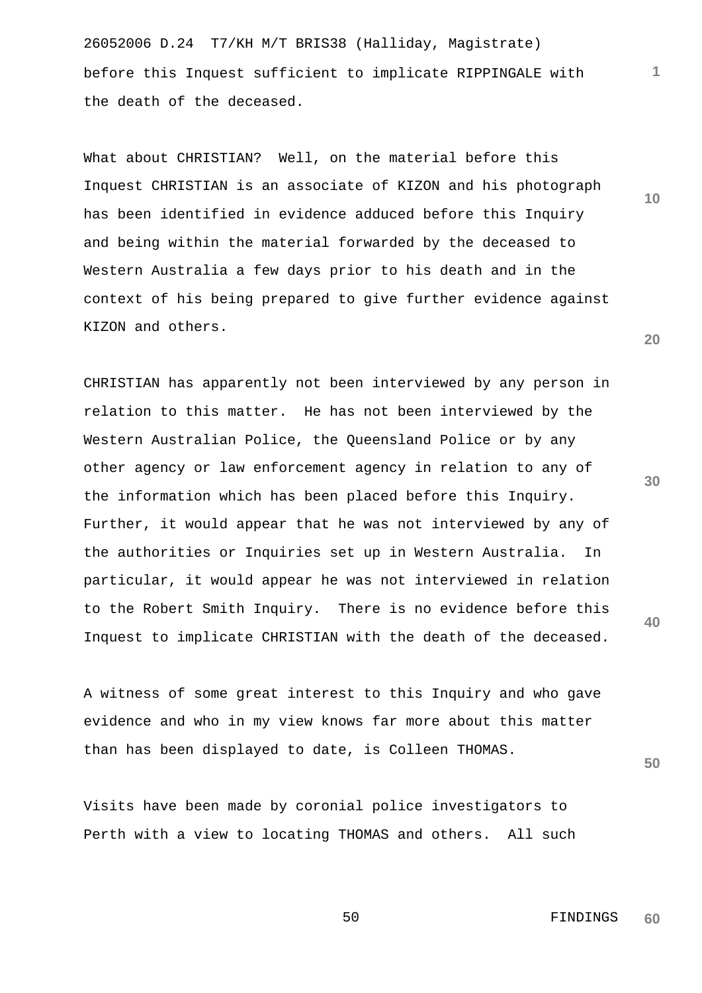26052006 D.24 T7/KH M/T BRIS38 (Halliday, Magistrate) before this Inquest sufficient to implicate RIPPINGALE with the death of the deceased.

What about CHRISTIAN? Well, on the material before this Inquest CHRISTIAN is an associate of KIZON and his photograph has been identified in evidence adduced before this Inquiry and being within the material forwarded by the deceased to Western Australia a few days prior to his death and in the context of his being prepared to give further evidence against KIZON and others.

CHRISTIAN has apparently not been interviewed by any person in relation to this matter. He has not been interviewed by the Western Australian Police, the Queensland Police or by any other agency or law enforcement agency in relation to any of the information which has been placed before this Inquiry. Further, it would appear that he was not interviewed by any of the authorities or Inquiries set up in Western Australia. In particular, it would appear he was not interviewed in relation to the Robert Smith Inquiry. There is no evidence before this Inquest to implicate CHRISTIAN with the death of the deceased.

A witness of some great interest to this Inquiry and who gave evidence and who in my view knows far more about this matter than has been displayed to date, is Colleen THOMAS.

Visits have been made by coronial police investigators to Perth with a view to locating THOMAS and others. All such

**10**

**1**

**20**

**30**

**40**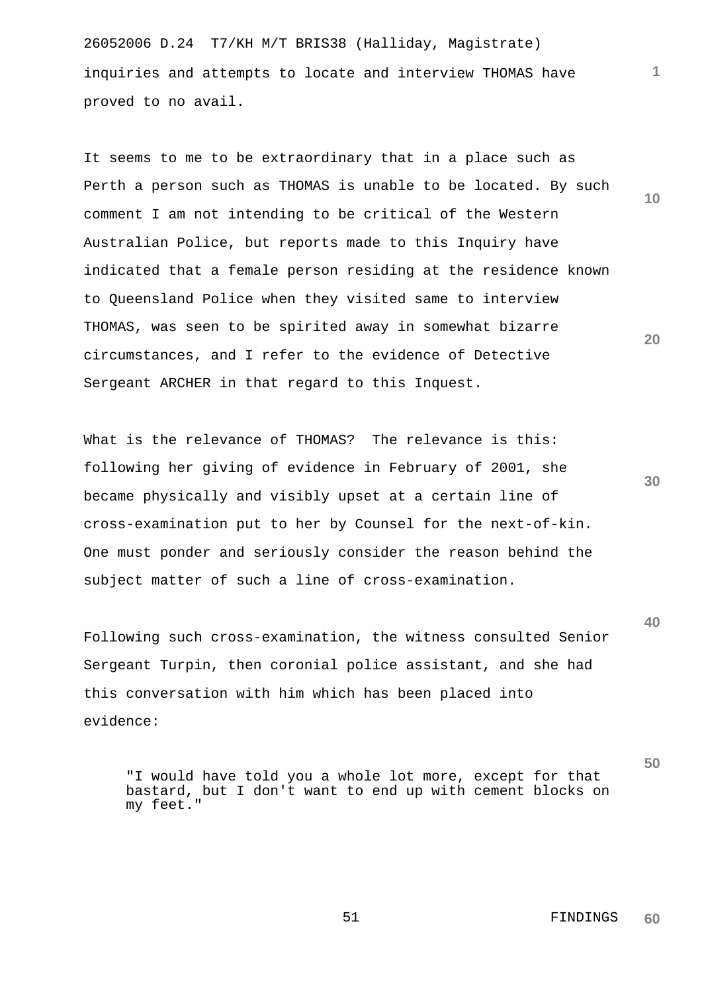26052006 D.24 T7/KH M/T BRIS38 (Halliday, Magistrate) inquiries and attempts to locate and interview THOMAS have proved to no avail.

It seems to me to be extraordinary that in a place such as Perth a person such as THOMAS is unable to be located. By such comment I am not intending to be critical of the Western Australian Police, but reports made to this Inquiry have indicated that a female person residing at the residence known to Queensland Police when they visited same to interview THOMAS, was seen to be spirited away in somewhat bizarre circumstances, and I refer to the evidence of Detective Sergeant ARCHER in that regard to this Inquest.

What is the relevance of THOMAS? The relevance is this: following her giving of evidence in February of 2001, she became physically and visibly upset at a certain line of cross-examination put to her by Counsel for the next-of-kin. One must ponder and seriously consider the reason behind the subject matter of such a line of cross-examination.

Following such cross-examination, the witness consulted Senior Sergeant Turpin, then coronial police assistant, and she had this conversation with him which has been placed into evidence:

"I would have told you a whole lot more, except for that bastard, but I don't want to end up with cement blocks on my feet."

**10**

**1**

**20**

**30**

**40**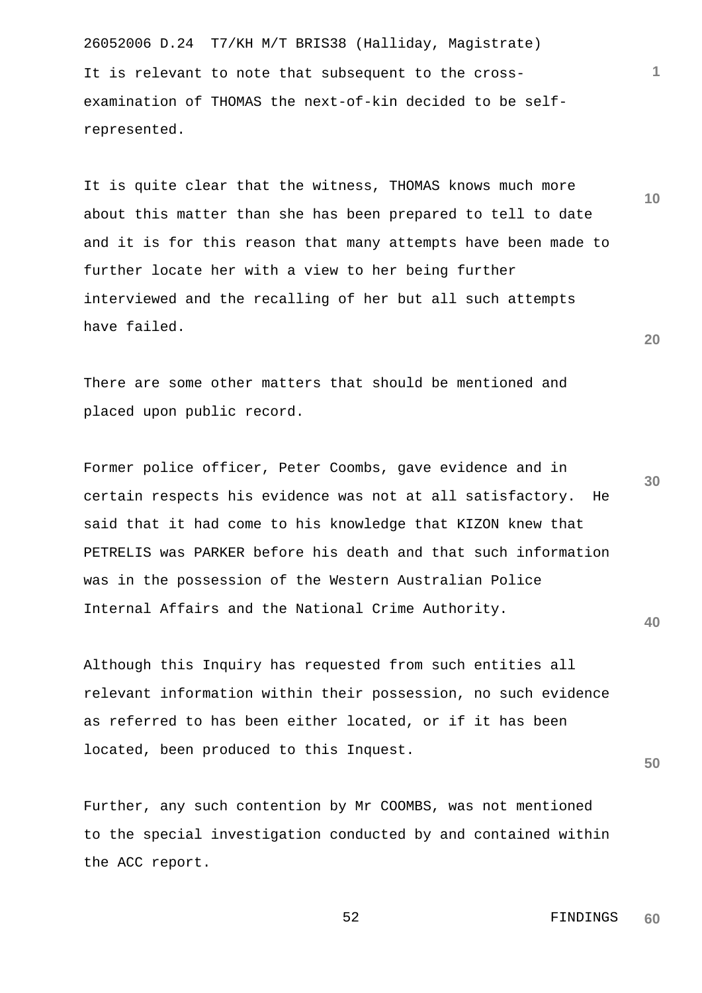26052006 D.24 T7/KH M/T BRIS38 (Halliday, Magistrate) It is relevant to note that subsequent to the crossexamination of THOMAS the next-of-kin decided to be selfrepresented.

It is quite clear that the witness, THOMAS knows much more about this matter than she has been prepared to tell to date and it is for this reason that many attempts have been made to further locate her with a view to her being further interviewed and the recalling of her but all such attempts have failed.

There are some other matters that should be mentioned and placed upon public record.

**30** Former police officer, Peter Coombs, gave evidence and in certain respects his evidence was not at all satisfactory. He said that it had come to his knowledge that KIZON knew that PETRELIS was PARKER before his death and that such information was in the possession of the Western Australian Police Internal Affairs and the National Crime Authority.

Although this Inquiry has requested from such entities all relevant information within their possession, no such evidence as referred to has been either located, or if it has been located, been produced to this Inquest.

Further, any such contention by Mr COOMBS, was not mentioned to the special investigation conducted by and contained within the ACC report.

**20**

**1**

**10**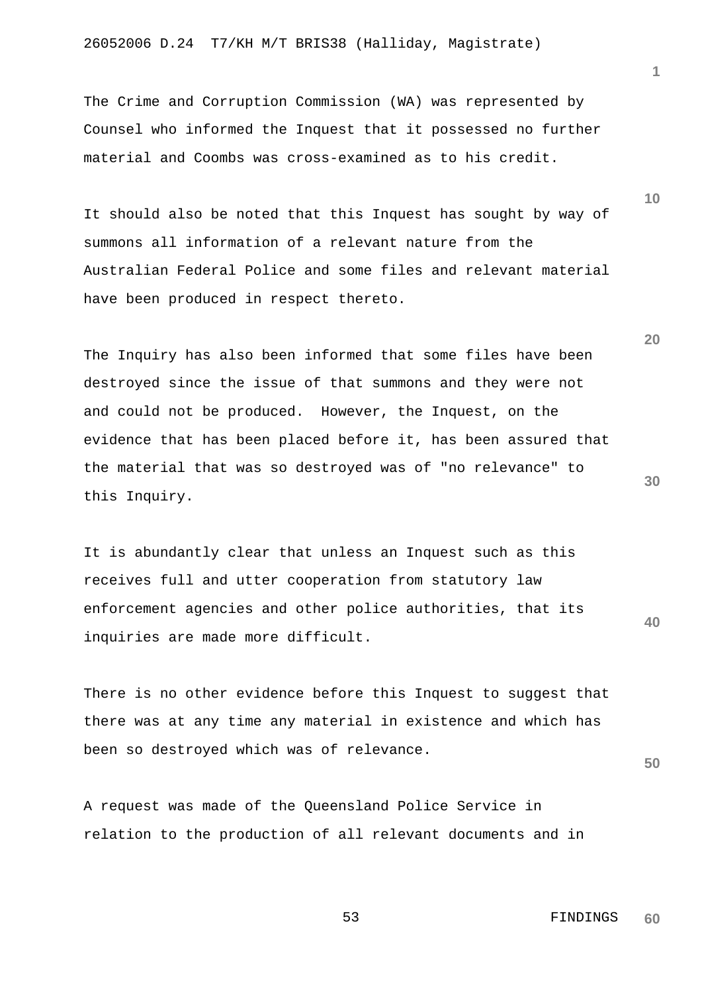26052006 D.24 T7/KH M/T BRIS38 (Halliday, Magistrate)

The Crime and Corruption Commission (WA) was represented by Counsel who informed the Inquest that it possessed no further material and Coombs was cross-examined as to his credit.

It should also be noted that this Inquest has sought by way of summons all information of a relevant nature from the Australian Federal Police and some files and relevant material have been produced in respect thereto.

The Inquiry has also been informed that some files have been destroyed since the issue of that summons and they were not and could not be produced. However, the Inquest, on the evidence that has been placed before it, has been assured that the material that was so destroyed was of "no relevance" to this Inquiry.

**40** It is abundantly clear that unless an Inquest such as this receives full and utter cooperation from statutory law enforcement agencies and other police authorities, that its inquiries are made more difficult.

There is no other evidence before this Inquest to suggest that there was at any time any material in existence and which has been so destroyed which was of relevance.

A request was made of the Queensland Police Service in relation to the production of all relevant documents and in

**10**

**1**

**20**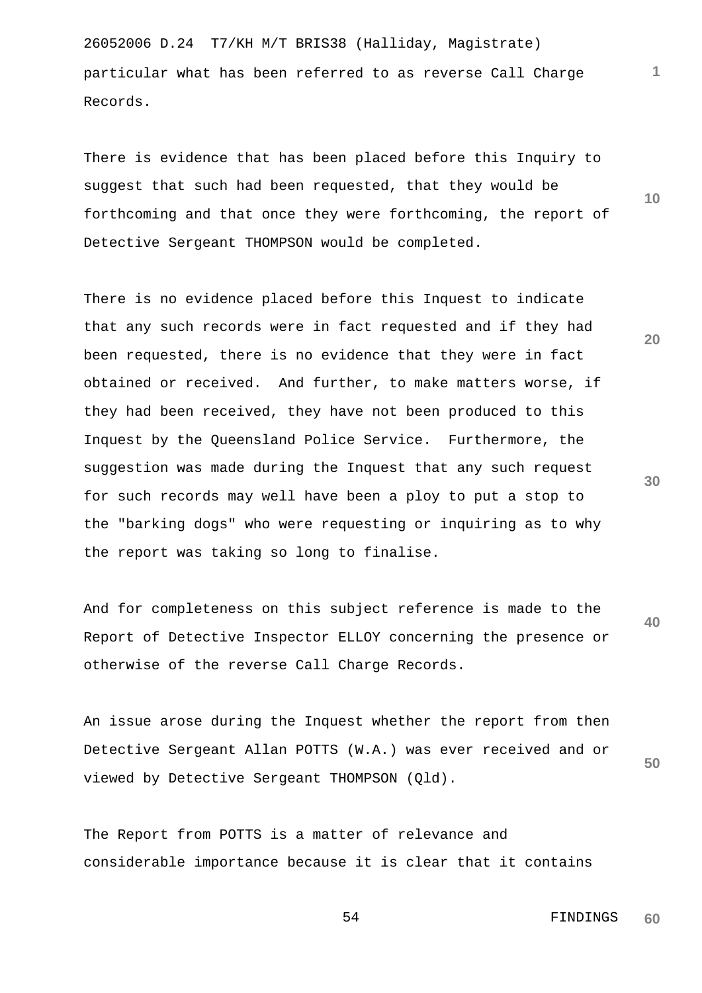26052006 D.24 T7/KH M/T BRIS38 (Halliday, Magistrate) particular what has been referred to as reverse Call Charge Records.

There is evidence that has been placed before this Inquiry to suggest that such had been requested, that they would be forthcoming and that once they were forthcoming, the report of Detective Sergeant THOMPSON would be completed.

There is no evidence placed before this Inquest to indicate that any such records were in fact requested and if they had been requested, there is no evidence that they were in fact obtained or received. And further, to make matters worse, if they had been received, they have not been produced to this Inquest by the Queensland Police Service. Furthermore, the suggestion was made during the Inquest that any such request for such records may well have been a ploy to put a stop to the "barking dogs" who were requesting or inquiring as to why the report was taking so long to finalise.

**40** And for completeness on this subject reference is made to the Report of Detective Inspector ELLOY concerning the presence or otherwise of the reverse Call Charge Records.

**50** An issue arose during the Inquest whether the report from then Detective Sergeant Allan POTTS (W.A.) was ever received and or viewed by Detective Sergeant THOMPSON (Qld).

The Report from POTTS is a matter of relevance and considerable importance because it is clear that it contains

**20**

**1**

**10**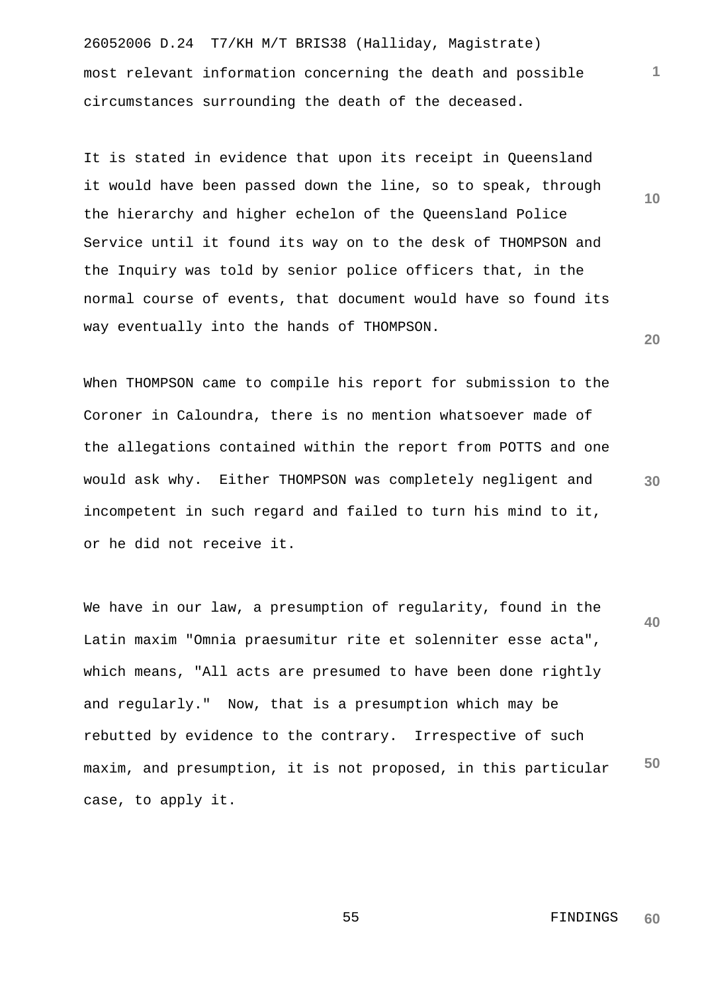26052006 D.24 T7/KH M/T BRIS38 (Halliday, Magistrate) most relevant information concerning the death and possible circumstances surrounding the death of the deceased.

It is stated in evidence that upon its receipt in Queensland it would have been passed down the line, so to speak, through the hierarchy and higher echelon of the Queensland Police Service until it found its way on to the desk of THOMPSON and the Inquiry was told by senior police officers that, in the normal course of events, that document would have so found its way eventually into the hands of THOMPSON.

When THOMPSON came to compile his report for submission to the Coroner in Caloundra, there is no mention whatsoever made of the allegations contained within the report from POTTS and one would ask why. Either THOMPSON was completely negligent and incompetent in such regard and failed to turn his mind to it, or he did not receive it.

**40 50** We have in our law, a presumption of regularity, found in the Latin maxim "Omnia praesumitur rite et solenniter esse acta", which means, "All acts are presumed to have been done rightly and regularly." Now, that is a presumption which may be rebutted by evidence to the contrary. Irrespective of such maxim, and presumption, it is not proposed, in this particular case, to apply it.

**60**

**1**

**10**

**20**

**30**

55 FINDINGS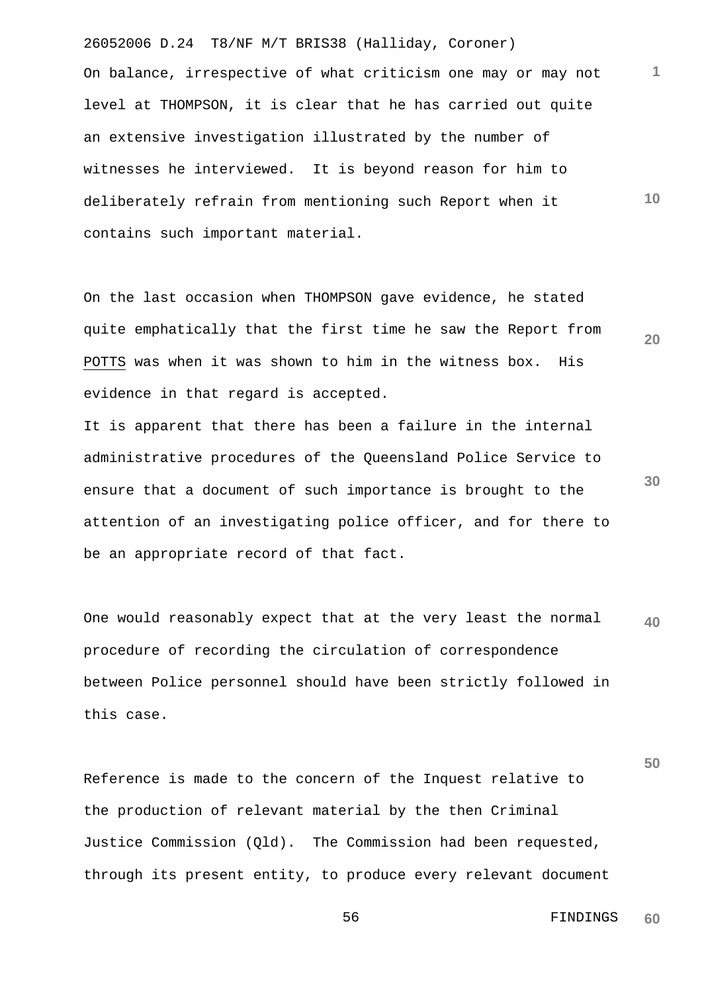26052006 D.24 T8/NF M/T BRIS38 (Halliday, Coroner) **10** On balance, irrespective of what criticism one may or may not level at THOMPSON, it is clear that he has carried out quite an extensive investigation illustrated by the number of witnesses he interviewed. It is beyond reason for him to deliberately refrain from mentioning such Report when it contains such important material.

**20** On the last occasion when THOMPSON gave evidence, he stated quite emphatically that the first time he saw the Report from POTTS was when it was shown to him in the witness box. His evidence in that regard is accepted.

**30** It is apparent that there has been a failure in the internal administrative procedures of the Queensland Police Service to ensure that a document of such importance is brought to the attention of an investigating police officer, and for there to be an appropriate record of that fact.

**40** One would reasonably expect that at the very least the normal procedure of recording the circulation of correspondence between Police personnel should have been strictly followed in this case.

Reference is made to the concern of the Inquest relative to the production of relevant material by the then Criminal Justice Commission (Qld). The Commission had been requested, through its present entity, to produce every relevant document

> 56 FINDINGS **60**

**50**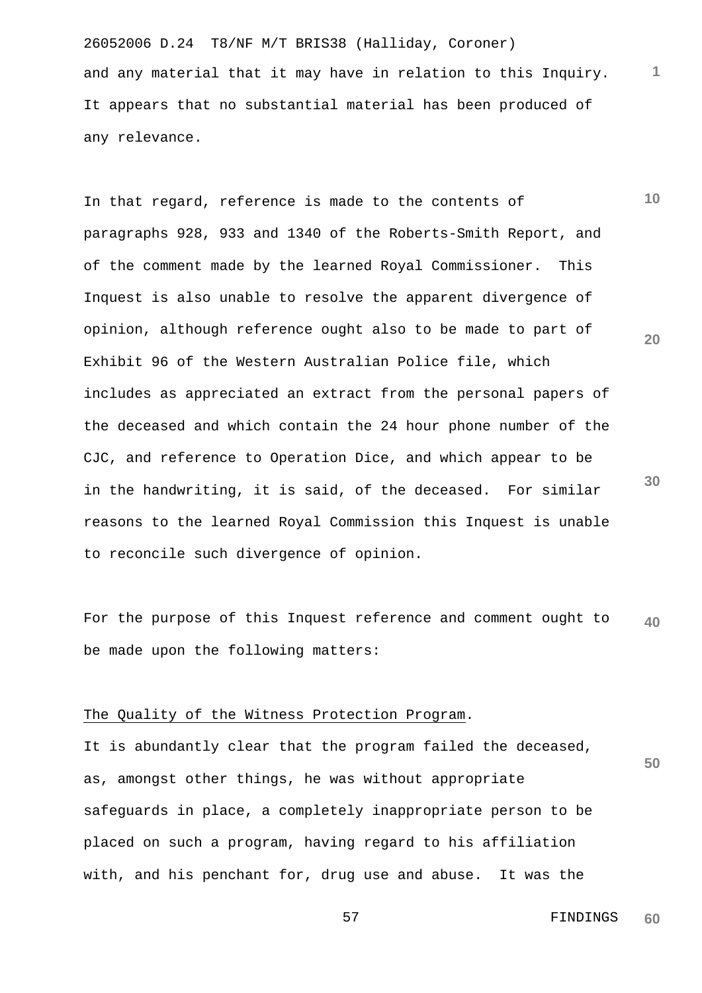26052006 D.24 T8/NF M/T BRIS38 (Halliday, Coroner) and any material that it may have in relation to this Inquiry. It appears that no substantial material has been produced of any relevance.

**10 20** In that regard, reference is made to the contents of paragraphs 928, 933 and 1340 of the Roberts-Smith Report, and of the comment made by the learned Royal Commissioner. This Inquest is also unable to resolve the apparent divergence of opinion, although reference ought also to be made to part of Exhibit 96 of the Western Australian Police file, which includes as appreciated an extract from the personal papers of the deceased and which contain the 24 hour phone number of the CJC, and reference to Operation Dice, and which appear to be in the handwriting, it is said, of the deceased. For similar reasons to the learned Royal Commission this Inquest is unable to reconcile such divergence of opinion.

**40** For the purpose of this Inquest reference and comment ought to be made upon the following matters:

#### The Quality of the Witness Protection Program.

**50** It is abundantly clear that the program failed the deceased, as, amongst other things, he was without appropriate safeguards in place, a completely inappropriate person to be placed on such a program, having regard to his affiliation with, and his penchant for, drug use and abuse. It was the

> 57 FINDINGS **60**

**30**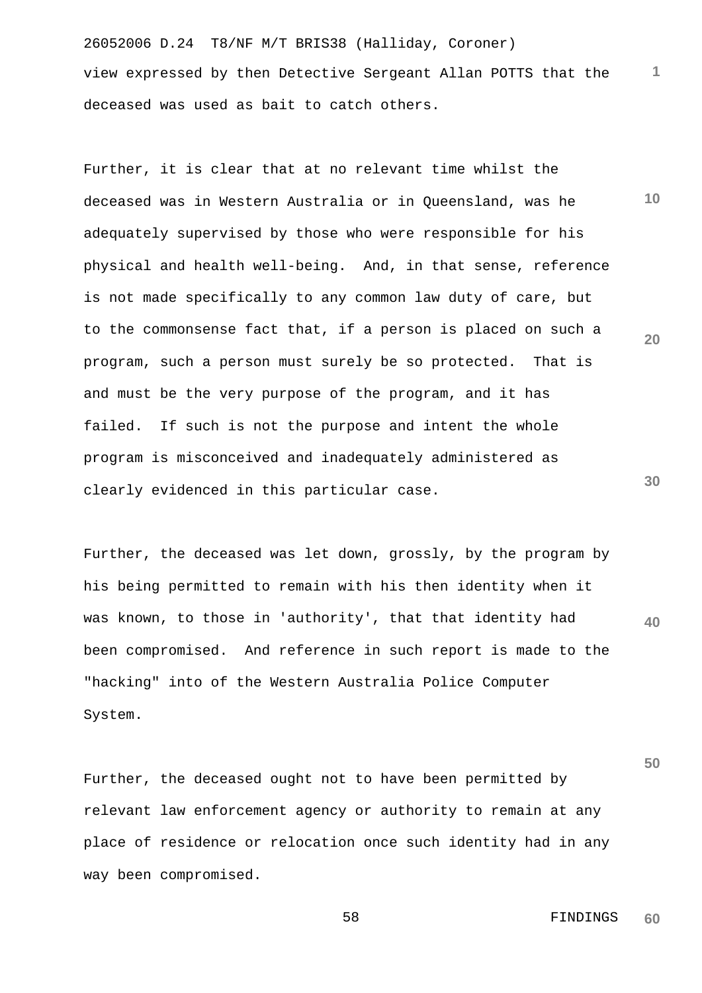26052006 D.24 T8/NF M/T BRIS38 (Halliday, Coroner) **1** view expressed by then Detective Sergeant Allan POTTS that the deceased was used as bait to catch others.

**10 20 30** Further, it is clear that at no relevant time whilst the deceased was in Western Australia or in Queensland, was he adequately supervised by those who were responsible for his physical and health well-being. And, in that sense, reference is not made specifically to any common law duty of care, but to the commonsense fact that, if a person is placed on such a program, such a person must surely be so protected. That is and must be the very purpose of the program, and it has failed. If such is not the purpose and intent the whole program is misconceived and inadequately administered as clearly evidenced in this particular case.

**40** Further, the deceased was let down, grossly, by the program by his being permitted to remain with his then identity when it was known, to those in 'authority', that that identity had been compromised. And reference in such report is made to the "hacking" into of the Western Australia Police Computer System.

**50** Further, the deceased ought not to have been permitted by relevant law enforcement agency or authority to remain at any place of residence or relocation once such identity had in any way been compromised.

#### 58 FINDINGS **60**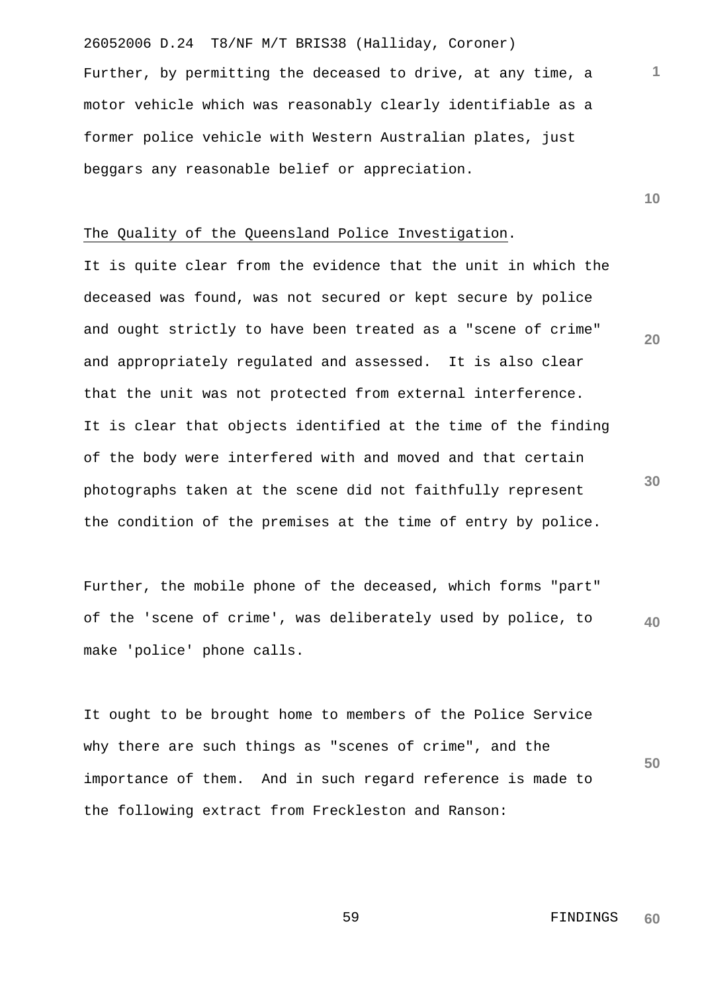26052006 D.24 T8/NF M/T BRIS38 (Halliday, Coroner) Further, by permitting the deceased to drive, at any time, a motor vehicle which was reasonably clearly identifiable as a former police vehicle with Western Australian plates, just beggars any reasonable belief or appreciation.

The Quality of the Queensland Police Investigation.

It is quite clear from the evidence that the unit in which the deceased was found, was not secured or kept secure by police and ought strictly to have been treated as a "scene of crime" and appropriately regulated and assessed. It is also clear that the unit was not protected from external interference. It is clear that objects identified at the time of the finding of the body were interfered with and moved and that certain photographs taken at the scene did not faithfully represent the condition of the premises at the time of entry by police.

**40** Further, the mobile phone of the deceased, which forms "part" of the 'scene of crime', was deliberately used by police, to make 'police' phone calls.

It ought to be brought home to members of the Police Service why there are such things as "scenes of crime", and the importance of them. And in such regard reference is made to the following extract from Freckleston and Ranson:

> 59 FINDINGS **60**

**10**

**20**

**1**

**30**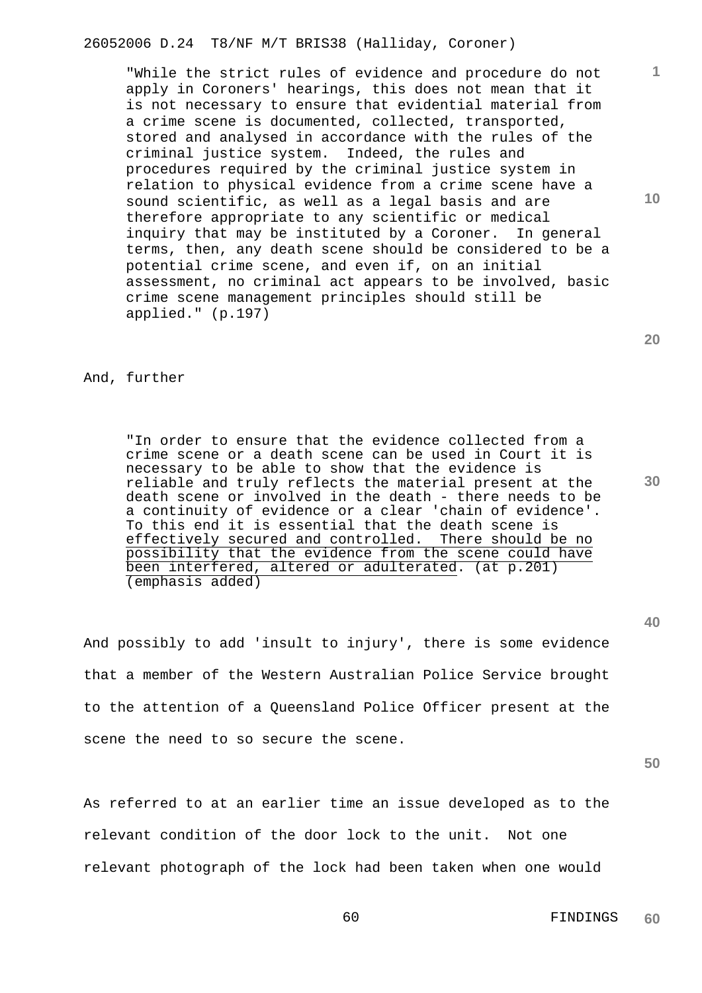26052006 D.24 T8/NF M/T BRIS38 (Halliday, Coroner)

"While the strict rules of evidence and procedure do not apply in Coroners' hearings, this does not mean that it is not necessary to ensure that evidential material from a crime scene is documented, collected, transported, stored and analysed in accordance with the rules of the criminal justice system. Indeed, the rules and procedures required by the criminal justice system in relation to physical evidence from a crime scene have a sound scientific, as well as a legal basis and are therefore appropriate to any scientific or medical inquiry that may be instituted by a Coroner. In general terms, then, any death scene should be considered to be a potential crime scene, and even if, on an initial assessment, no criminal act appears to be involved, basic crime scene management principles should still be applied." (p.197)

## And, further

"In order to ensure that the evidence collected from a crime scene or a death scene can be used in Court it is necessary to be able to show that the evidence is reliable and truly reflects the material present at the death scene or involved in the death - there needs to be a continuity of evidence or a clear 'chain of evidence'. To this end it is essential that the death scene is effectively secured and controlled. There should be no possibility that the evidence from the scene could have been interfered, altered or adulterated. (at p.201) (emphasis added)

And possibly to add 'insult to injury', there is some evidence that a member of the Western Australian Police Service brought to the attention of a Queensland Police Officer present at the scene the need to so secure the scene.

**50**

As referred to at an earlier time an issue developed as to the relevant condition of the door lock to the unit. Not one relevant photograph of the lock had been taken when one would

**20**

**10**

**1**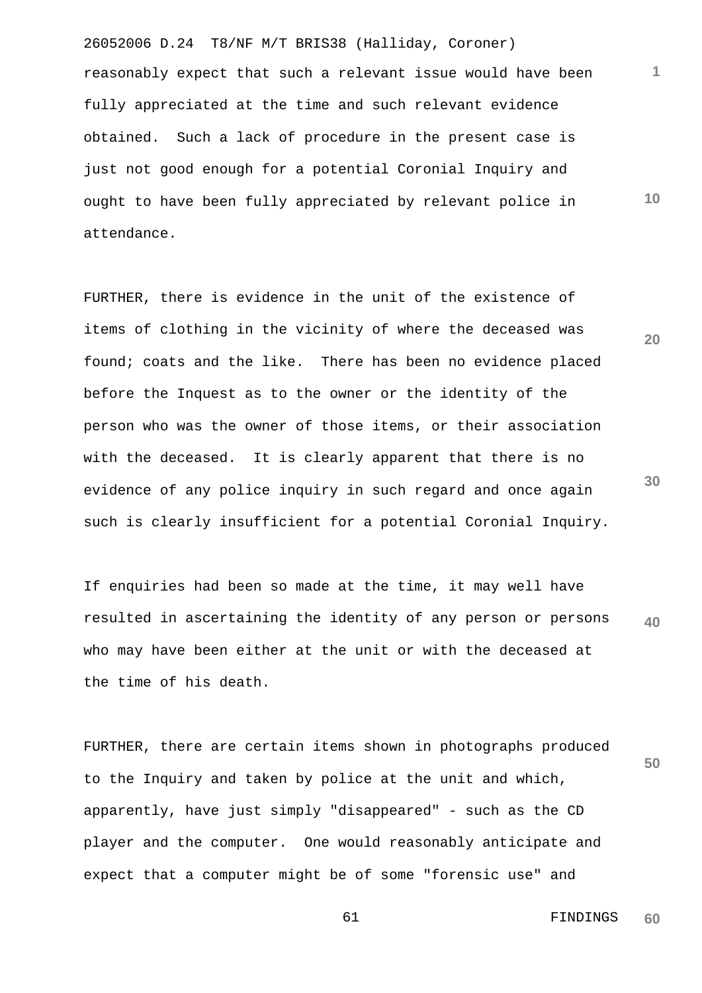26052006 D.24 T8/NF M/T BRIS38 (Halliday, Coroner) reasonably expect that such a relevant issue would have been fully appreciated at the time and such relevant evidence obtained. Such a lack of procedure in the present case is just not good enough for a potential Coronial Inquiry and ought to have been fully appreciated by relevant police in attendance.

FURTHER, there is evidence in the unit of the existence of items of clothing in the vicinity of where the deceased was found; coats and the like. There has been no evidence placed before the Inquest as to the owner or the identity of the person who was the owner of those items, or their association with the deceased. It is clearly apparent that there is no evidence of any police inquiry in such regard and once again such is clearly insufficient for a potential Coronial Inquiry.

**40** If enquiries had been so made at the time, it may well have resulted in ascertaining the identity of any person or persons who may have been either at the unit or with the deceased at the time of his death.

**50** FURTHER, there are certain items shown in photographs produced to the Inquiry and taken by police at the unit and which, apparently, have just simply "disappeared" - such as the CD player and the computer. One would reasonably anticipate and expect that a computer might be of some "forensic use" and

> 61 FINDINGS **60**

**1**

**10**

**20**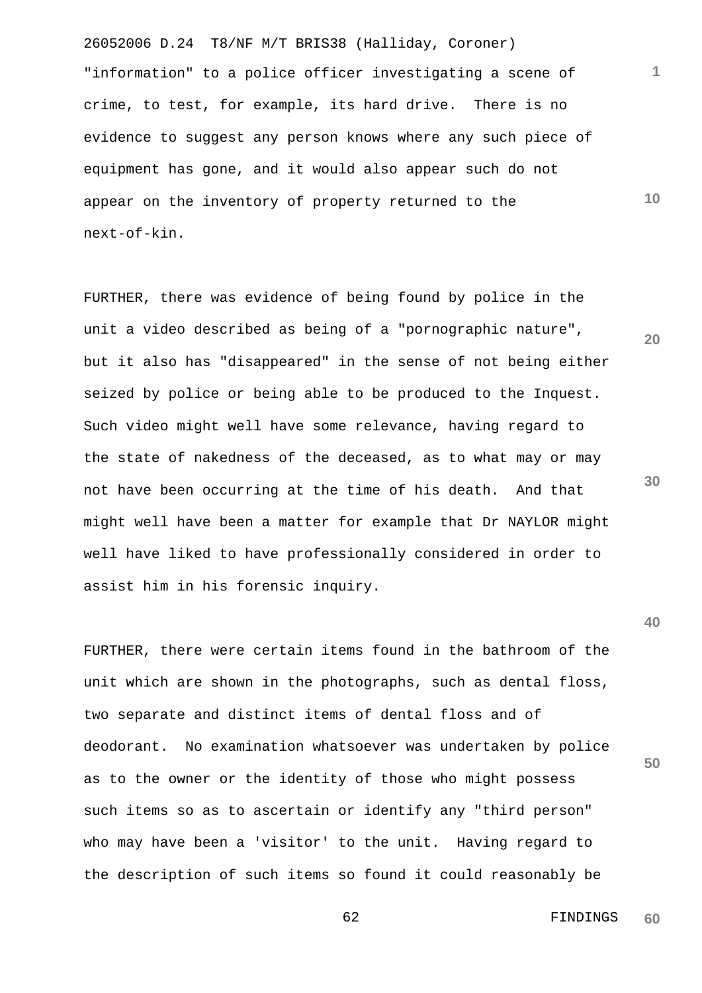26052006 D.24 T8/NF M/T BRIS38 (Halliday, Coroner) "information" to a police officer investigating a scene of crime, to test, for example, its hard drive. There is no evidence to suggest any person knows where any such piece of equipment has gone, and it would also appear such do not appear on the inventory of property returned to the next-of-kin.

**20 30** FURTHER, there was evidence of being found by police in the unit a video described as being of a "pornographic nature", but it also has "disappeared" in the sense of not being either seized by police or being able to be produced to the Inquest. Such video might well have some relevance, having regard to the state of nakedness of the deceased, as to what may or may not have been occurring at the time of his death. And that might well have been a matter for example that Dr NAYLOR might well have liked to have professionally considered in order to assist him in his forensic inquiry.

**50** FURTHER, there were certain items found in the bathroom of the unit which are shown in the photographs, such as dental floss, two separate and distinct items of dental floss and of deodorant. No examination whatsoever was undertaken by police as to the owner or the identity of those who might possess such items so as to ascertain or identify any "third person" who may have been a 'visitor' to the unit. Having regard to the description of such items so found it could reasonably be

> 62 FINDINGS **60**

**1**

**10**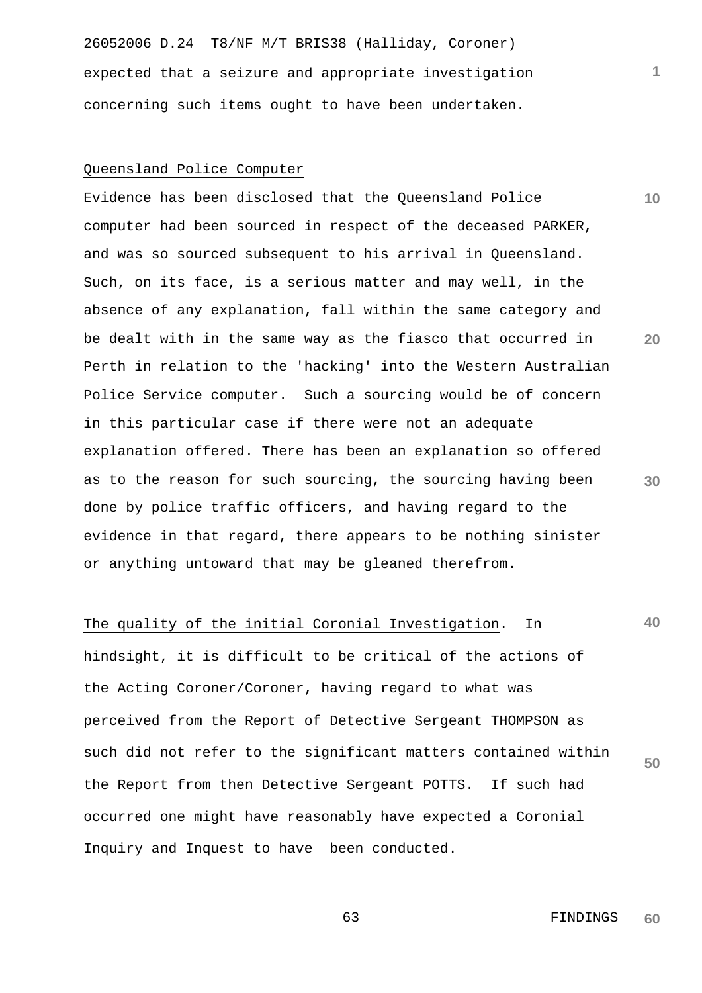26052006 D.24 T8/NF M/T BRIS38 (Halliday, Coroner) expected that a seizure and appropriate investigation concerning such items ought to have been undertaken.

# Queensland Police Computer

Evidence has been disclosed that the Queensland Police computer had been sourced in respect of the deceased PARKER, and was so sourced subsequent to his arrival in Queensland. Such, on its face, is a serious matter and may well, in the absence of any explanation, fall within the same category and be dealt with in the same way as the fiasco that occurred in Perth in relation to the 'hacking' into the Western Australian Police Service computer. Such a sourcing would be of concern in this particular case if there were not an adequate explanation offered. There has been an explanation so offered as to the reason for such sourcing, the sourcing having been done by police traffic officers, and having regard to the evidence in that regard, there appears to be nothing sinister or anything untoward that may be gleaned therefrom.

# The quality of the initial Coronial Investigation. In

**50** hindsight, it is difficult to be critical of the actions of the Acting Coroner/Coroner, having regard to what was perceived from the Report of Detective Sergeant THOMPSON as such did not refer to the significant matters contained within the Report from then Detective Sergeant POTTS. If such had occurred one might have reasonably have expected a Coronial Inquiry and Inquest to have been conducted.

> 63 FINDINGS **60**

**1**

**10**

**20**

**30**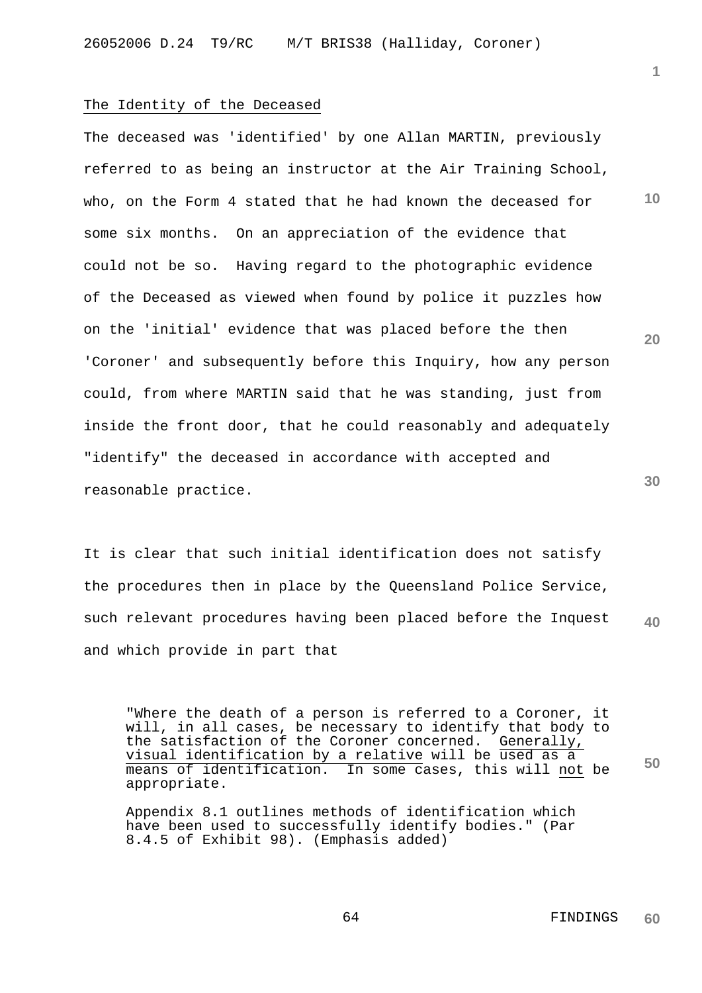#### The Identity of the Deceased

The deceased was 'identified' by one Allan MARTIN, previously referred to as being an instructor at the Air Training School, who, on the Form 4 stated that he had known the deceased for some six months. On an appreciation of the evidence that could not be so. Having regard to the photographic evidence of the Deceased as viewed when found by police it puzzles how on the 'initial' evidence that was placed before the then 'Coroner' and subsequently before this Inquiry, how any person could, from where MARTIN said that he was standing, just from inside the front door, that he could reasonably and adequately "identify" the deceased in accordance with accepted and reasonable practice.

**40** It is clear that such initial identification does not satisfy the procedures then in place by the Queensland Police Service, such relevant procedures having been placed before the Inquest and which provide in part that

"Where the death of a person is referred to a Coroner, it will, in all cases, be necessary to identify that body to the satisfaction of the Coroner concerned. Generally, visual identification by a relative will be used as a means of identification. In some cases, this will not be appropriate.

Appendix 8.1 outlines methods of identification which have been used to successfully identify bodies." (Par 8.4.5 of Exhibit 98). (Emphasis added)

**30**

**50**

**10**

**20**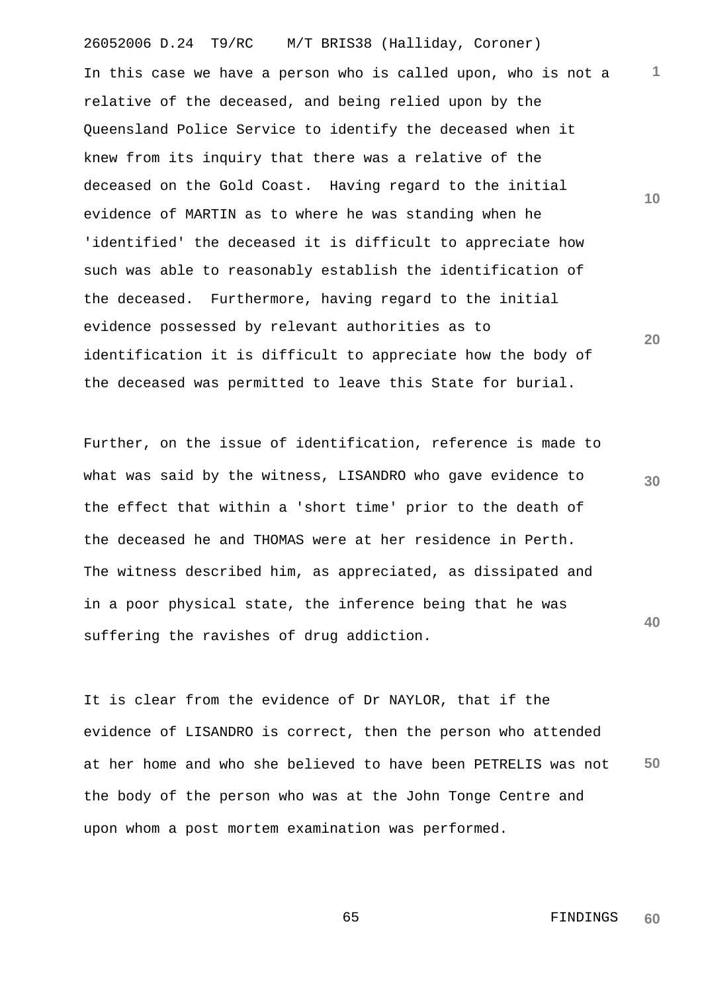26052006 D.24 T9/RC M/T BRIS38 (Halliday, Coroner) **1 10 20** In this case we have a person who is called upon, who is not a relative of the deceased, and being relied upon by the Queensland Police Service to identify the deceased when it knew from its inquiry that there was a relative of the deceased on the Gold Coast. Having regard to the initial evidence of MARTIN as to where he was standing when he 'identified' the deceased it is difficult to appreciate how such was able to reasonably establish the identification of the deceased. Furthermore, having regard to the initial evidence possessed by relevant authorities as to identification it is difficult to appreciate how the body of the deceased was permitted to leave this State for burial.

Further, on the issue of identification, reference is made to what was said by the witness, LISANDRO who gave evidence to the effect that within a 'short time' prior to the death of the deceased he and THOMAS were at her residence in Perth. The witness described him, as appreciated, as dissipated and in a poor physical state, the inference being that he was suffering the ravishes of drug addiction.

**50** It is clear from the evidence of Dr NAYLOR, that if the evidence of LISANDRO is correct, then the person who attended at her home and who she believed to have been PETRELIS was not the body of the person who was at the John Tonge Centre and upon whom a post mortem examination was performed.

**30**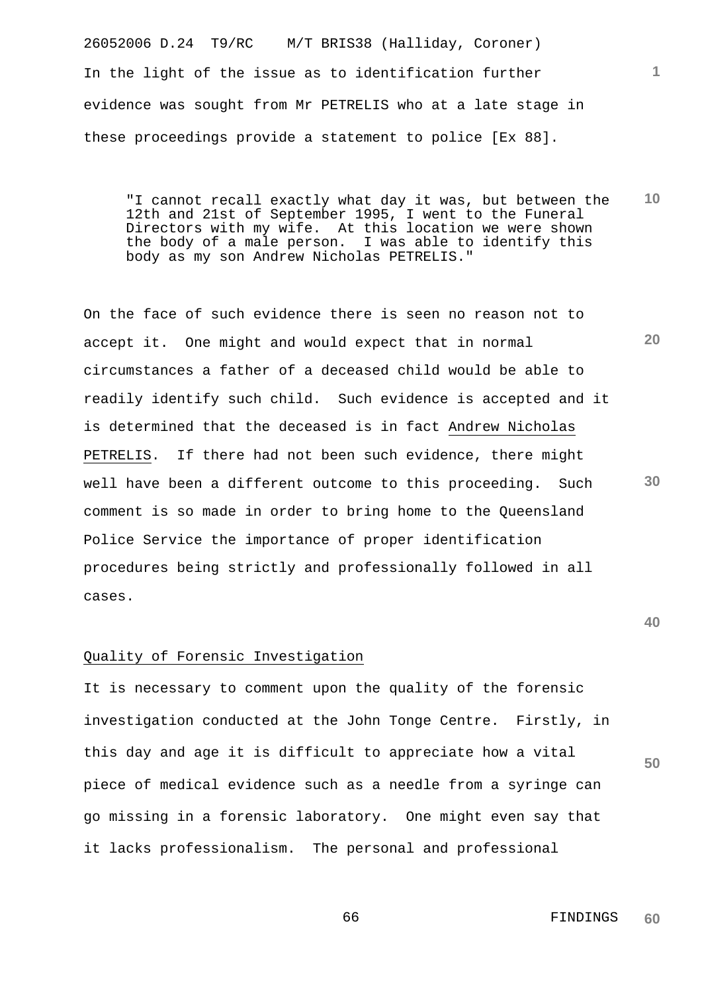26052006 D.24 T9/RC M/T BRIS38 (Halliday, Coroner) In the light of the issue as to identification further evidence was sought from Mr PETRELIS who at a late stage in these proceedings provide a statement to police [Ex 88].

**10** "I cannot recall exactly what day it was, but between the 12th and 21st of September 1995, I went to the Funeral Directors with my wife. At this location we were shown the body of a male person. I was able to identify this body as my son Andrew Nicholas PETRELIS."

**20 30** On the face of such evidence there is seen no reason not to accept it. One might and would expect that in normal circumstances a father of a deceased child would be able to readily identify such child. Such evidence is accepted and it is determined that the deceased is in fact Andrew Nicholas PETRELIS. If there had not been such evidence, there might well have been a different outcome to this proceeding. Such comment is so made in order to bring home to the Queensland Police Service the importance of proper identification procedures being strictly and professionally followed in all cases.

#### **40**

**50**

### Quality of Forensic Investigation

It is necessary to comment upon the quality of the forensic investigation conducted at the John Tonge Centre. Firstly, in this day and age it is difficult to appreciate how a vital piece of medical evidence such as a needle from a syringe can go missing in a forensic laboratory. One might even say that it lacks professionalism. The personal and professional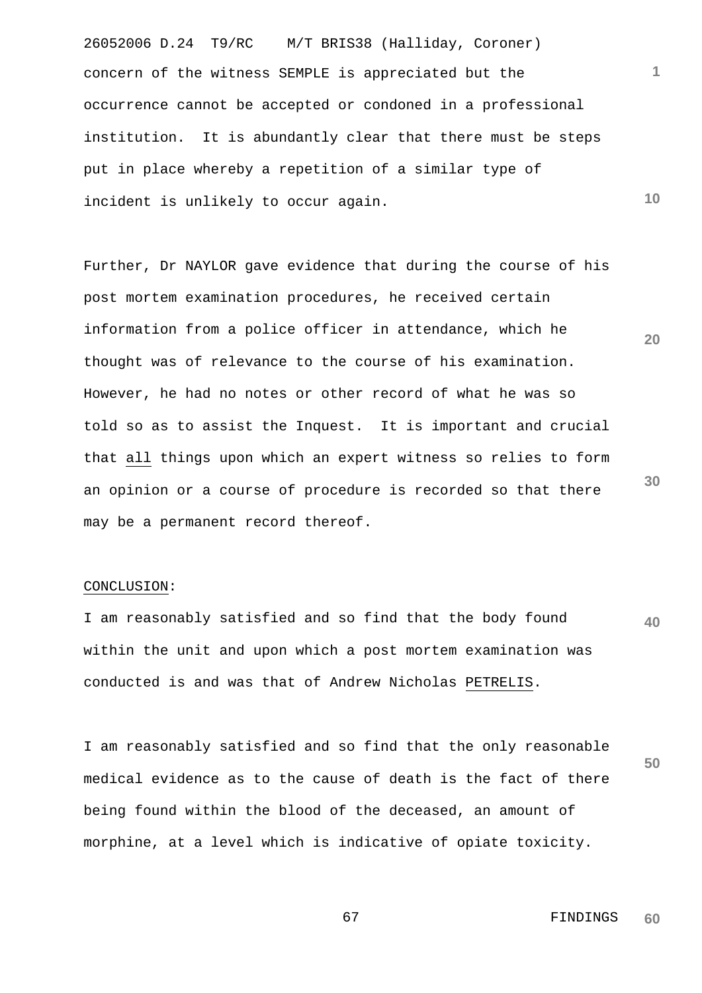26052006 D.24 T9/RC M/T BRIS38 (Halliday, Coroner) concern of the witness SEMPLE is appreciated but the occurrence cannot be accepted or condoned in a professional institution. It is abundantly clear that there must be steps put in place whereby a repetition of a similar type of incident is unlikely to occur again.

**20 30** Further, Dr NAYLOR gave evidence that during the course of his post mortem examination procedures, he received certain information from a police officer in attendance, which he thought was of relevance to the course of his examination. However, he had no notes or other record of what he was so told so as to assist the Inquest. It is important and crucial that all things upon which an expert witness so relies to form an opinion or a course of procedure is recorded so that there may be a permanent record thereof.

# CONCLUSION:

**40** I am reasonably satisfied and so find that the body found within the unit and upon which a post mortem examination was conducted is and was that of Andrew Nicholas PETRELIS.

**50** I am reasonably satisfied and so find that the only reasonable medical evidence as to the cause of death is the fact of there being found within the blood of the deceased, an amount of morphine, at a level which is indicative of opiate toxicity.

**1**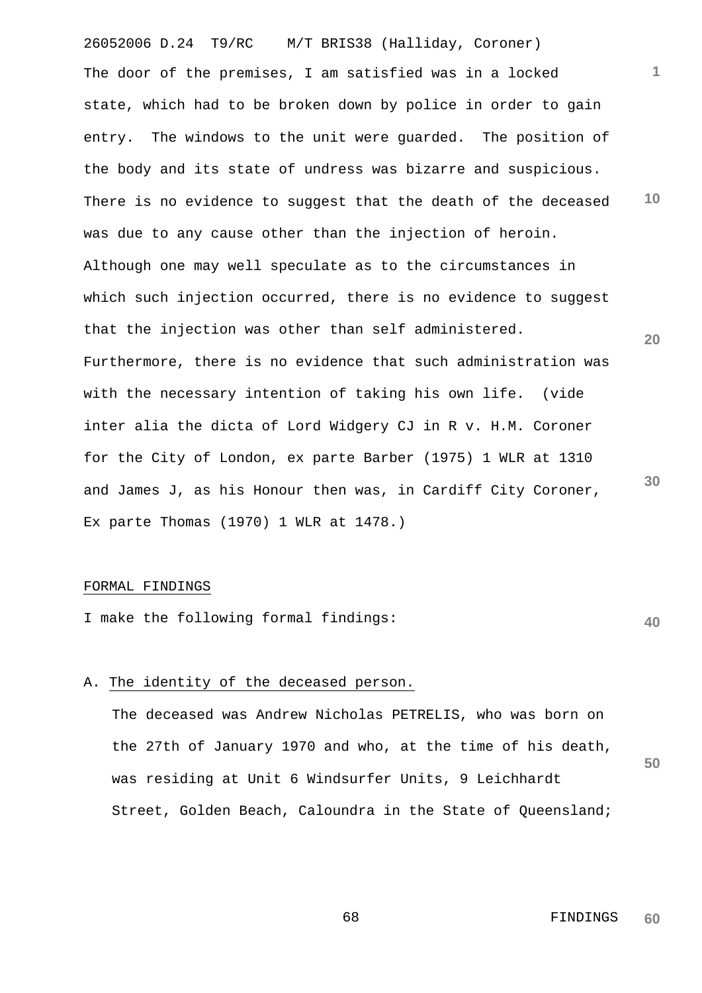26052006 D.24 T9/RC M/T BRIS38 (Halliday, Coroner) **1 10 20 30** The door of the premises, I am satisfied was in a locked state, which had to be broken down by police in order to gain entry. The windows to the unit were guarded. The position of the body and its state of undress was bizarre and suspicious. There is no evidence to suggest that the death of the deceased was due to any cause other than the injection of heroin. Although one may well speculate as to the circumstances in which such injection occurred, there is no evidence to suggest that the injection was other than self administered. Furthermore, there is no evidence that such administration was with the necessary intention of taking his own life. (vide inter alia the dicta of Lord Widgery CJ in R v. H.M. Coroner for the City of London, ex parte Barber (1975) 1 WLR at 1310 and James J, as his Honour then was, in Cardiff City Coroner, Ex parte Thomas (1970) 1 WLR at 1478.)

### FORMAL FINDINGS

I make the following formal findings:

# A. The identity of the deceased person.

**50** The deceased was Andrew Nicholas PETRELIS, who was born on the 27th of January 1970 and who, at the time of his death, was residing at Unit 6 Windsurfer Units, 9 Leichhardt Street, Golden Beach, Caloundra in the State of Queensland;

> 68 FINDINGS **60**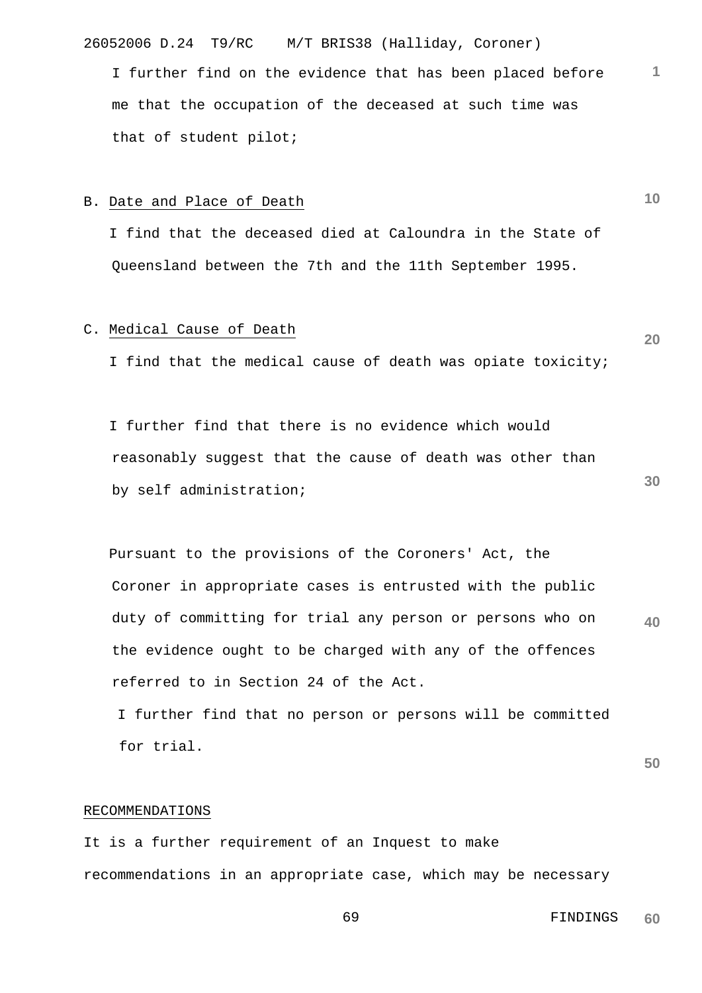26052006 D.24 T9/RC M/T BRIS38 (Halliday, Coroner)

I further find on the evidence that has been placed before me that the occupation of the deceased at such time was that of student pilot;

#### B. Date and Place of Death

 I find that the deceased died at Caloundra in the State of Queensland between the 7th and the 11th September 1995.

# C. Medical Cause of Death

I find that the medical cause of death was opiate toxicity;

 I further find that there is no evidence which would reasonably suggest that the cause of death was other than by self administration;

**40** Pursuant to the provisions of the Coroners' Act, the Coroner in appropriate cases is entrusted with the public duty of committing for trial any person or persons who on the evidence ought to be charged with any of the offences referred to in Section 24 of the Act.

 I further find that no person or persons will be committed for trial.

**50**

# RECOMMENDATIONS

It is a further requirement of an Inquest to make recommendations in an appropriate case, which may be necessary

**10**

**1**

**30**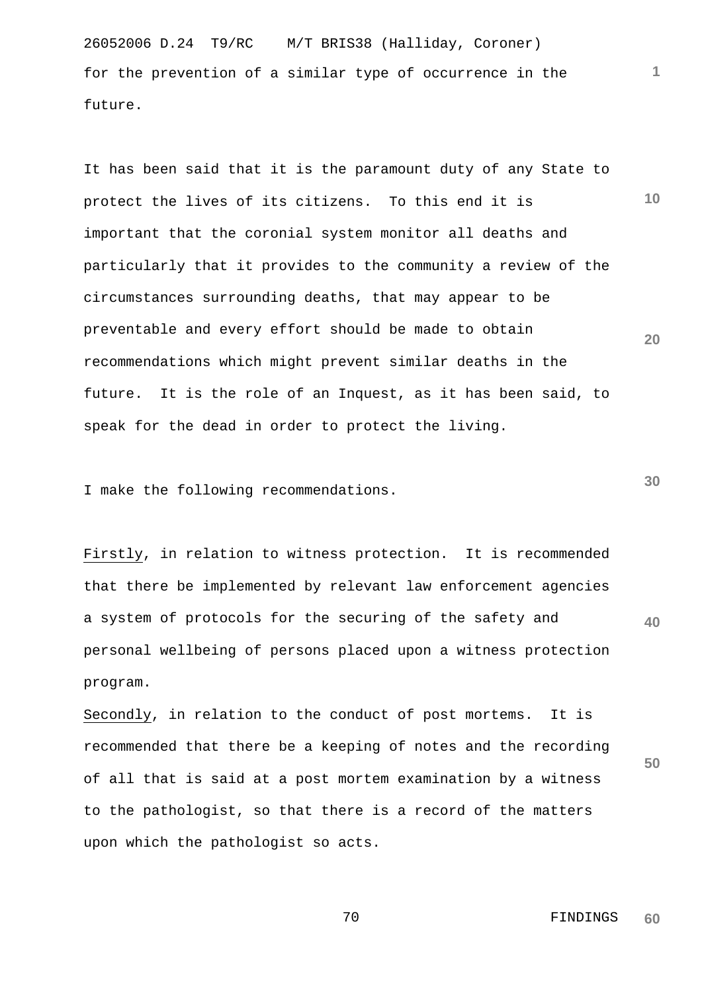26052006 D.24 T9/RC M/T BRIS38 (Halliday, Coroner) for the prevention of a similar type of occurrence in the future.

**10 20** It has been said that it is the paramount duty of any State to protect the lives of its citizens. To this end it is important that the coronial system monitor all deaths and particularly that it provides to the community a review of the circumstances surrounding deaths, that may appear to be preventable and every effort should be made to obtain recommendations which might prevent similar deaths in the future. It is the role of an Inquest, as it has been said, to speak for the dead in order to protect the living.

I make the following recommendations.

**40** Firstly, in relation to witness protection. It is recommended that there be implemented by relevant law enforcement agencies a system of protocols for the securing of the safety and personal wellbeing of persons placed upon a witness protection program.

**50** Secondly, in relation to the conduct of post mortems. It is recommended that there be a keeping of notes and the recording of all that is said at a post mortem examination by a witness to the pathologist, so that there is a record of the matters upon which the pathologist so acts.

> 70 FINDINGS **60**

**30**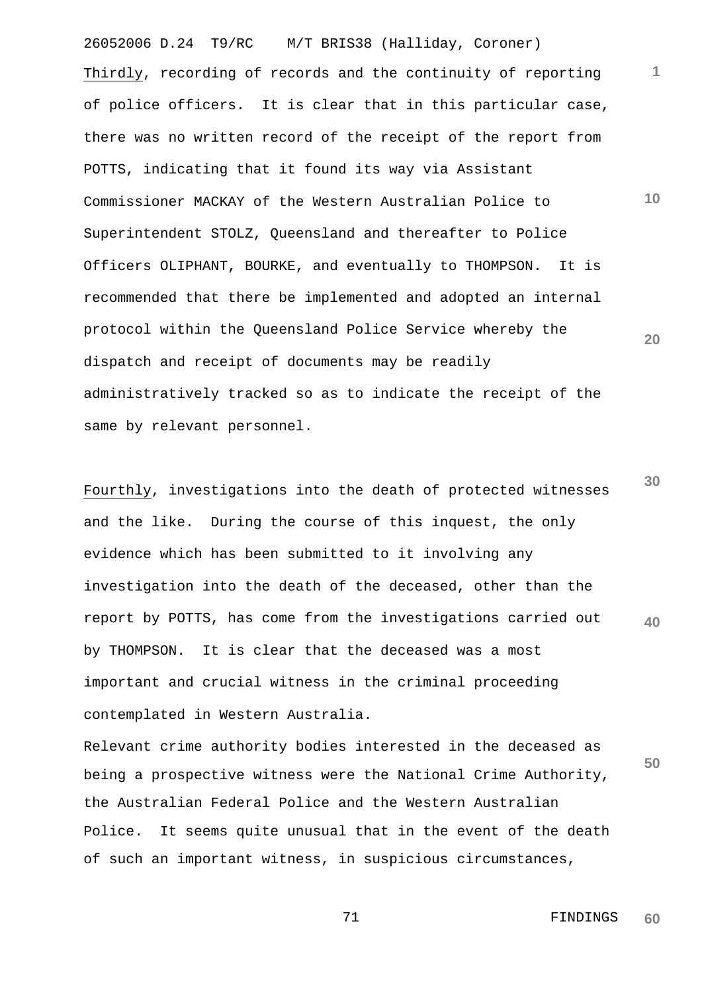26052006 D.24 T9/RC M/T BRIS38 (Halliday, Coroner) **1 10 20** Thirdly, recording of records and the continuity of reporting of police officers. It is clear that in this particular case, there was no written record of the receipt of the report from POTTS, indicating that it found its way via Assistant Commissioner MACKAY of the Western Australian Police to Superintendent STOLZ, Queensland and thereafter to Police Officers OLIPHANT, BOURKE, and eventually to THOMPSON. It is recommended that there be implemented and adopted an internal protocol within the Queensland Police Service whereby the dispatch and receipt of documents may be readily administratively tracked so as to indicate the receipt of the same by relevant personnel.

**30 40** Fourthly, investigations into the death of protected witnesses and the like. During the course of this inquest, the only evidence which has been submitted to it involving any investigation into the death of the deceased, other than the report by POTTS, has come from the investigations carried out by THOMPSON. It is clear that the deceased was a most important and crucial witness in the criminal proceeding contemplated in Western Australia.

**50** Relevant crime authority bodies interested in the deceased as being a prospective witness were the National Crime Authority, the Australian Federal Police and the Western Australian Police. It seems quite unusual that in the event of the death of such an important witness, in suspicious circumstances,

> 71 **FINDINGS 60**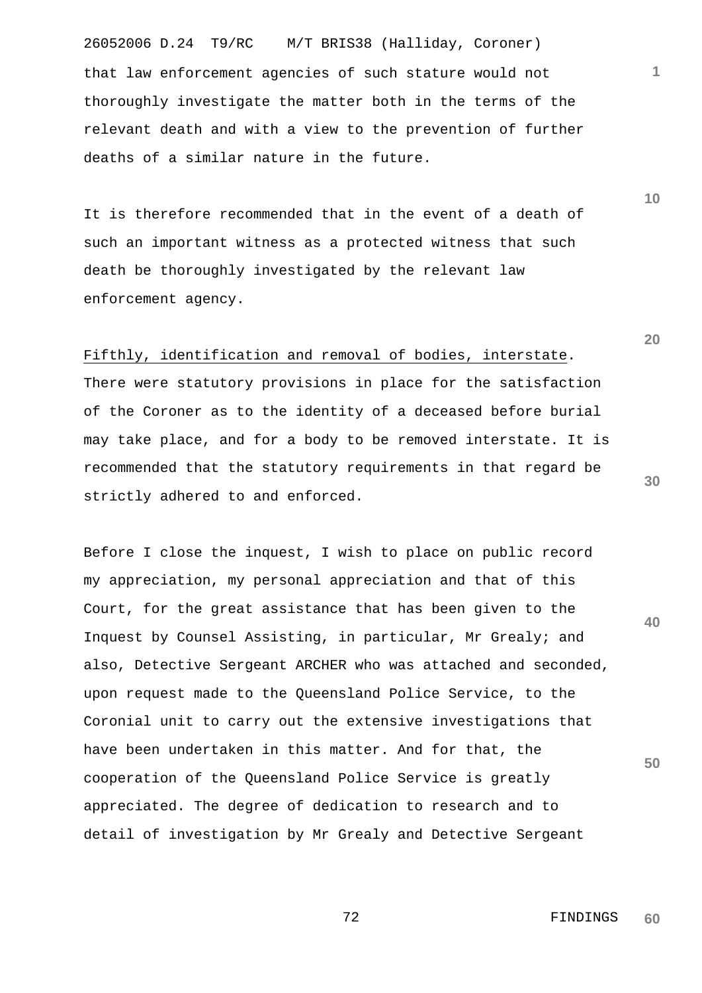26052006 D.24 T9/RC M/T BRIS38 (Halliday, Coroner) that law enforcement agencies of such stature would not thoroughly investigate the matter both in the terms of the relevant death and with a view to the prevention of further deaths of a similar nature in the future.

It is therefore recommended that in the event of a death of such an important witness as a protected witness that such death be thoroughly investigated by the relevant law enforcement agency.

Fifthly, identification and removal of bodies, interstate. There were statutory provisions in place for the satisfaction of the Coroner as to the identity of a deceased before burial may take place, and for a body to be removed interstate. It is recommended that the statutory requirements in that regard be strictly adhered to and enforced.

**40 50** Before I close the inquest, I wish to place on public record my appreciation, my personal appreciation and that of this Court, for the great assistance that has been given to the Inquest by Counsel Assisting, in particular, Mr Grealy; and also, Detective Sergeant ARCHER who was attached and seconded, upon request made to the Queensland Police Service, to the Coronial unit to carry out the extensive investigations that have been undertaken in this matter. And for that, the cooperation of the Queensland Police Service is greatly appreciated. The degree of dedication to research and to detail of investigation by Mr Grealy and Detective Sergeant

**20**

**1**

**10**

 72 FINDINGS **60**